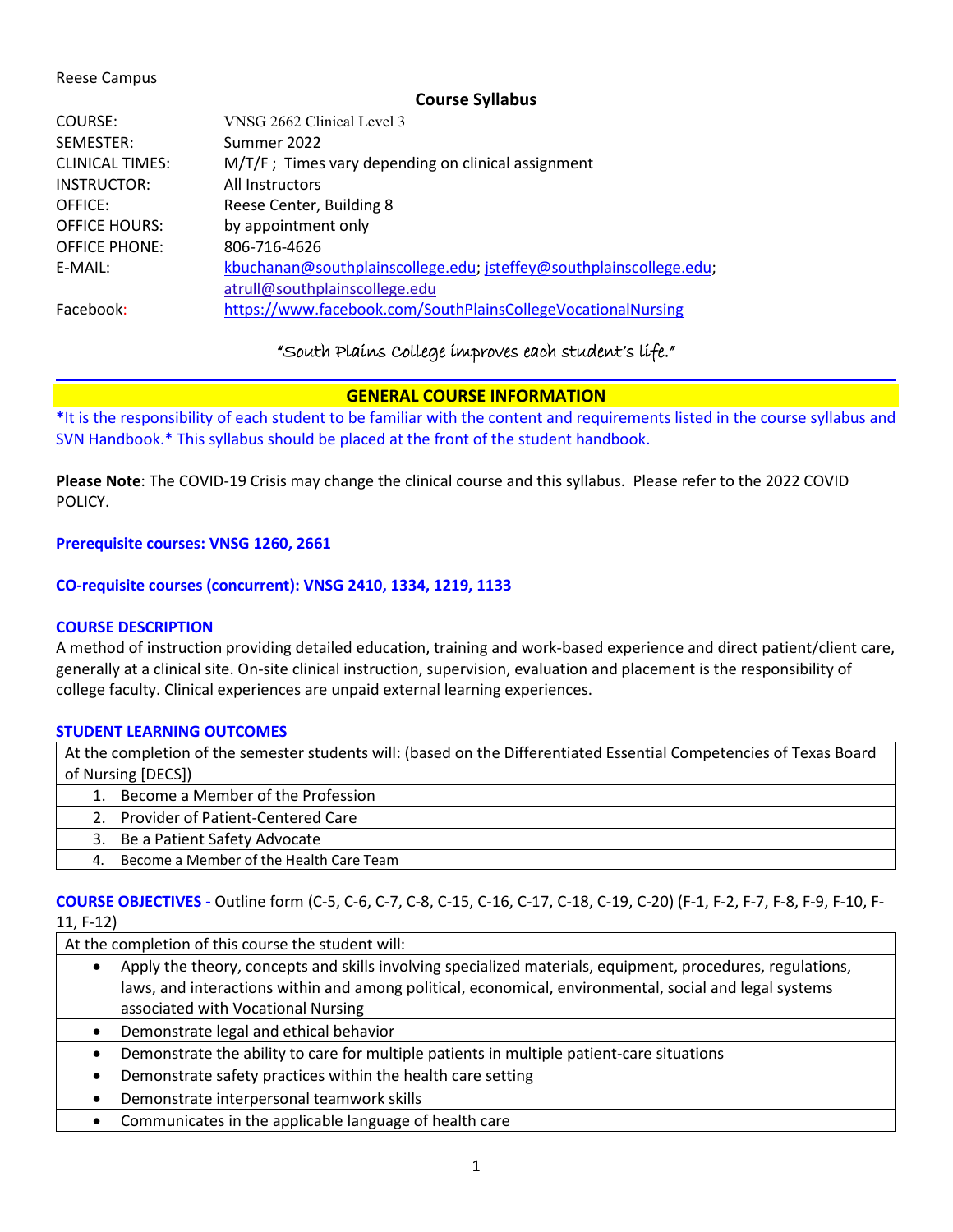#### Reese Campus

### **Course Syllabus**

| COURSE:                | VNSG 2662 Clinical Level 3                                         |
|------------------------|--------------------------------------------------------------------|
| SEMESTER:              | Summer 2022                                                        |
| <b>CLINICAL TIMES:</b> | M/T/F; Times vary depending on clinical assignment                 |
| INSTRUCTOR:            | All Instructors                                                    |
| OFFICE:                | Reese Center, Building 8                                           |
| <b>OFFICE HOURS:</b>   | by appointment only                                                |
| <b>OFFICE PHONE:</b>   | 806-716-4626                                                       |
| E-MAIL:                | kbuchanan@southplainscollege.edu; jsteffey@southplainscollege.edu; |
|                        | atrull@southplainscollege.edu                                      |
| Facebook:              | https://www.facebook.com/SouthPlainsCollegeVocationalNursing       |

### "South Plains College improves each student's life."

### **GENERAL COURSE INFORMATION**

**\***It is the responsibility of each student to be familiar with the content and requirements listed in the course syllabus and SVN Handbook.\* This syllabus should be placed at the front of the student handbook.

**Please Note**: The COVID-19 Crisis may change the clinical course and this syllabus. Please refer to the 2022 COVID POLICY.

#### **Prerequisite courses: VNSG 1260, 2661**

### **CO-requisite courses (concurrent): VNSG 2410, 1334, 1219, 1133**

### **COURSE DESCRIPTION**

A method of instruction providing detailed education, training and work-based experience and direct patient/client care, generally at a clinical site. On-site clinical instruction, supervision, evaluation and placement is the responsibility of college faculty. Clinical experiences are unpaid external learning experiences.

### **STUDENT LEARNING OUTCOMES**

At the completion of the semester students will: (based on the Differentiated Essential Competencies of Texas Board of Nursing [DECS])

- 1. Become a Member of the Profession
- 2. Provider of Patient-Centered Care
- 3. Be a Patient Safety Advocate
- 4. Become a Member of the Health Care Team

### **COURSE OBJECTIVES -** Outline form (C-5, C-6, C-7, C-8, C-15, C-16, C-17, C-18, C-19, C-20) (F-1, F-2, F-7, F-8, F-9, F-10, F-11, F-12)

At the completion of this course the student will:

- Apply the theory, concepts and skills involving specialized materials, equipment, procedures, regulations, laws, and interactions within and among political, economical, environmental, social and legal systems associated with Vocational Nursing
- Demonstrate legal and ethical behavior
- Demonstrate the ability to care for multiple patients in multiple patient-care situations
- Demonstrate safety practices within the health care setting
- Demonstrate interpersonal teamwork skills
- Communicates in the applicable language of health care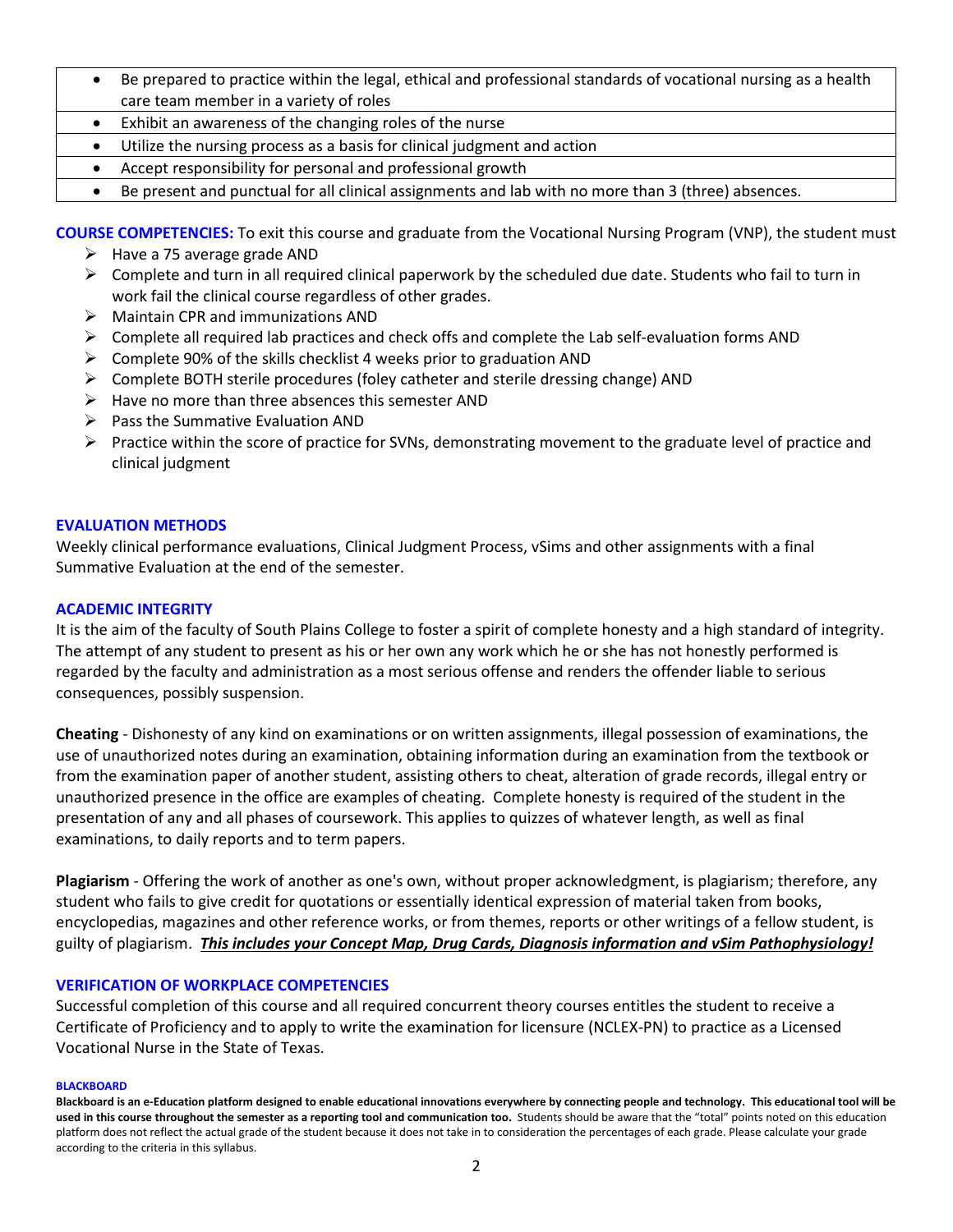- Be prepared to practice within the legal, ethical and professional standards of vocational nursing as a health care team member in a variety of roles
- Exhibit an awareness of the changing roles of the nurse
- Utilize the nursing process as a basis for clinical judgment and action
- Accept responsibility for personal and professional growth
- Be present and punctual for all clinical assignments and lab with no more than 3 (three) absences.

**COURSE COMPETENCIES:** To exit this course and graduate from the Vocational Nursing Program (VNP), the student must

- $\triangleright$  Have a 75 average grade AND
- $\triangleright$  Complete and turn in all required clinical paperwork by the scheduled due date. Students who fail to turn in work fail the clinical course regardless of other grades.
- $\triangleright$  Maintain CPR and immunizations AND
- $\triangleright$  Complete all required lab practices and check offs and complete the Lab self-evaluation forms AND
- $\triangleright$  Complete 90% of the skills checklist 4 weeks prior to graduation AND
- $\triangleright$  Complete BOTH sterile procedures (foley catheter and sterile dressing change) AND
- $\triangleright$  Have no more than three absences this semester AND
- $\triangleright$  Pass the Summative Evaluation AND
- $\triangleright$  Practice within the score of practice for SVNs, demonstrating movement to the graduate level of practice and clinical judgment

### **EVALUATION METHODS**

Weekly clinical performance evaluations, Clinical Judgment Process, vSims and other assignments with a final Summative Evaluation at the end of the semester.

### **ACADEMIC INTEGRITY**

It is the aim of the faculty of South Plains College to foster a spirit of complete honesty and a high standard of integrity. The attempt of any student to present as his or her own any work which he or she has not honestly performed is regarded by the faculty and administration as a most serious offense and renders the offender liable to serious consequences, possibly suspension.

**Cheating** - Dishonesty of any kind on examinations or on written assignments, illegal possession of examinations, the use of unauthorized notes during an examination, obtaining information during an examination from the textbook or from the examination paper of another student, assisting others to cheat, alteration of grade records, illegal entry or unauthorized presence in the office are examples of cheating. Complete honesty is required of the student in the presentation of any and all phases of coursework. This applies to quizzes of whatever length, as well as final examinations, to daily reports and to term papers.

**Plagiarism** - Offering the work of another as one's own, without proper acknowledgment, is plagiarism; therefore, any student who fails to give credit for quotations or essentially identical expression of material taken from books, encyclopedias, magazines and other reference works, or from themes, reports or other writings of a fellow student, is guilty of plagiarism. *This includes your Concept Map, Drug Cards, Diagnosis information and vSim Pathophysiology!*

### **VERIFICATION OF WORKPLACE COMPETENCIES**

Successful completion of this course and all required concurrent theory courses entitles the student to receive a Certificate of Proficiency and to apply to write the examination for licensure (NCLEX-PN) to practice as a Licensed Vocational Nurse in the State of Texas.

#### **BLACKBOARD**

**Blackboard is an e-Education platform designed to enable educational innovations everywhere by connecting people and technology. This educational tool will be used in this course throughout the semester as a reporting tool and communication too.** Students should be aware that the "total" points noted on this education platform does not reflect the actual grade of the student because it does not take in to consideration the percentages of each grade. Please calculate your grade according to the criteria in this syllabus.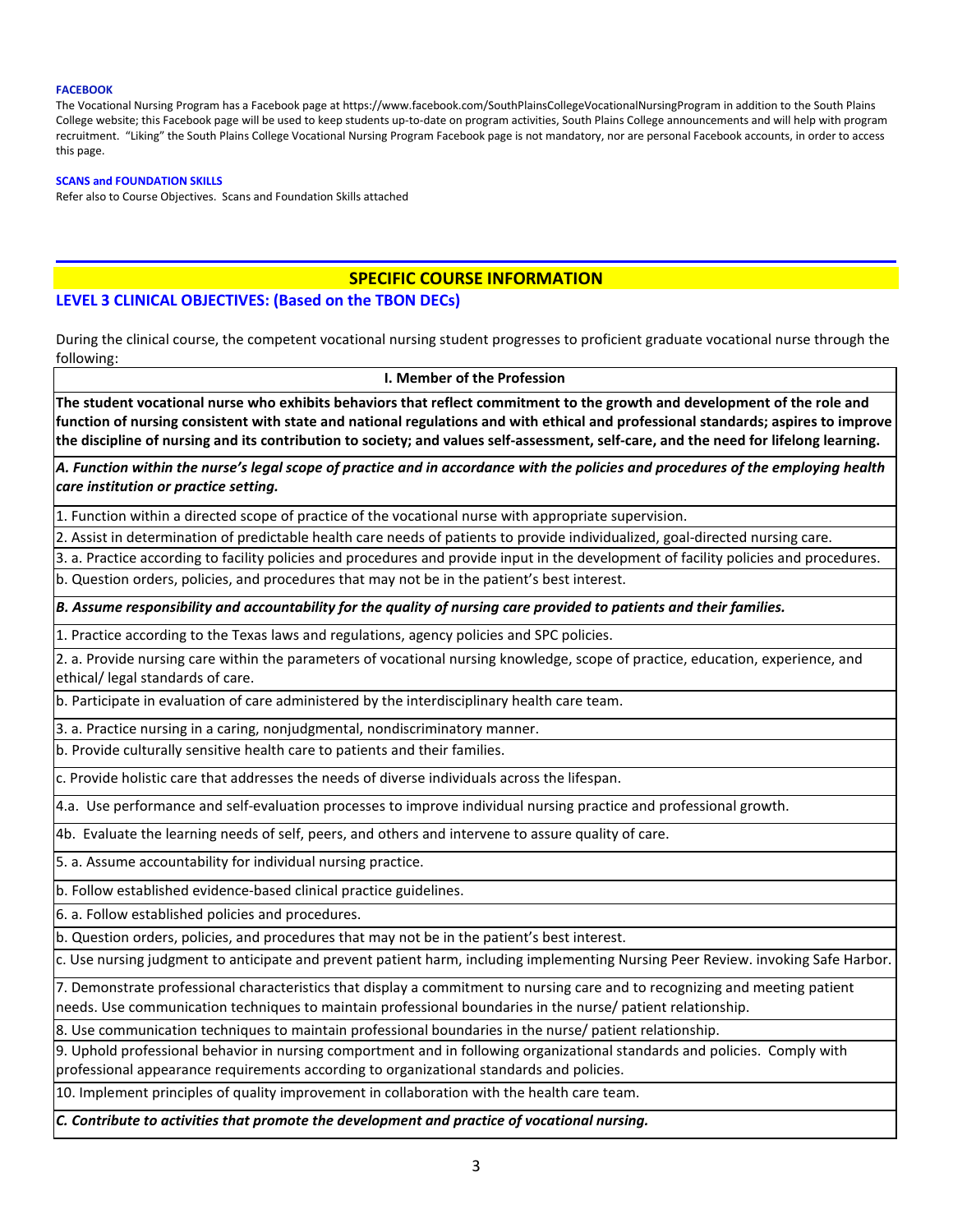#### **FACEBOOK**

The Vocational Nursing Program has a Facebook page at https://www.facebook.com/SouthPlainsCollegeVocationalNursingProgram in addition to the South Plains College website; this Facebook page will be used to keep students up-to-date on program activities, South Plains College announcements and will help with program recruitment. "Liking" the South Plains College Vocational Nursing Program Facebook page is not mandatory, nor are personal Facebook accounts, in order to access this page.

#### **SCANS and FOUNDATION SKILLS**

Refer also to Course Objectives. Scans and Foundation Skills attached

#### **SPECIFIC COURSE INFORMATION**

#### **LEVEL 3 CLINICAL OBJECTIVES: (Based on the TBON DECs)**

During the clinical course, the competent vocational nursing student progresses to proficient graduate vocational nurse through the following:

**I. Member of the Profession**

**The student vocational nurse who exhibits behaviors that reflect commitment to the growth and development of the role and function of nursing consistent with state and national regulations and with ethical and professional standards; aspires to improve the discipline of nursing and its contribution to society; and values self-assessment, self-care, and the need for lifelong learning.**

*A. Function within the nurse's legal scope of practice and in accordance with the policies and procedures of the employing health care institution or practice setting.*

1. Function within a directed scope of practice of the vocational nurse with appropriate supervision.

2. Assist in determination of predictable health care needs of patients to provide individualized, goal-directed nursing care.

3. a. Practice according to facility policies and procedures and provide input in the development of facility policies and procedures. b. Question orders, policies, and procedures that may not be in the patient's best interest.

*B. Assume responsibility and accountability for the quality of nursing care provided to patients and their families.*

1. Practice according to the Texas laws and regulations, agency policies and SPC policies.

2. a. Provide nursing care within the parameters of vocational nursing knowledge, scope of practice, education, experience, and ethical/ legal standards of care.

b. Participate in evaluation of care administered by the interdisciplinary health care team.

3. a. Practice nursing in a caring, nonjudgmental, nondiscriminatory manner.

b. Provide culturally sensitive health care to patients and their families.

c. Provide holistic care that addresses the needs of diverse individuals across the lifespan.

4.a. Use performance and self-evaluation processes to improve individual nursing practice and professional growth.

4b. Evaluate the learning needs of self, peers, and others and intervene to assure quality of care.

5. a. Assume accountability for individual nursing practice.

b. Follow established evidence-based clinical practice guidelines.

6. a. Follow established policies and procedures.

b. Question orders, policies, and procedures that may not be in the patient's best interest.

c. Use nursing judgment to anticipate and prevent patient harm, including implementing Nursing Peer Review. invoking Safe Harbor.

7. Demonstrate professional characteristics that display a commitment to nursing care and to recognizing and meeting patient needs. Use communication techniques to maintain professional boundaries in the nurse/ patient relationship.

8. Use communication techniques to maintain professional boundaries in the nurse/ patient relationship.

9. Uphold professional behavior in nursing comportment and in following organizational standards and policies. Comply with professional appearance requirements according to organizational standards and policies.

10. Implement principles of quality improvement in collaboration with the health care team.

*C. Contribute to activities that promote the development and practice of vocational nursing.*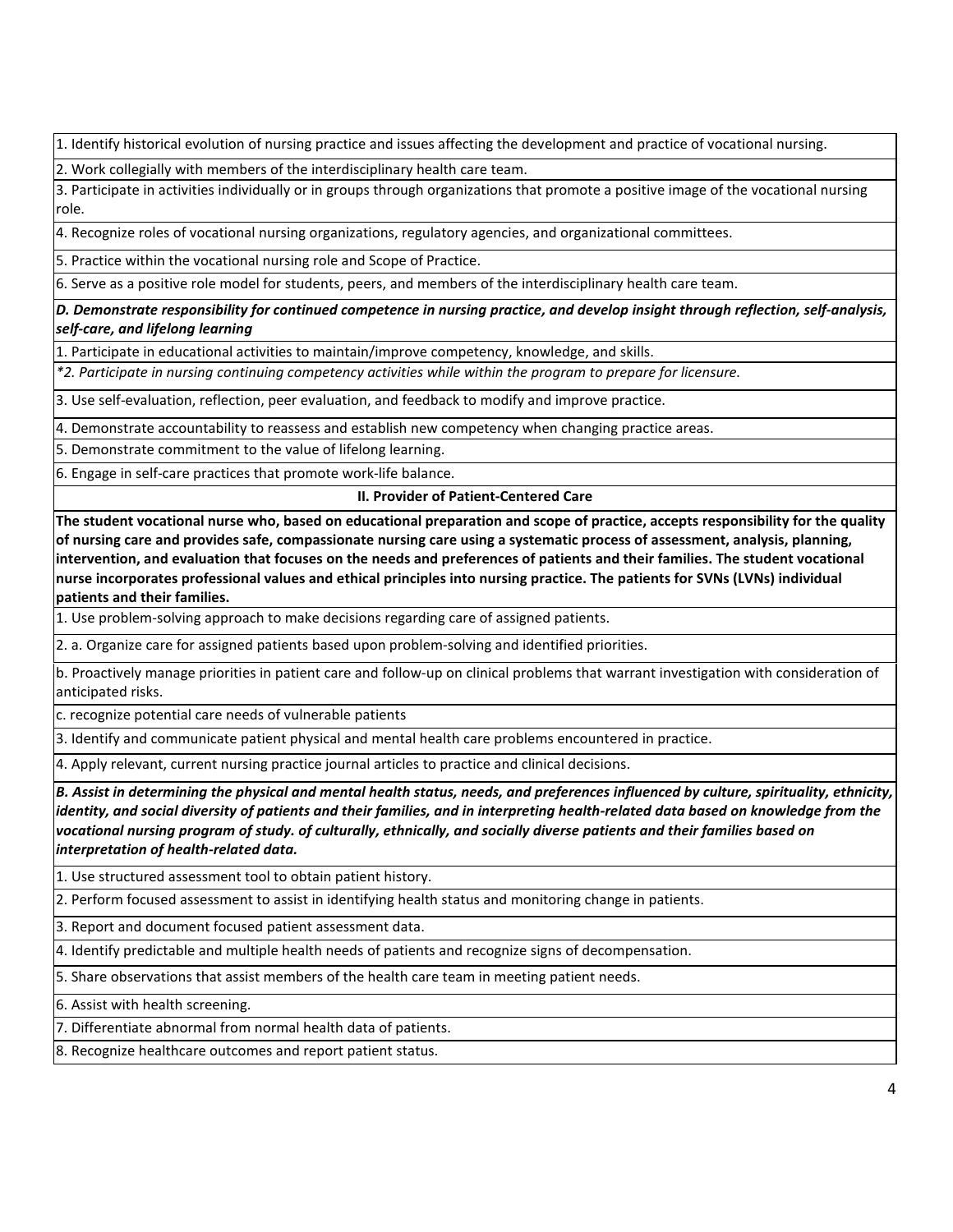1. Identify historical evolution of nursing practice and issues affecting the development and practice of vocational nursing.

2. Work collegially with members of the interdisciplinary health care team.

3. Participate in activities individually or in groups through organizations that promote a positive image of the vocational nursing role.

4. Recognize roles of vocational nursing organizations, regulatory agencies, and organizational committees.

5. Practice within the vocational nursing role and Scope of Practice.

6. Serve as a positive role model for students, peers, and members of the interdisciplinary health care team.

*D. Demonstrate responsibility for continued competence in nursing practice, and develop insight through reflection, self-analysis, self-care, and lifelong learning*

1. Participate in educational activities to maintain/improve competency, knowledge, and skills.

*\*2. Participate in nursing continuing competency activities while within the program to prepare for licensure.*

3. Use self-evaluation, reflection, peer evaluation, and feedback to modify and improve practice.

4. Demonstrate accountability to reassess and establish new competency when changing practice areas.

5. Demonstrate commitment to the value of lifelong learning.

6. Engage in self-care practices that promote work-life balance.

#### **II. Provider of Patient-Centered Care**

**The student vocational nurse who, based on educational preparation and scope of practice, accepts responsibility for the quality of nursing care and provides safe, compassionate nursing care using a systematic process of assessment, analysis, planning, intervention, and evaluation that focuses on the needs and preferences of patients and their families. The student vocational nurse incorporates professional values and ethical principles into nursing practice. The patients for SVNs (LVNs) individual patients and their families.**

1. Use problem-solving approach to make decisions regarding care of assigned patients.

2. a. Organize care for assigned patients based upon problem-solving and identified priorities.

b. Proactively manage priorities in patient care and follow-up on clinical problems that warrant investigation with consideration of anticipated risks.

c. recognize potential care needs of vulnerable patients

3. Identify and communicate patient physical and mental health care problems encountered in practice.

4. Apply relevant, current nursing practice journal articles to practice and clinical decisions.

*B. Assist in determining the physical and mental health status, needs, and preferences influenced by culture, spirituality, ethnicity, identity, and social diversity of patients and their families, and in interpreting health-related data based on knowledge from the vocational nursing program of study. of culturally, ethnically, and socially diverse patients and their families based on interpretation of health-related data.*

1. Use structured assessment tool to obtain patient history.

2. Perform focused assessment to assist in identifying health status and monitoring change in patients.

3. Report and document focused patient assessment data.

4. Identify predictable and multiple health needs of patients and recognize signs of decompensation.

5. Share observations that assist members of the health care team in meeting patient needs.

6. Assist with health screening.

7. Differentiate abnormal from normal health data of patients.

8. Recognize healthcare outcomes and report patient status.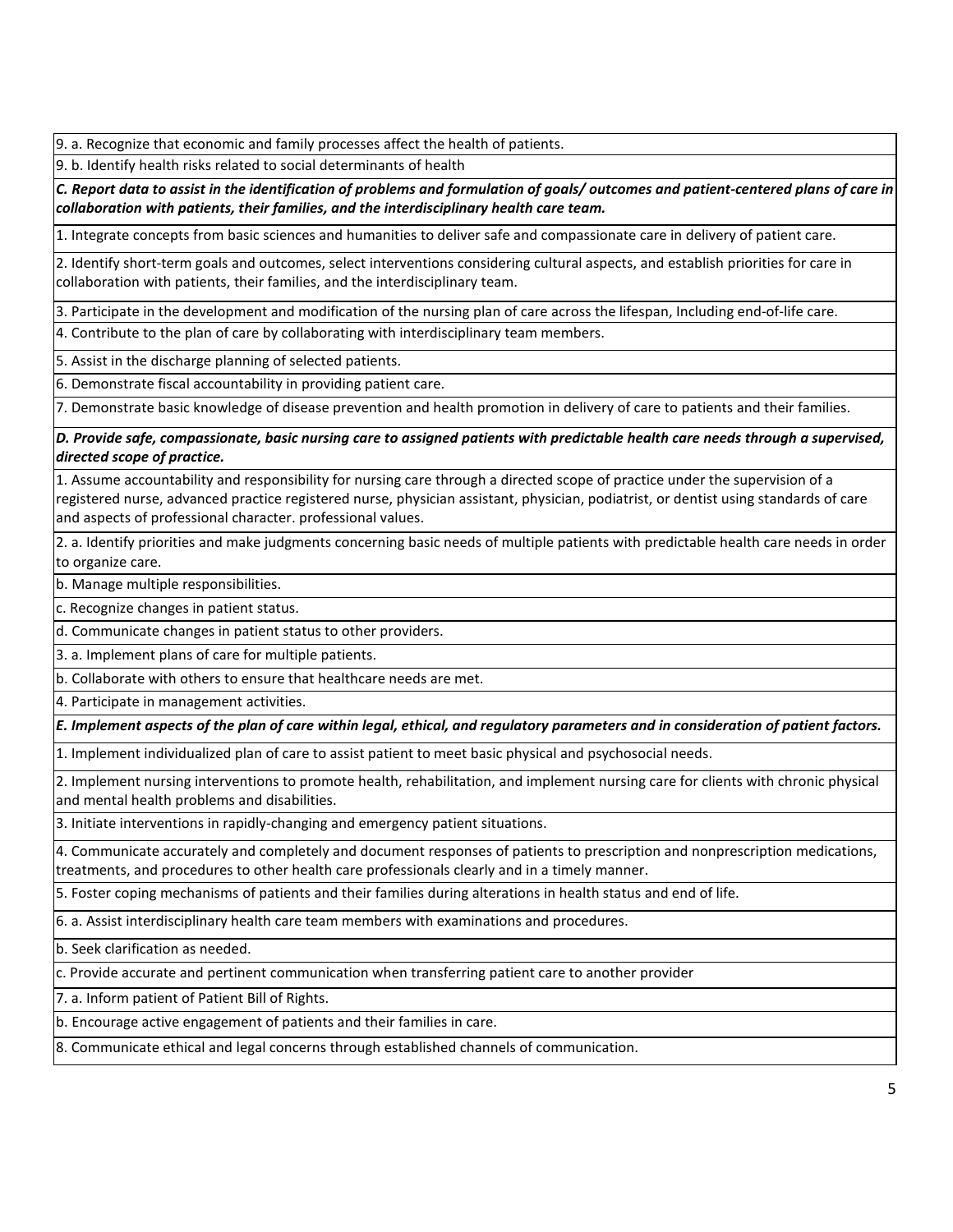9. a. Recognize that economic and family processes affect the health of patients.

9. b. Identify health risks related to social determinants of health

*C. Report data to assist in the identification of problems and formulation of goals/ outcomes and patient-centered plans of care in collaboration with patients, their families, and the interdisciplinary health care team.*

1. Integrate concepts from basic sciences and humanities to deliver safe and compassionate care in delivery of patient care.

2. Identify short-term goals and outcomes, select interventions considering cultural aspects, and establish priorities for care in collaboration with patients, their families, and the interdisciplinary team.

3. Participate in the development and modification of the nursing plan of care across the lifespan, Including end-of-life care.

4. Contribute to the plan of care by collaborating with interdisciplinary team members.

5. Assist in the discharge planning of selected patients.

6. Demonstrate fiscal accountability in providing patient care.

7. Demonstrate basic knowledge of disease prevention and health promotion in delivery of care to patients and their families.

*D. Provide safe, compassionate, basic nursing care to assigned patients with predictable health care needs through a supervised, directed scope of practice.*

1. Assume accountability and responsibility for nursing care through a directed scope of practice under the supervision of a registered nurse, advanced practice registered nurse, physician assistant, physician, podiatrist, or dentist using standards of care and aspects of professional character. professional values.

2. a. Identify priorities and make judgments concerning basic needs of multiple patients with predictable health care needs in order to organize care.

b. Manage multiple responsibilities.

c. Recognize changes in patient status.

d. Communicate changes in patient status to other providers.

3. a. Implement plans of care for multiple patients.

b. Collaborate with others to ensure that healthcare needs are met.

4. Participate in management activities.

*E. Implement aspects of the plan of care within legal, ethical, and regulatory parameters and in consideration of patient factors.*

1. Implement individualized plan of care to assist patient to meet basic physical and psychosocial needs.

2. Implement nursing interventions to promote health, rehabilitation, and implement nursing care for clients with chronic physical and mental health problems and disabilities.

3. Initiate interventions in rapidly-changing and emergency patient situations.

4. Communicate accurately and completely and document responses of patients to prescription and nonprescription medications, treatments, and procedures to other health care professionals clearly and in a timely manner.

5. Foster coping mechanisms of patients and their families during alterations in health status and end of life.

6. a. Assist interdisciplinary health care team members with examinations and procedures.

b. Seek clarification as needed.

c. Provide accurate and pertinent communication when transferring patient care to another provider

7. a. Inform patient of Patient Bill of Rights.

b. Encourage active engagement of patients and their families in care.

8. Communicate ethical and legal concerns through established channels of communication.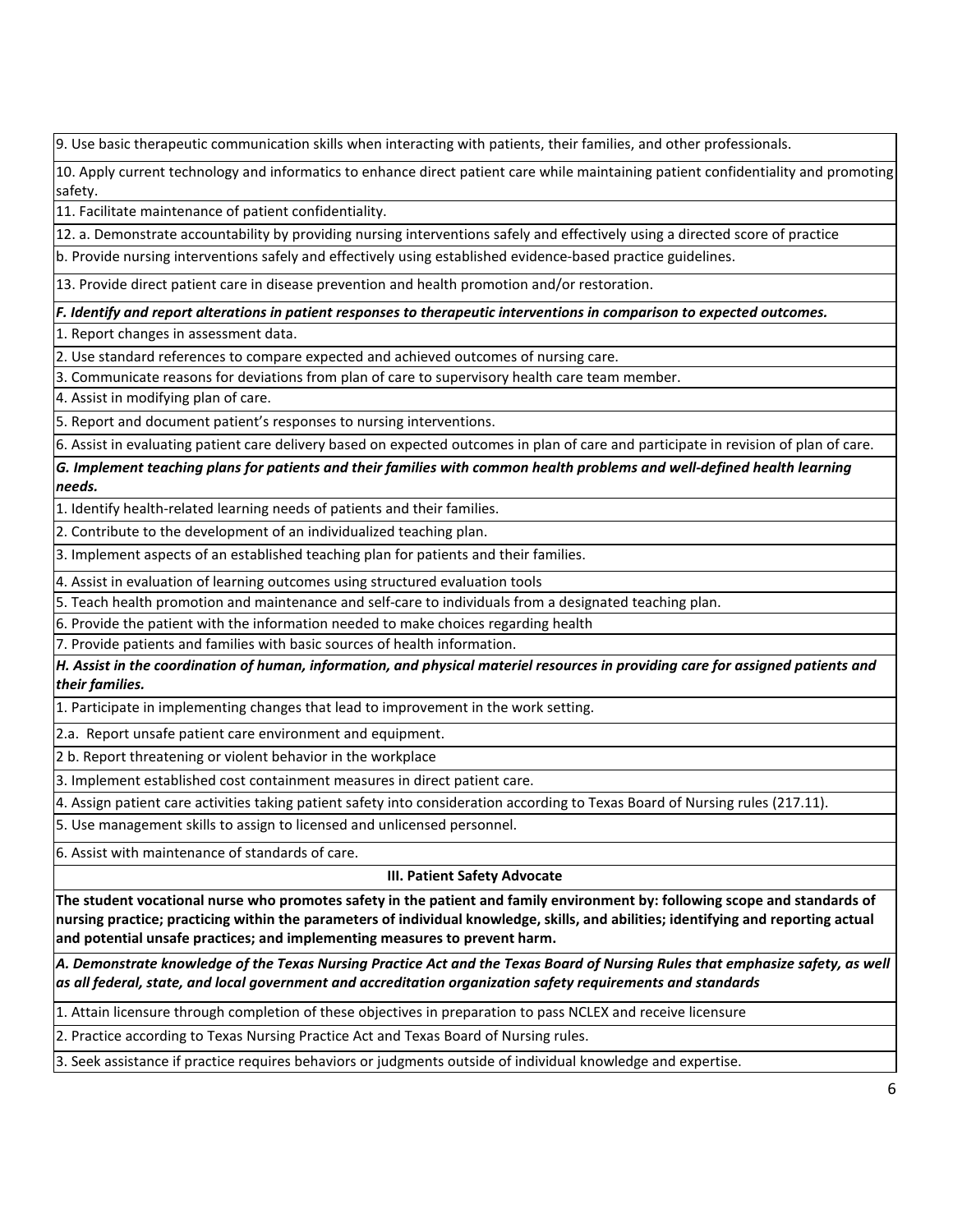9. Use basic therapeutic communication skills when interacting with patients, their families, and other professionals.

10. Apply current technology and informatics to enhance direct patient care while maintaining patient confidentiality and promoting safety.

11. Facilitate maintenance of patient confidentiality.

12. a. Demonstrate accountability by providing nursing interventions safely and effectively using a directed score of practice

b. Provide nursing interventions safely and effectively using established evidence-based practice guidelines.

13. Provide direct patient care in disease prevention and health promotion and/or restoration.

*F. Identify and report alterations in patient responses to therapeutic interventions in comparison to expected outcomes.*

1. Report changes in assessment data.

2. Use standard references to compare expected and achieved outcomes of nursing care.

3. Communicate reasons for deviations from plan of care to supervisory health care team member.

4. Assist in modifying plan of care.

5. Report and document patient's responses to nursing interventions.

6. Assist in evaluating patient care delivery based on expected outcomes in plan of care and participate in revision of plan of care.

*G. Implement teaching plans for patients and their families with common health problems and well-defined health learning needs.*

1. Identify health-related learning needs of patients and their families.

2. Contribute to the development of an individualized teaching plan.

3. Implement aspects of an established teaching plan for patients and their families.

4. Assist in evaluation of learning outcomes using structured evaluation tools

5. Teach health promotion and maintenance and self-care to individuals from a designated teaching plan.

6. Provide the patient with the information needed to make choices regarding health

7. Provide patients and families with basic sources of health information.

*H. Assist in the coordination of human, information, and physical materiel resources in providing care for assigned patients and their families.*

1. Participate in implementing changes that lead to improvement in the work setting.

2.a. Report unsafe patient care environment and equipment.

2 b. Report threatening or violent behavior in the workplace

3. Implement established cost containment measures in direct patient care.

4. Assign patient care activities taking patient safety into consideration according to Texas Board of Nursing rules (217.11).

5. Use management skills to assign to licensed and unlicensed personnel.

6. Assist with maintenance of standards of care.

**III. Patient Safety Advocate**

**The student vocational nurse who promotes safety in the patient and family environment by: following scope and standards of nursing practice; practicing within the parameters of individual knowledge, skills, and abilities; identifying and reporting actual and potential unsafe practices; and implementing measures to prevent harm.** 

*A. Demonstrate knowledge of the Texas Nursing Practice Act and the Texas Board of Nursing Rules that emphasize safety, as well as all federal, state, and local government and accreditation organization safety requirements and standards*

1. Attain licensure through completion of these objectives in preparation to pass NCLEX and receive licensure

2. Practice according to Texas Nursing Practice Act and Texas Board of Nursing rules.

3. Seek assistance if practice requires behaviors or judgments outside of individual knowledge and expertise.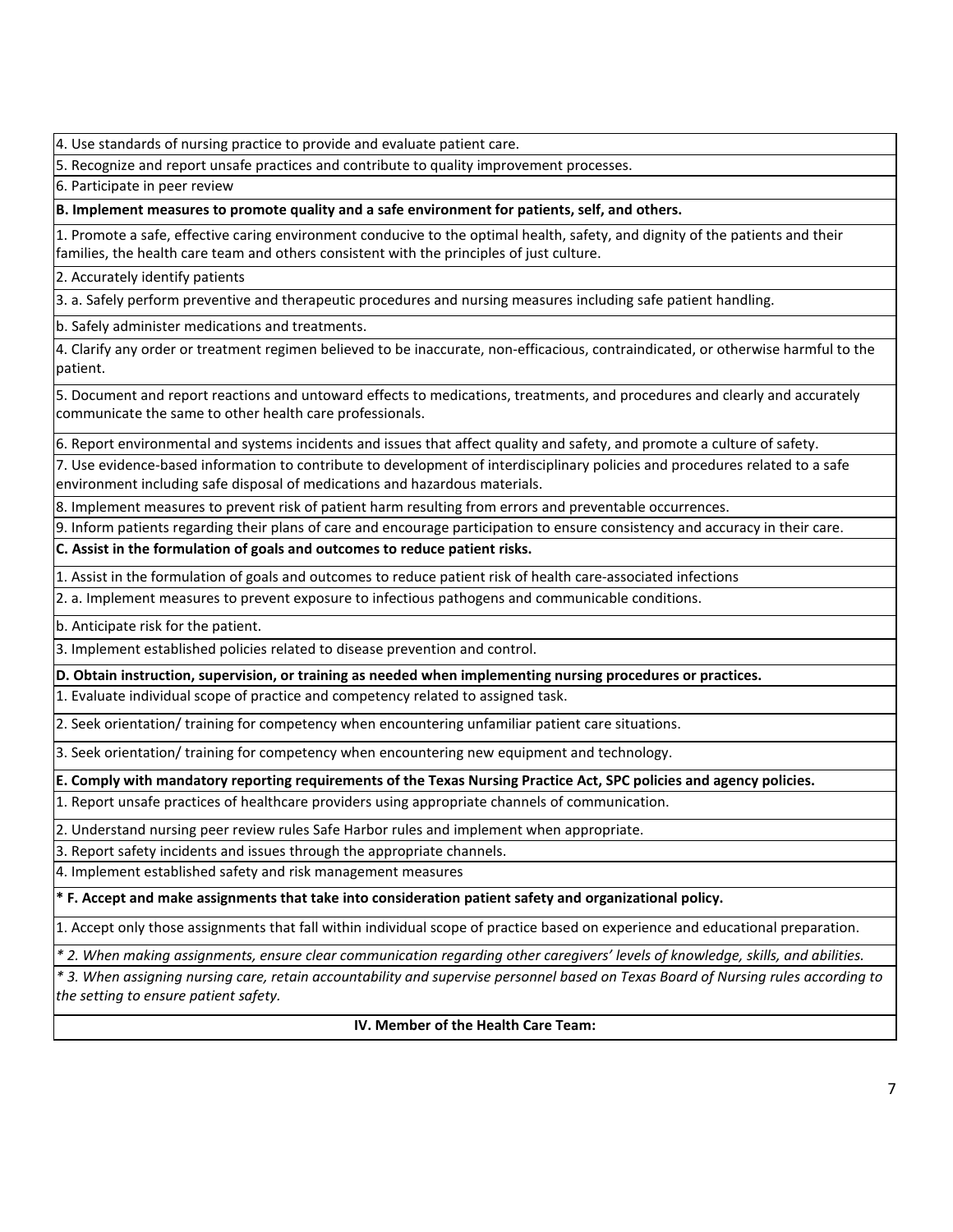4. Use standards of nursing practice to provide and evaluate patient care.

5. Recognize and report unsafe practices and contribute to quality improvement processes.

6. Participate in peer review

**B. Implement measures to promote quality and a safe environment for patients, self, and others.**

1. Promote a safe, effective caring environment conducive to the optimal health, safety, and dignity of the patients and their families, the health care team and others consistent with the principles of just culture.

2. Accurately identify patients

3. a. Safely perform preventive and therapeutic procedures and nursing measures including safe patient handling.

b. Safely administer medications and treatments.

4. Clarify any order or treatment regimen believed to be inaccurate, non-efficacious, contraindicated, or otherwise harmful to the patient.

5. Document and report reactions and untoward effects to medications, treatments, and procedures and clearly and accurately communicate the same to other health care professionals.

6. Report environmental and systems incidents and issues that affect quality and safety, and promote a culture of safety.

7. Use evidence-based information to contribute to development of interdisciplinary policies and procedures related to a safe environment including safe disposal of medications and hazardous materials.

8. Implement measures to prevent risk of patient harm resulting from errors and preventable occurrences.

9. Inform patients regarding their plans of care and encourage participation to ensure consistency and accuracy in their care.

**C. Assist in the formulation of goals and outcomes to reduce patient risks.**

1. Assist in the formulation of goals and outcomes to reduce patient risk of health care-associated infections

2. a. Implement measures to prevent exposure to infectious pathogens and communicable conditions.

b. Anticipate risk for the patient.

3. Implement established policies related to disease prevention and control.

**D. Obtain instruction, supervision, or training as needed when implementing nursing procedures or practices.**

1. Evaluate individual scope of practice and competency related to assigned task.

2. Seek orientation/ training for competency when encountering unfamiliar patient care situations.

3. Seek orientation/ training for competency when encountering new equipment and technology.

**E. Comply with mandatory reporting requirements of the Texas Nursing Practice Act, SPC policies and agency policies.**

1. Report unsafe practices of healthcare providers using appropriate channels of communication.

2. Understand nursing peer review rules Safe Harbor rules and implement when appropriate.

3. Report safety incidents and issues through the appropriate channels.

4. Implement established safety and risk management measures

**\* F. Accept and make assignments that take into consideration patient safety and organizational policy.**

1. Accept only those assignments that fall within individual scope of practice based on experience and educational preparation.

*\* 2. When making assignments, ensure clear communication regarding other caregivers' levels of knowledge, skills, and abilities.*

*\* 3. When assigning nursing care, retain accountability and supervise personnel based on Texas Board of Nursing rules according to the setting to ensure patient safety.*

**IV. Member of the Health Care Team:**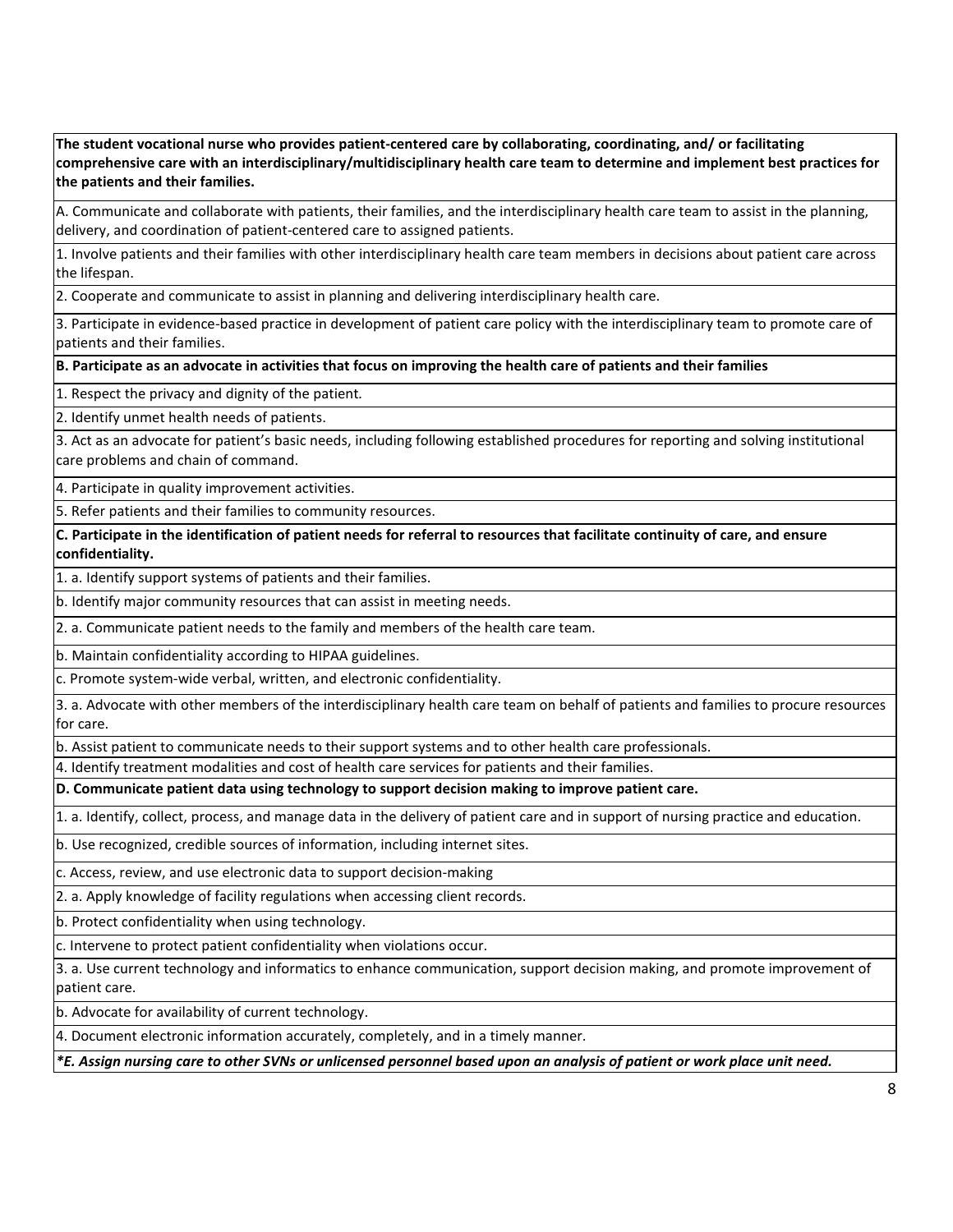**The student vocational nurse who provides patient-centered care by collaborating, coordinating, and/ or facilitating comprehensive care with an interdisciplinary/multidisciplinary health care team to determine and implement best practices for the patients and their families.** 

A. Communicate and collaborate with patients, their families, and the interdisciplinary health care team to assist in the planning, delivery, and coordination of patient-centered care to assigned patients.

1. Involve patients and their families with other interdisciplinary health care team members in decisions about patient care across the lifespan.

2. Cooperate and communicate to assist in planning and delivering interdisciplinary health care.

3. Participate in evidence-based practice in development of patient care policy with the interdisciplinary team to promote care of patients and their families.

**B. Participate as an advocate in activities that focus on improving the health care of patients and their families**

1. Respect the privacy and dignity of the patient*.*

2. Identify unmet health needs of patients.

3. Act as an advocate for patient's basic needs, including following established procedures for reporting and solving institutional care problems and chain of command.

4. Participate in quality improvement activities.

5. Refer patients and their families to community resources.

**C. Participate in the identification of patient needs for referral to resources that facilitate continuity of care, and ensure confidentiality.**

1. a. Identify support systems of patients and their families.

b. Identify major community resources that can assist in meeting needs.

2. a. Communicate patient needs to the family and members of the health care team.

b. Maintain confidentiality according to HIPAA guidelines.

c. Promote system-wide verbal, written, and electronic confidentiality.

3. a. Advocate with other members of the interdisciplinary health care team on behalf of patients and families to procure resources for care.

b. Assist patient to communicate needs to their support systems and to other health care professionals.

4. Identify treatment modalities and cost of health care services for patients and their families.

**D. Communicate patient data using technology to support decision making to improve patient care.**

1. a. Identify, collect, process, and manage data in the delivery of patient care and in support of nursing practice and education.

b. Use recognized, credible sources of information, including internet sites.

c. Access, review, and use electronic data to support decision-making

2. a. Apply knowledge of facility regulations when accessing client records.

b. Protect confidentiality when using technology.

c. Intervene to protect patient confidentiality when violations occur.

3. a. Use current technology and informatics to enhance communication, support decision making, and promote improvement of patient care.

b. Advocate for availability of current technology.

4. Document electronic information accurately, completely, and in a timely manner.

*\*E. Assign nursing care to other SVNs or unlicensed personnel based upon an analysis of patient or work place unit need.*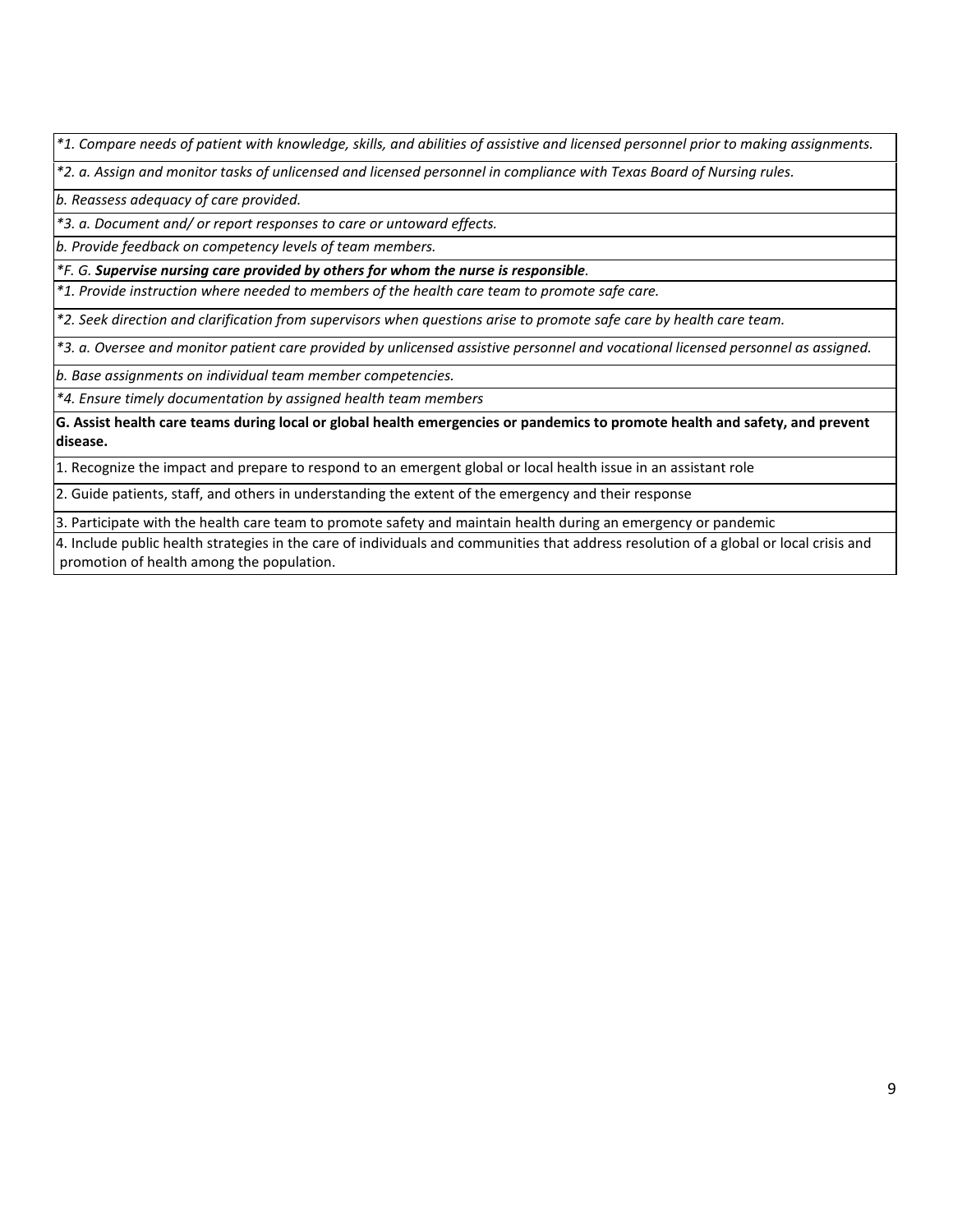*\*1. Compare needs of patient with knowledge, skills, and abilities of assistive and licensed personnel prior to making assignments.*

*\*2. a. Assign and monitor tasks of unlicensed and licensed personnel in compliance with Texas Board of Nursing rules.*

*b. Reassess adequacy of care provided.*

*\*3. a. Document and/ or report responses to care or untoward effects.*

*b. Provide feedback on competency levels of team members.*

*\*F. G. Supervise nursing care provided by others for whom the nurse is responsible.*

*\*1. Provide instruction where needed to members of the health care team to promote safe care.*

*\*2. Seek direction and clarification from supervisors when questions arise to promote safe care by health care team.*

*\*3. a. Oversee and monitor patient care provided by unlicensed assistive personnel and vocational licensed personnel as assigned.*

*b. Base assignments on individual team member competencies.*

*\*4. Ensure timely documentation by assigned health team members*

**G. Assist health care teams during local or global health emergencies or pandemics to promote health and safety, and prevent disease.**

1. Recognize the impact and prepare to respond to an emergent global or local health issue in an assistant role

2. Guide patients, staff, and others in understanding the extent of the emergency and their response

3. Participate with the health care team to promote safety and maintain health during an emergency or pandemic

4. Include public health strategies in the care of individuals and communities that address resolution of a global or local crisis and promotion of health among the population.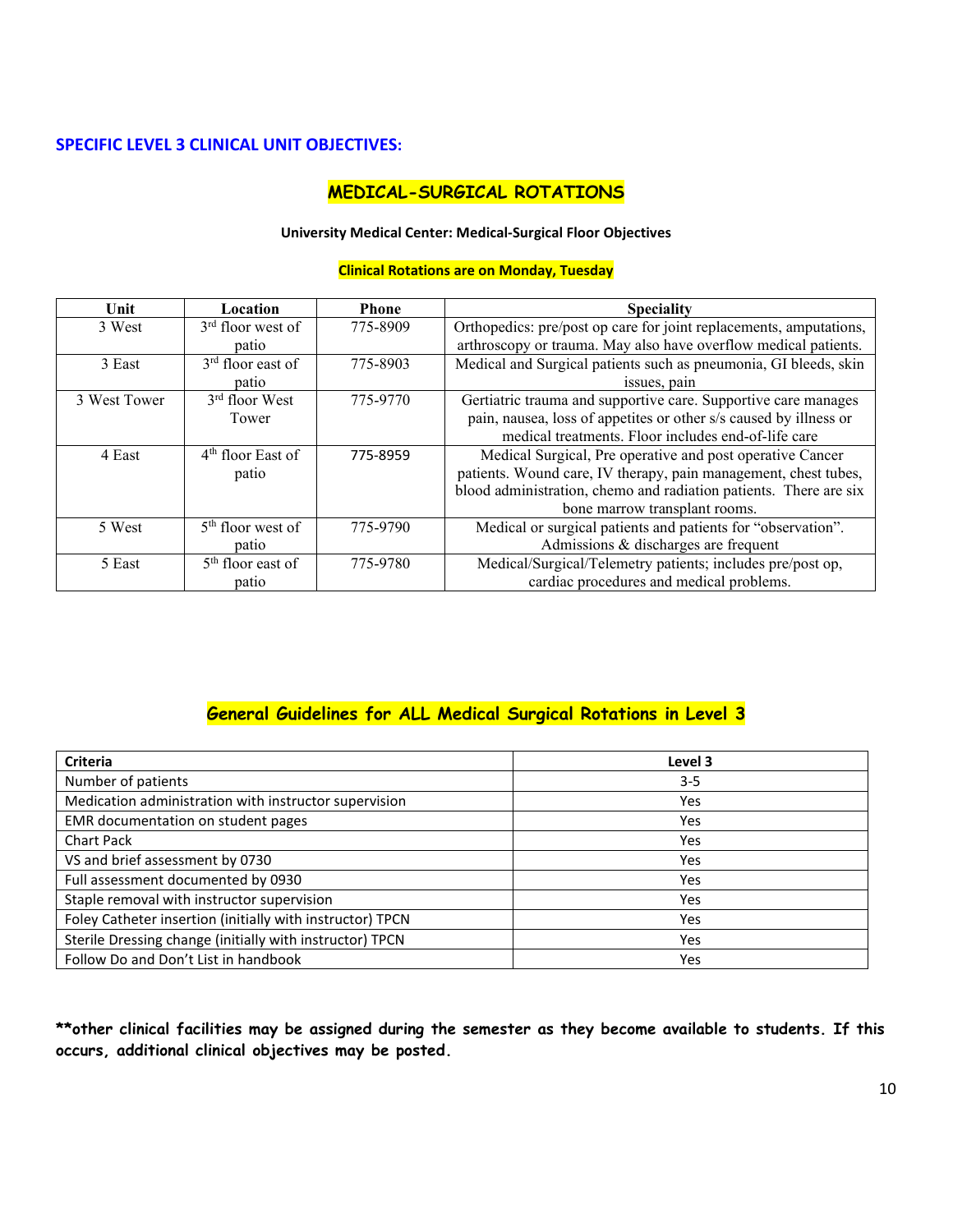### **SPECIFIC LEVEL 3 CLINICAL UNIT OBJECTIVES:**

# **MEDICAL-SURGICAL ROTATIONS**

#### **University Medical Center: Medical-Surgical Floor Objectives**

#### **Clinical Rotations are on Monday, Tuesday**

| Unit         | Location            | <b>Phone</b> | <b>Speciality</b>                                                  |
|--------------|---------------------|--------------|--------------------------------------------------------------------|
| 3 West       | $3rd$ floor west of | 775-8909     | Orthopedics: pre/post op care for joint replacements, amputations, |
|              | patio               |              | arthroscopy or trauma. May also have overflow medical patients.    |
| 3 East       | $3rd$ floor east of | 775-8903     | Medical and Surgical patients such as pneumonia, GI bleeds, skin   |
|              | patio               |              | issues, pain                                                       |
| 3 West Tower | $3rd$ floor West    | 775-9770     | Gertiatric trauma and supportive care. Supportive care manages     |
|              | Tower               |              | pain, nausea, loss of appetites or other s/s caused by illness or  |
|              |                     |              | medical treatments. Floor includes end-of-life care                |
| 4 East       | $4th$ floor East of | 775-8959     | Medical Surgical, Pre operative and post operative Cancer          |
|              | patio               |              | patients. Wound care, IV therapy, pain management, chest tubes,    |
|              |                     |              | blood administration, chemo and radiation patients. There are six  |
|              |                     |              | bone marrow transplant rooms.                                      |
| 5 West       | $5th$ floor west of | 775-9790     | Medical or surgical patients and patients for "observation".       |
|              | patio               |              | Admissions & discharges are frequent                               |
| 5 East       | $5th$ floor east of | 775-9780     | Medical/Surgical/Telemetry patients; includes pre/post op,         |
|              | patio               |              | cardiac procedures and medical problems.                           |

# **General Guidelines for ALL Medical Surgical Rotations in Level 3**

| <b>Criteria</b>                                           | Level 3 |
|-----------------------------------------------------------|---------|
| Number of patients                                        | $3 - 5$ |
| Medication administration with instructor supervision     | Yes     |
| EMR documentation on student pages                        | Yes     |
| <b>Chart Pack</b>                                         | Yes     |
| VS and brief assessment by 0730                           | Yes     |
| Full assessment documented by 0930                        | Yes     |
| Staple removal with instructor supervision                | Yes     |
| Foley Catheter insertion (initially with instructor) TPCN | Yes     |
| Sterile Dressing change (initially with instructor) TPCN  | Yes     |
| Follow Do and Don't List in handbook                      | Yes     |

**\*\*other clinical facilities may be assigned during the semester as they become available to students. If this occurs, additional clinical objectives may be posted.**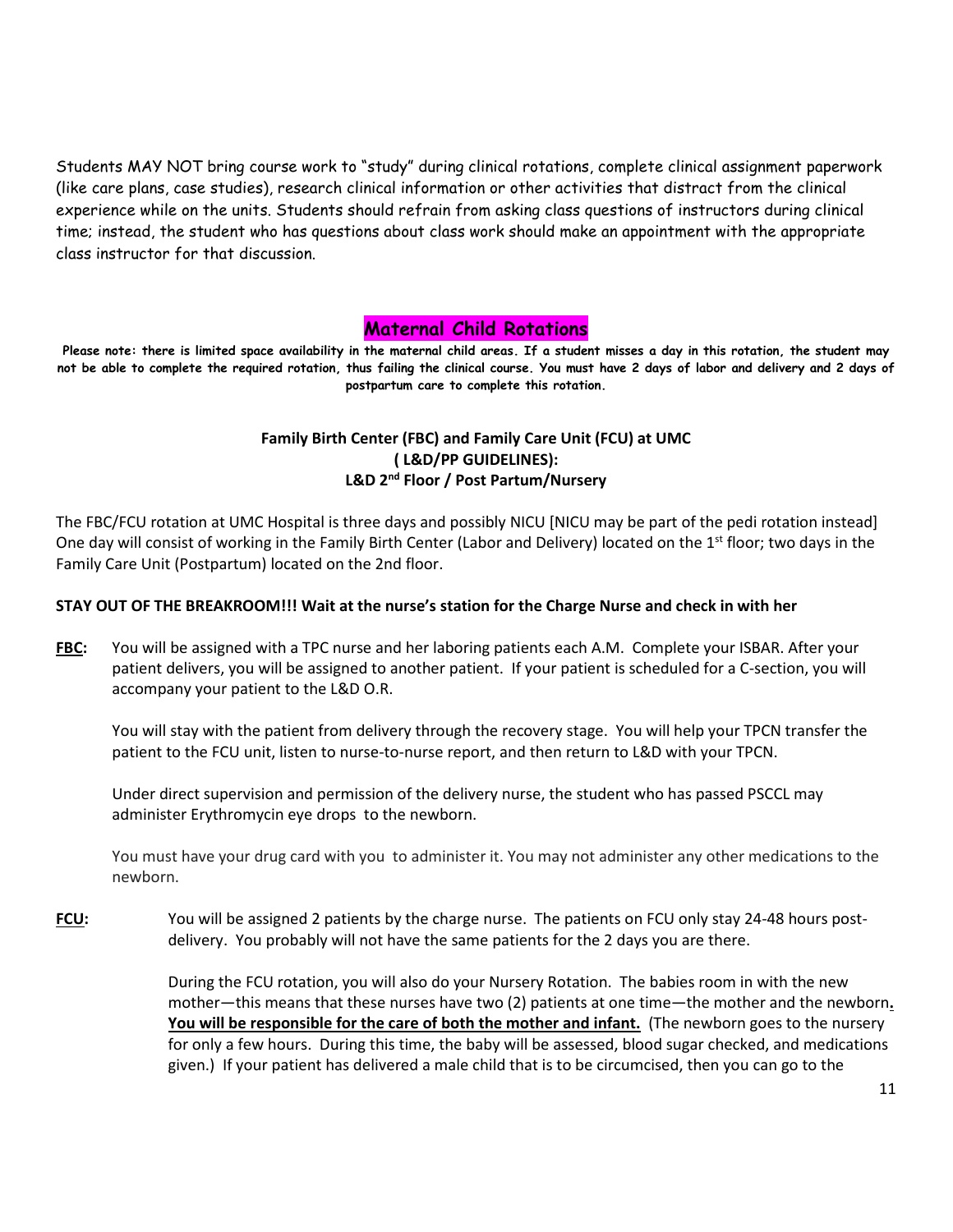Students MAY NOT bring course work to "study" during clinical rotations, complete clinical assignment paperwork (like care plans, case studies), research clinical information or other activities that distract from the clinical experience while on the units. Students should refrain from asking class questions of instructors during clinical time; instead, the student who has questions about class work should make an appointment with the appropriate class instructor for that discussion.

### **Maternal Child Rotations**

**Please note: there is limited space availability in the maternal child areas. If a student misses a day in this rotation, the student may not be able to complete the required rotation, thus failing the clinical course. You must have 2 days of labor and delivery and 2 days of postpartum care to complete this rotation.**

# **Family Birth Center (FBC) and Family Care Unit (FCU) at UMC ( L&D/PP GUIDELINES): L&D 2nd Floor / Post Partum/Nursery**

The FBC/FCU rotation at UMC Hospital is three days and possibly NICU [NICU may be part of the pedi rotation instead] One day will consist of working in the Family Birth Center (Labor and Delivery) located on the 1<sup>st</sup> floor; two days in the Family Care Unit (Postpartum) located on the 2nd floor.

#### **STAY OUT OF THE BREAKROOM!!! Wait at the nurse's station for the Charge Nurse and check in with her**

**FBC:** You will be assigned with a TPC nurse and her laboring patients each A.M. Complete your ISBAR. After your patient delivers, you will be assigned to another patient. If your patient is scheduled for a C-section, you will accompany your patient to the L&D O.R.

You will stay with the patient from delivery through the recovery stage. You will help your TPCN transfer the patient to the FCU unit, listen to nurse-to-nurse report, and then return to L&D with your TPCN.

Under direct supervision and permission of the delivery nurse, the student who has passed PSCCL may administer Erythromycin eye drops to the newborn.

You must have your drug card with you to administer it. You may not administer any other medications to the newborn.

**FCU:** You will be assigned 2 patients by the charge nurse. The patients on FCU only stay 24-48 hours postdelivery. You probably will not have the same patients for the 2 days you are there.

> During the FCU rotation, you will also do your Nursery Rotation. The babies room in with the new mother—this means that these nurses have two (2) patients at one time—the mother and the newborn**. You will be responsible for the care of both the mother and infant.** (The newborn goes to the nursery for only a few hours. During this time, the baby will be assessed, blood sugar checked, and medications given.) If your patient has delivered a male child that is to be circumcised, then you can go to the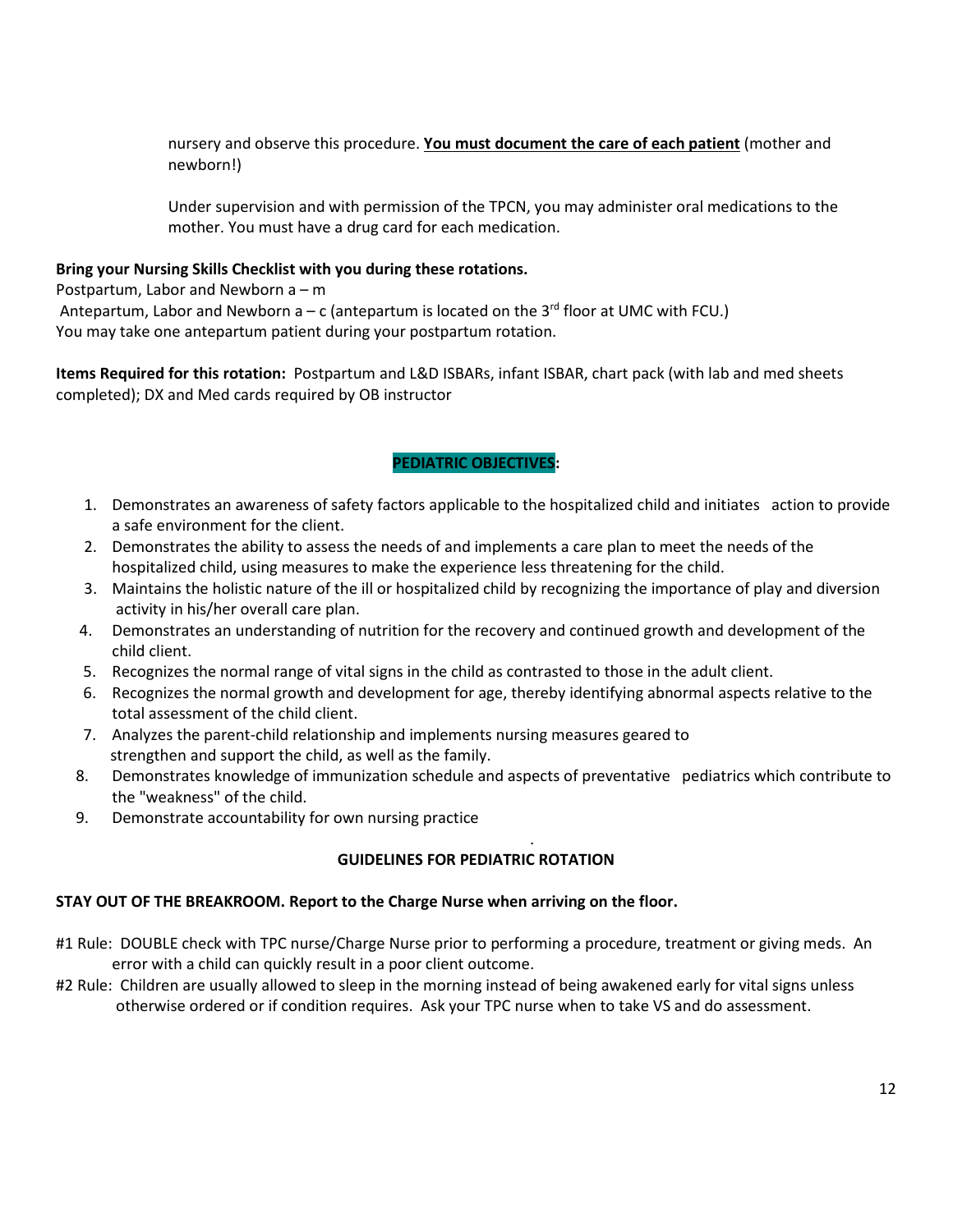nursery and observe this procedure. **You must document the care of each patient** (mother and newborn!)

Under supervision and with permission of the TPCN, you may administer oral medications to the mother. You must have a drug card for each medication.

### **Bring your Nursing Skills Checklist with you during these rotations.**

Postpartum, Labor and Newborn a – m Antepartum, Labor and Newborn  $a - c$  (antepartum is located on the 3<sup>rd</sup> floor at UMC with FCU.) You may take one antepartum patient during your postpartum rotation.

**Items Required for this rotation:** Postpartum and L&D ISBARs, infant ISBAR, chart pack (with lab and med sheets completed); DX and Med cards required by OB instructor

# **PEDIATRIC OBJECTIVES:**

- 1. Demonstrates an awareness of safety factors applicable to the hospitalized child and initiates action to provide a safe environment for the client.
- 2. Demonstrates the ability to assess the needs of and implements a care plan to meet the needs of the hospitalized child, using measures to make the experience less threatening for the child.
- 3. Maintains the holistic nature of the ill or hospitalized child by recognizing the importance of play and diversion activity in his/her overall care plan.
- 4. Demonstrates an understanding of nutrition for the recovery and continued growth and development of the child client.
- 5. Recognizes the normal range of vital signs in the child as contrasted to those in the adult client.
- 6. Recognizes the normal growth and development for age, thereby identifying abnormal aspects relative to the total assessment of the child client.
- 7. Analyzes the parent-child relationship and implements nursing measures geared to strengthen and support the child, as well as the family.
- 8. Demonstrates knowledge of immunization schedule and aspects of preventative pediatrics which contribute to the "weakness" of the child.

.

9. Demonstrate accountability for own nursing practice

# **GUIDELINES FOR PEDIATRIC ROTATION**

### **STAY OUT OF THE BREAKROOM. Report to the Charge Nurse when arriving on the floor.**

- #1 Rule: DOUBLE check with TPC nurse/Charge Nurse prior to performing a procedure, treatment or giving meds. An error with a child can quickly result in a poor client outcome.
- #2 Rule: Children are usually allowed to sleep in the morning instead of being awakened early for vital signs unless otherwise ordered or if condition requires. Ask your TPC nurse when to take VS and do assessment.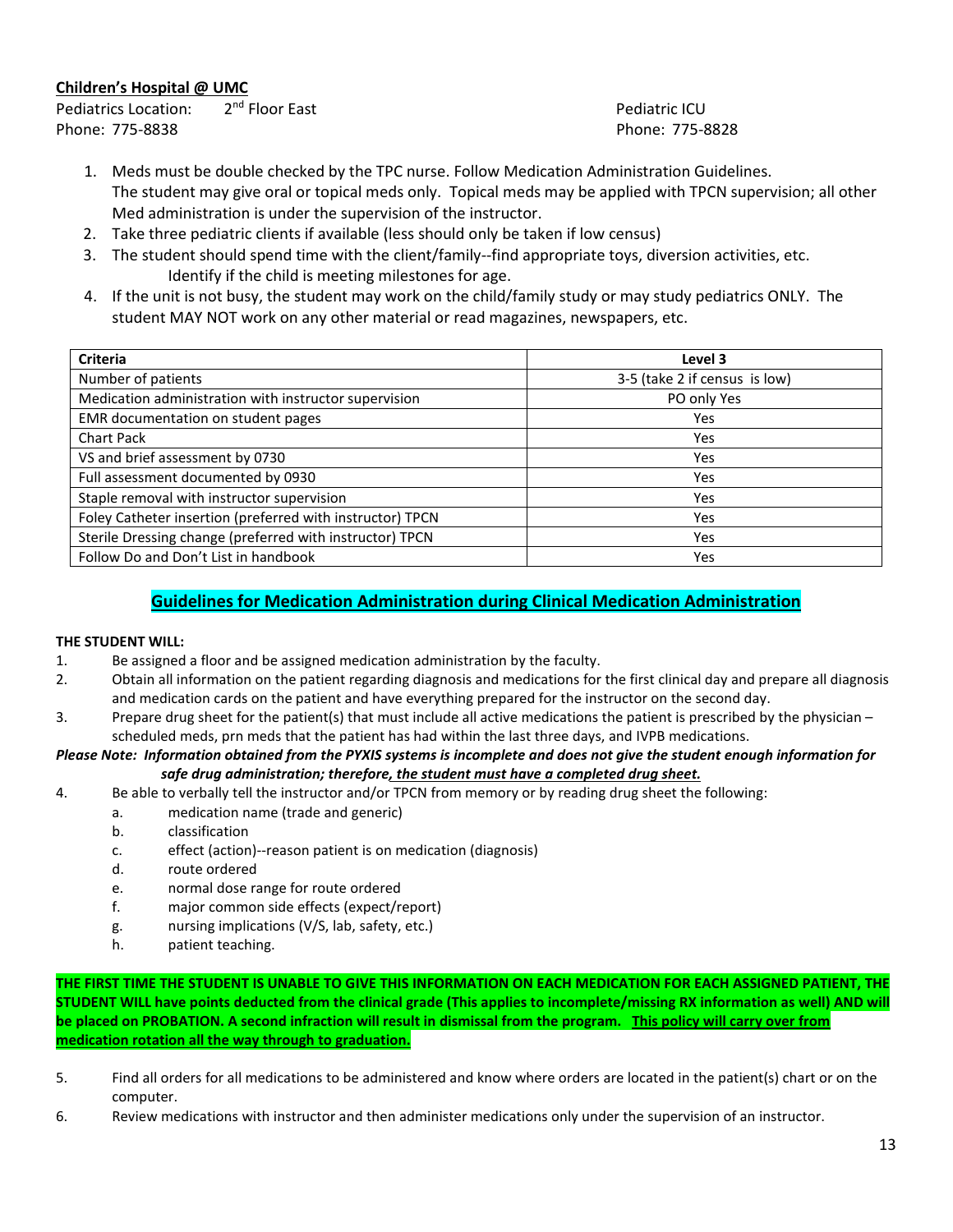### **Children's Hospital @ UMC**

Pediatrics Location:  $2^{nd}$  Floor East Pediatric ICU Phone: 775-8838 Phone: 775-8828

- 1. Meds must be double checked by the TPC nurse. Follow Medication Administration Guidelines. The student may give oral or topical meds only. Topical meds may be applied with TPCN supervision; all other Med administration is under the supervision of the instructor.
- 2. Take three pediatric clients if available (less should only be taken if low census)
- 3. The student should spend time with the client/family--find appropriate toys, diversion activities, etc. Identify if the child is meeting milestones for age.
- 4. If the unit is not busy, the student may work on the child/family study or may study pediatrics ONLY. The student MAY NOT work on any other material or read magazines, newspapers, etc.

| <b>Criteria</b>                                           | Level 3                       |
|-----------------------------------------------------------|-------------------------------|
| Number of patients                                        | 3-5 (take 2 if census is low) |
| Medication administration with instructor supervision     | PO only Yes                   |
| EMR documentation on student pages                        | Yes                           |
| <b>Chart Pack</b>                                         | Yes                           |
| VS and brief assessment by 0730                           | Yes                           |
| Full assessment documented by 0930                        | Yes                           |
| Staple removal with instructor supervision                | Yes                           |
| Foley Catheter insertion (preferred with instructor) TPCN | Yes                           |
| Sterile Dressing change (preferred with instructor) TPCN  | Yes                           |
| Follow Do and Don't List in handbook                      | Yes                           |

# **Guidelines for Medication Administration during Clinical Medication Administration**

#### **THE STUDENT WILL:**

- 1. Be assigned a floor and be assigned medication administration by the faculty.
- 2. Obtain all information on the patient regarding diagnosis and medications for the first clinical day and prepare all diagnosis and medication cards on the patient and have everything prepared for the instructor on the second day.
- 3. Prepare drug sheet for the patient(s) that must include all active medications the patient is prescribed by the physician scheduled meds, prn meds that the patient has had within the last three days, and IVPB medications.

#### *Please Note: Information obtained from the PYXIS systems is incomplete and does not give the student enough information for safe drug administration; therefore, the student must have a completed drug sheet.*

- 4. Be able to verbally tell the instructor and/or TPCN from memory or by reading drug sheet the following:
	- a. medication name (trade and generic)
		- b. classification
		- c. effect (action)--reason patient is on medication (diagnosis)
		- d. route ordered
		- e. normal dose range for route ordered
		- f. major common side effects (expect/report)
		- g. nursing implications (V/S, lab, safety, etc.)
		- h. patient teaching.

**THE FIRST TIME THE STUDENT IS UNABLE TO GIVE THIS INFORMATION ON EACH MEDICATION FOR EACH ASSIGNED PATIENT, THE STUDENT WILL have points deducted from the clinical grade (This applies to incomplete/missing RX information as well) AND will be placed on PROBATION. A second infraction will result in dismissal from the program. This policy will carry over from medication rotation all the way through to graduation.**

- 5. Find all orders for all medications to be administered and know where orders are located in the patient(s) chart or on the computer.
- 6. Review medications with instructor and then administer medications only under the supervision of an instructor.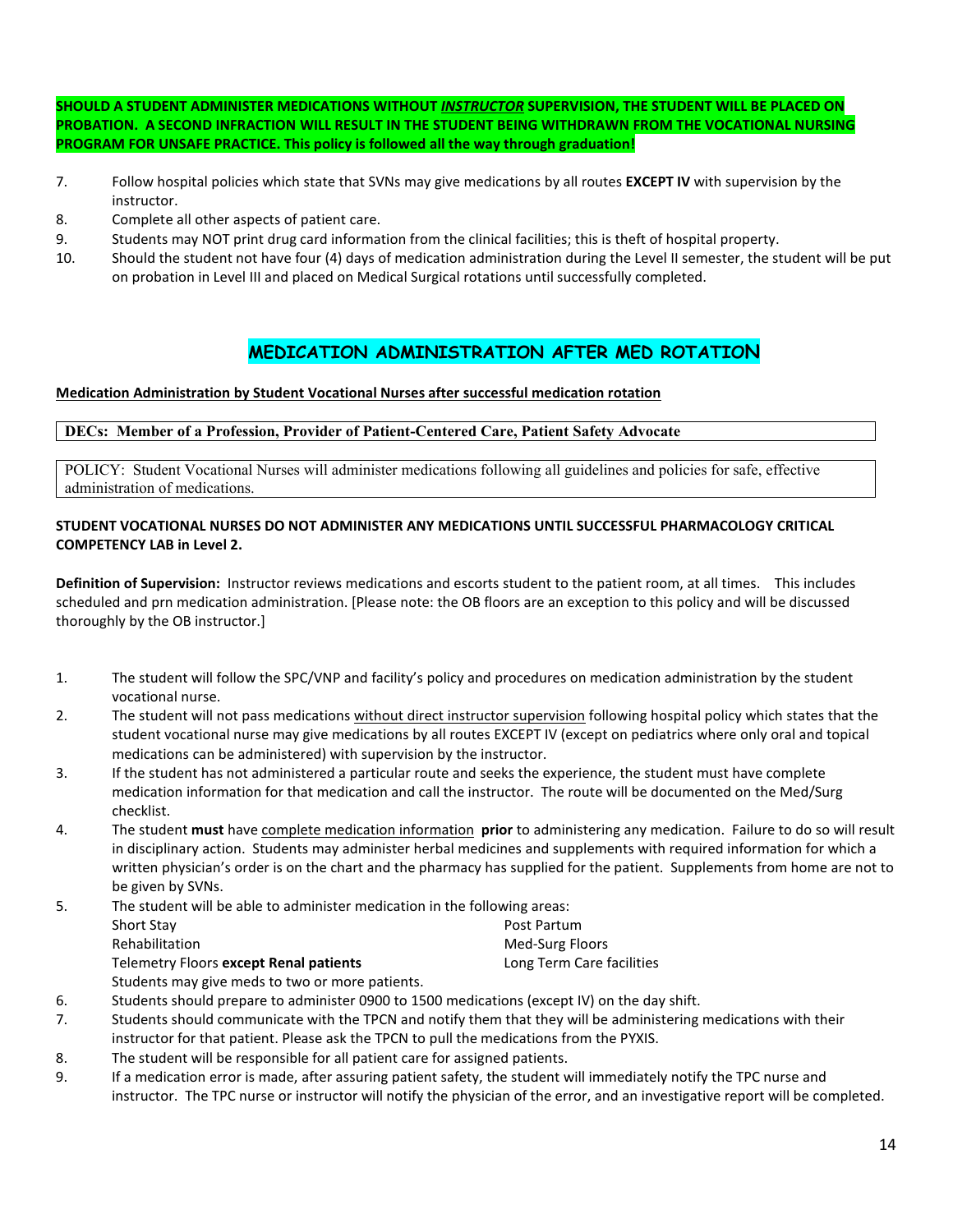**SHOULD A STUDENT ADMINISTER MEDICATIONS WITHOUT** *INSTRUCTOR* **SUPERVISION, THE STUDENT WILL BE PLACED ON PROBATION. A SECOND INFRACTION WILL RESULT IN THE STUDENT BEING WITHDRAWN FROM THE VOCATIONAL NURSING PROGRAM FOR UNSAFE PRACTICE. This policy is followed all the way through graduation!**

- 7. Follow hospital policies which state that SVNs may give medications by all routes **EXCEPT IV** with supervision by the instructor.
- 8. Complete all other aspects of patient care.
- 9. Students may NOT print drug card information from the clinical facilities; this is theft of hospital property.
- 10. Should the student not have four (4) days of medication administration during the Level II semester, the student will be put on probation in Level III and placed on Medical Surgical rotations until successfully completed.

# **MEDICATION ADMINISTRATION AFTER MED ROTATION**

#### **Medication Administration by Student Vocational Nurses after successful medication rotation**

#### **DECs: Member of a Profession, Provider of Patient-Centered Care, Patient Safety Advocate**

POLICY: Student Vocational Nurses will administer medications following all guidelines and policies for safe, effective administration of medications.

#### **STUDENT VOCATIONAL NURSES DO NOT ADMINISTER ANY MEDICATIONS UNTIL SUCCESSFUL PHARMACOLOGY CRITICAL COMPETENCY LAB in Level 2.**

**Definition of Supervision:** Instructor reviews medications and escorts student to the patient room, at all times. This includes scheduled and prn medication administration. [Please note: the OB floors are an exception to this policy and will be discussed thoroughly by the OB instructor.]

- 1. The student will follow the SPC/VNP and facility's policy and procedures on medication administration by the student vocational nurse.
- 2. The student will not pass medications without direct instructor supervision following hospital policy which states that the student vocational nurse may give medications by all routes EXCEPT IV (except on pediatrics where only oral and topical medications can be administered) with supervision by the instructor.
- 3. If the student has not administered a particular route and seeks the experience, the student must have complete medication information for that medication and call the instructor. The route will be documented on the Med/Surg checklist.
- 4. The student **must** have complete medication information **prior** to administering any medication. Failure to do so will result in disciplinary action. Students may administer herbal medicines and supplements with required information for which a written physician's order is on the chart and the pharmacy has supplied for the patient. Supplements from home are not to be given by SVNs.
- 5. The student will be able to administer medication in the following areas: Short Stay **Post Partum** Rehabilitation **Med-Surg Floors** Med-Surg Floors Telemetry Floors **except Renal patients** Long Term Care facilities
	- Students may give meds to two or more patients.
- 6. Students should prepare to administer 0900 to 1500 medications (except IV) on the day shift.
- 7. Students should communicate with the TPCN and notify them that they will be administering medications with their instructor for that patient. Please ask the TPCN to pull the medications from the PYXIS.
- 8. The student will be responsible for all patient care for assigned patients.
- 9. If a medication error is made, after assuring patient safety, the student will immediately notify the TPC nurse and instructor. The TPC nurse or instructor will notify the physician of the error, and an investigative report will be completed.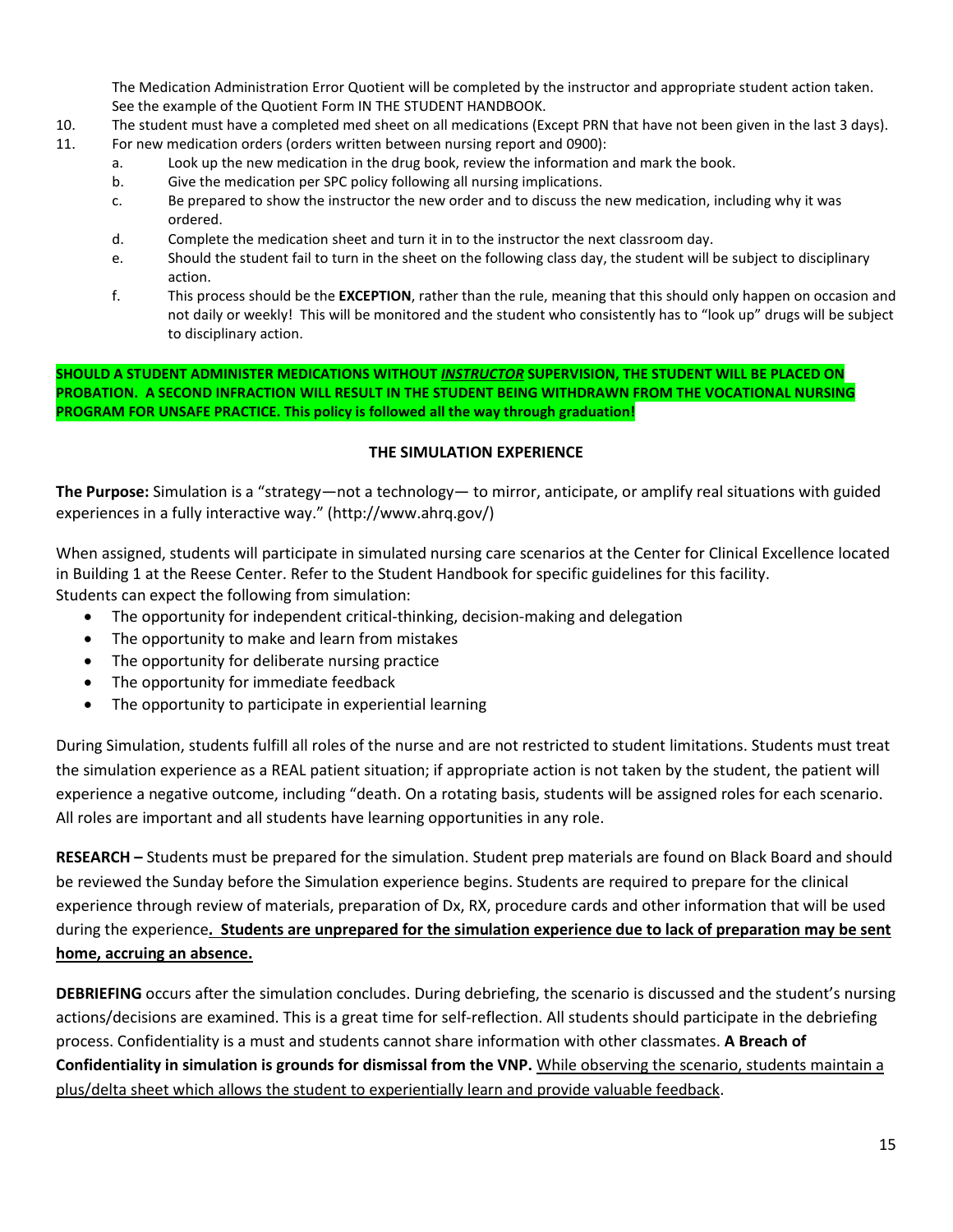The Medication Administration Error Quotient will be completed by the instructor and appropriate student action taken. See the example of the Quotient Form IN THE STUDENT HANDBOOK.

- 10. The student must have a completed med sheet on all medications (Except PRN that have not been given in the last 3 days).
- 11. For new medication orders (orders written between nursing report and 0900):
	- a. Look up the new medication in the drug book, review the information and mark the book.
	- b. Give the medication per SPC policy following all nursing implications.
	- c. Be prepared to show the instructor the new order and to discuss the new medication, including why it was ordered.
	- d. Complete the medication sheet and turn it in to the instructor the next classroom day.
	- e. Should the student fail to turn in the sheet on the following class day, the student will be subject to disciplinary action.
	- f. This process should be the **EXCEPTION**, rather than the rule, meaning that this should only happen on occasion and not daily or weekly! This will be monitored and the student who consistently has to "look up" drugs will be subject to disciplinary action.

**SHOULD A STUDENT ADMINISTER MEDICATIONS WITHOUT** *INSTRUCTOR* **SUPERVISION, THE STUDENT WILL BE PLACED ON PROBATION. A SECOND INFRACTION WILL RESULT IN THE STUDENT BEING WITHDRAWN FROM THE VOCATIONAL NURSING PROGRAM FOR UNSAFE PRACTICE. This policy is followed all the way through graduation!**

# **THE SIMULATION EXPERIENCE**

**The Purpose:** Simulation is a "strategy—not a technology— to mirror, anticipate, or amplify real situations with guided experiences in a fully interactive way." (http://www.ahrq.gov/)

When assigned, students will participate in simulated nursing care scenarios at the Center for Clinical Excellence located in Building 1 at the Reese Center. Refer to the Student Handbook for specific guidelines for this facility. Students can expect the following from simulation:

- The opportunity for independent critical-thinking, decision-making and delegation
- The opportunity to make and learn from mistakes
- The opportunity for deliberate nursing practice
- The opportunity for immediate feedback
- The opportunity to participate in experiential learning

During Simulation, students fulfill all roles of the nurse and are not restricted to student limitations. Students must treat the simulation experience as a REAL patient situation; if appropriate action is not taken by the student, the patient will experience a negative outcome, including "death. On a rotating basis, students will be assigned roles for each scenario. All roles are important and all students have learning opportunities in any role.

**RESEARCH –** Students must be prepared for the simulation. Student prep materials are found on Black Board and should be reviewed the Sunday before the Simulation experience begins. Students are required to prepare for the clinical experience through review of materials, preparation of Dx, RX, procedure cards and other information that will be used during the experience**. Students are unprepared for the simulation experience due to lack of preparation may be sent home, accruing an absence.**

**DEBRIEFING** occurs after the simulation concludes. During debriefing, the scenario is discussed and the student's nursing actions/decisions are examined. This is a great time for self-reflection. All students should participate in the debriefing process. Confidentiality is a must and students cannot share information with other classmates. **A Breach of Confidentiality in simulation is grounds for dismissal from the VNP.** While observing the scenario, students maintain a plus/delta sheet which allows the student to experientially learn and provide valuable feedback.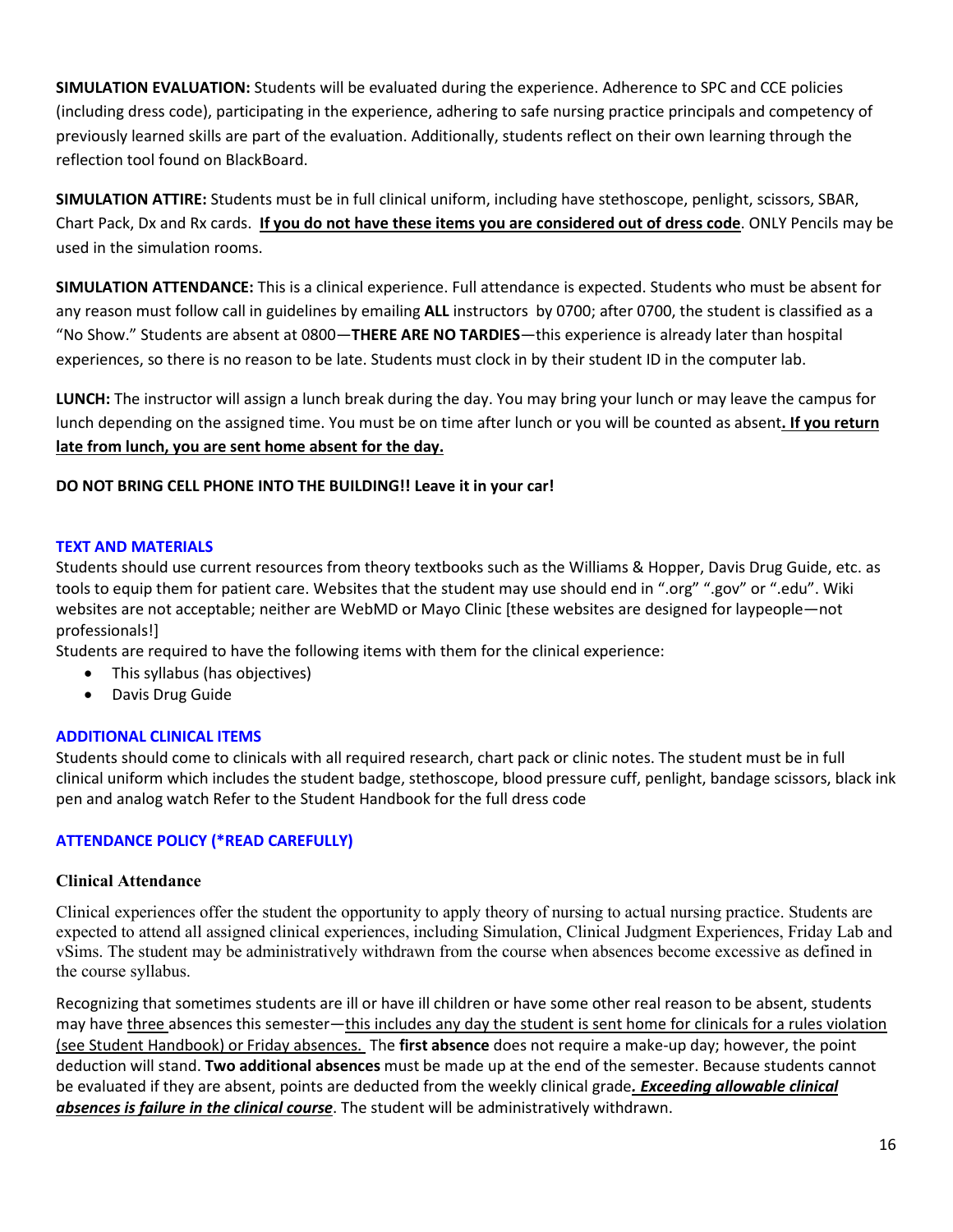**SIMULATION EVALUATION:** Students will be evaluated during the experience. Adherence to SPC and CCE policies (including dress code), participating in the experience, adhering to safe nursing practice principals and competency of previously learned skills are part of the evaluation. Additionally, students reflect on their own learning through the reflection tool found on BlackBoard.

**SIMULATION ATTIRE:** Students must be in full clinical uniform, including have stethoscope, penlight, scissors, SBAR, Chart Pack, Dx and Rx cards. **If you do not have these items you are considered out of dress code**. ONLY Pencils may be used in the simulation rooms.

**SIMULATION ATTENDANCE:** This is a clinical experience. Full attendance is expected. Students who must be absent for any reason must follow call in guidelines by emailing **ALL** instructors by 0700; after 0700, the student is classified as a "No Show." Students are absent at 0800—**THERE ARE NO TARDIES**—this experience is already later than hospital experiences, so there is no reason to be late. Students must clock in by their student ID in the computer lab.

**LUNCH:** The instructor will assign a lunch break during the day. You may bring your lunch or may leave the campus for lunch depending on the assigned time. You must be on time after lunch or you will be counted as absent**. If you return late from lunch, you are sent home absent for the day.**

# **DO NOT BRING CELL PHONE INTO THE BUILDING!! Leave it in your car!**

### **TEXT AND MATERIALS**

Students should use current resources from theory textbooks such as the Williams & Hopper, Davis Drug Guide, etc. as tools to equip them for patient care. Websites that the student may use should end in ".org" ".gov" or ".edu". Wiki websites are not acceptable; neither are WebMD or Mayo Clinic [these websites are designed for laypeople—not professionals!]

Students are required to have the following items with them for the clinical experience:

- This syllabus (has objectives)
- Davis Drug Guide

# **ADDITIONAL CLINICAL ITEMS**

Students should come to clinicals with all required research, chart pack or clinic notes. The student must be in full clinical uniform which includes the student badge, stethoscope, blood pressure cuff, penlight, bandage scissors, black ink pen and analog watch Refer to the Student Handbook for the full dress code

# **ATTENDANCE POLICY (\*READ CAREFULLY)**

### **Clinical Attendance**

Clinical experiences offer the student the opportunity to apply theory of nursing to actual nursing practice. Students are expected to attend all assigned clinical experiences, including Simulation, Clinical Judgment Experiences, Friday Lab and vSims. The student may be administratively withdrawn from the course when absences become excessive as defined in the course syllabus.

Recognizing that sometimes students are ill or have ill children or have some other real reason to be absent, students may have three absences this semester—this includes any day the student is sent home for clinicals for a rules violation (see Student Handbook) or Friday absences. The **first absence** does not require a make-up day; however, the point deduction will stand. **Two additional absences** must be made up at the end of the semester. Because students cannot be evaluated if they are absent, points are deducted from the weekly clinical grade*. Exceeding allowable clinical absences is failure in the clinical course*. The student will be administratively withdrawn.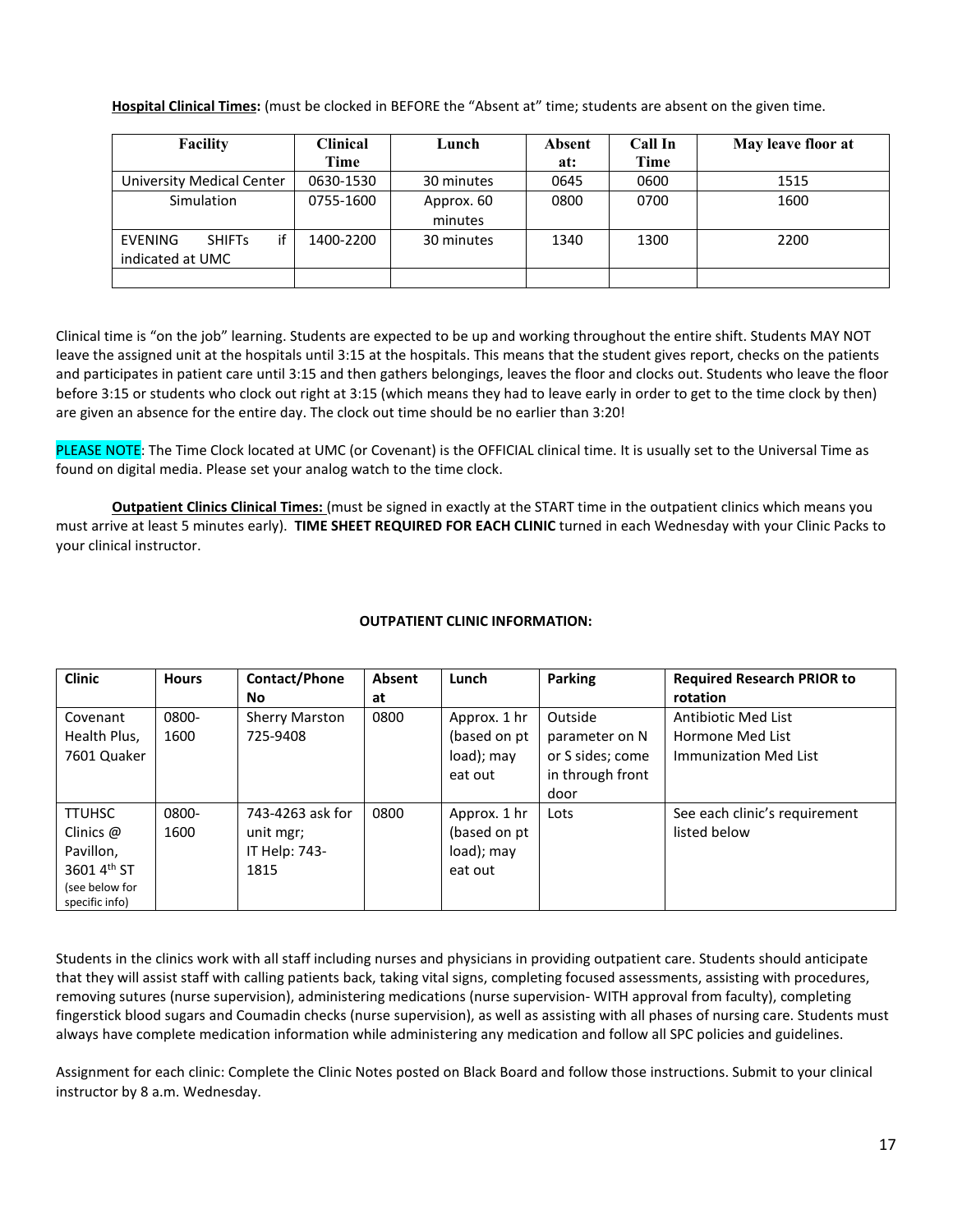**Hospital Clinical Times:** (must be clocked in BEFORE the "Absent at" time; students are absent on the given time.

| Facility                                                                      | Clinical<br>Lunch |                       | Absent | Call In | May leave floor at |
|-------------------------------------------------------------------------------|-------------------|-----------------------|--------|---------|--------------------|
|                                                                               | Time              |                       | at:    | Time    |                    |
| University Medical Center                                                     | 0630-1530         | 30 minutes            | 0645   | 0600    | 1515               |
| Simulation                                                                    | 0755-1600         | Approx. 60<br>minutes | 0800   | 0700    | 1600               |
| if<br>30 minutes<br><b>SHIFTs</b><br>1400-2200<br>EVENING<br>indicated at UMC |                   | 1340                  | 1300   | 2200    |                    |
|                                                                               |                   |                       |        |         |                    |

Clinical time is "on the job" learning. Students are expected to be up and working throughout the entire shift. Students MAY NOT leave the assigned unit at the hospitals until 3:15 at the hospitals. This means that the student gives report, checks on the patients and participates in patient care until 3:15 and then gathers belongings, leaves the floor and clocks out. Students who leave the floor before 3:15 or students who clock out right at 3:15 (which means they had to leave early in order to get to the time clock by then) are given an absence for the entire day. The clock out time should be no earlier than 3:20!

PLEASE NOTE: The Time Clock located at UMC (or Covenant) is the OFFICIAL clinical time. It is usually set to the Universal Time as found on digital media. Please set your analog watch to the time clock.

**Outpatient Clinics Clinical Times:** (must be signed in exactly at the START time in the outpatient clinics which means you must arrive at least 5 minutes early). **TIME SHEET REQUIRED FOR EACH CLINIC** turned in each Wednesday with your Clinic Packs to your clinical instructor.

### **OUTPATIENT CLINIC INFORMATION:**

| <b>Clinic</b>  | <b>Hours</b> | Contact/Phone         | Absent | Lunch         | <b>Parking</b>   | <b>Required Research PRIOR to</b> |
|----------------|--------------|-----------------------|--------|---------------|------------------|-----------------------------------|
|                |              | No                    | at     |               |                  | rotation                          |
| Covenant       | 0800-        | <b>Sherry Marston</b> | 0800   | Approx. 1 hr  | Outside          | Antibiotic Med List               |
| Health Plus,   | 1600         | 725-9408              |        | (based on pt) | parameter on N   | Hormone Med List                  |
| 7601 Quaker    |              |                       |        | load); may    | or S sides; come | Immunization Med List             |
|                |              |                       |        | eat out       | in through front |                                   |
|                |              |                       |        |               | door             |                                   |
| <b>TTUHSC</b>  | 0800-        | 743-4263 ask for      | 0800   | Approx. 1 hr  | Lots             | See each clinic's requirement     |
| Clinics @      | 1600         | unit mgr;             |        | (based on pt  |                  | listed below                      |
| Pavillon,      |              | IT Help: 743-         |        | load); may    |                  |                                   |
| 3601 4th ST    |              | 1815                  |        | eat out       |                  |                                   |
| (see below for |              |                       |        |               |                  |                                   |
| specific info) |              |                       |        |               |                  |                                   |

Students in the clinics work with all staff including nurses and physicians in providing outpatient care. Students should anticipate that they will assist staff with calling patients back, taking vital signs, completing focused assessments, assisting with procedures, removing sutures (nurse supervision), administering medications (nurse supervision- WITH approval from faculty), completing fingerstick blood sugars and Coumadin checks (nurse supervision), as well as assisting with all phases of nursing care. Students must always have complete medication information while administering any medication and follow all SPC policies and guidelines.

Assignment for each clinic: Complete the Clinic Notes posted on Black Board and follow those instructions. Submit to your clinical instructor by 8 a.m. Wednesday.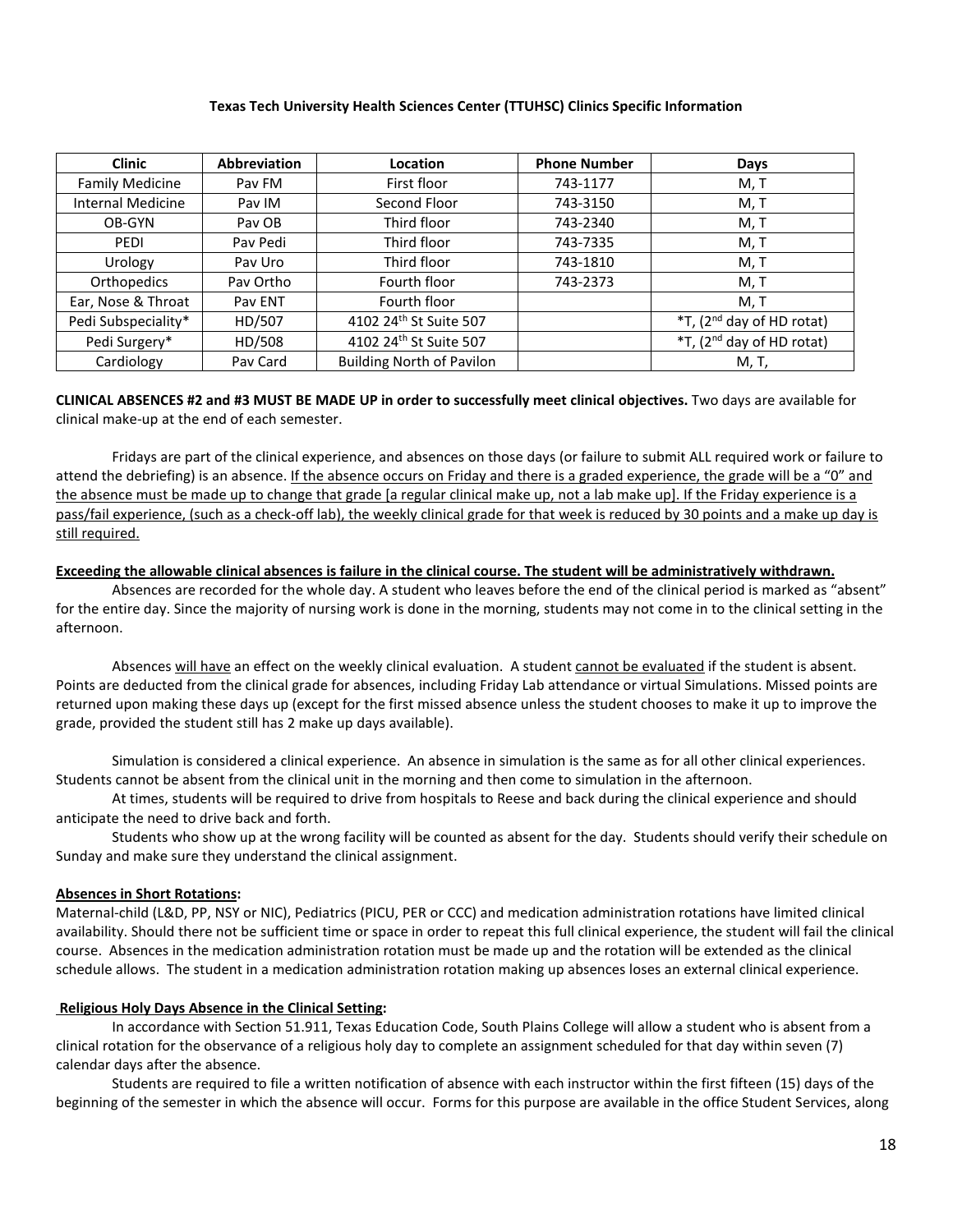#### **Texas Tech University Health Sciences Center (TTUHSC) Clinics Specific Information**

| <b>Clinic</b>            | <b>Abbreviation</b> | Location                         | <b>Phone Number</b> | Days                                  |
|--------------------------|---------------------|----------------------------------|---------------------|---------------------------------------|
| <b>Family Medicine</b>   | Pav FM              | First floor                      | 743-1177            | M, T                                  |
| <b>Internal Medicine</b> | Pav IM              | Second Floor                     | 743-3150            | M, T                                  |
| OB-GYN                   | Pay OB              | Third floor                      | 743-2340            | M, T                                  |
| PEDI                     | Pav Pedi            | Third floor                      | 743-7335            | M, T                                  |
| Urology                  | Pay Uro             | Third floor                      | 743-1810            | M, T                                  |
| Orthopedics              | Pay Ortho           | Fourth floor                     | 743-2373            | M, T                                  |
| Ear, Nose & Throat       | Pav ENT             | Fourth floor                     |                     | M, T                                  |
| Pedi Subspeciality*      | HD/507              | 4102 24th St Suite 507           |                     | *T, (2 <sup>nd</sup> day of HD rotat) |
| Pedi Surgery*            | HD/508              | 4102 24th St Suite 507           |                     | *T, (2 <sup>nd</sup> day of HD rotat) |
| Cardiology               | Pav Card            | <b>Building North of Pavilon</b> |                     | M, T,                                 |

**CLINICAL ABSENCES #2 and #3 MUST BE MADE UP in order to successfully meet clinical objectives.** Two days are available for clinical make-up at the end of each semester.

Fridays are part of the clinical experience, and absences on those days (or failure to submit ALL required work or failure to attend the debriefing) is an absence. If the absence occurs on Friday and there is a graded experience, the grade will be a "0" and the absence must be made up to change that grade [a regular clinical make up, not a lab make up]. If the Friday experience is a pass/fail experience, (such as a check-off lab), the weekly clinical grade for that week is reduced by 30 points and a make up day is still required.

#### **Exceeding the allowable clinical absences is failure in the clinical course. The student will be administratively withdrawn.**

Absences are recorded for the whole day. A student who leaves before the end of the clinical period is marked as "absent" for the entire day. Since the majority of nursing work is done in the morning, students may not come in to the clinical setting in the afternoon.

Absences will have an effect on the weekly clinical evaluation. A student cannot be evaluated if the student is absent. Points are deducted from the clinical grade for absences, including Friday Lab attendance or virtual Simulations. Missed points are returned upon making these days up (except for the first missed absence unless the student chooses to make it up to improve the grade, provided the student still has 2 make up days available).

Simulation is considered a clinical experience. An absence in simulation is the same as for all other clinical experiences. Students cannot be absent from the clinical unit in the morning and then come to simulation in the afternoon.

At times, students will be required to drive from hospitals to Reese and back during the clinical experience and should anticipate the need to drive back and forth.

Students who show up at the wrong facility will be counted as absent for the day. Students should verify their schedule on Sunday and make sure they understand the clinical assignment.

#### **Absences in Short Rotations:**

Maternal-child (L&D, PP, NSY or NIC), Pediatrics (PICU, PER or CCC) and medication administration rotations have limited clinical availability. Should there not be sufficient time or space in order to repeat this full clinical experience, the student will fail the clinical course. Absences in the medication administration rotation must be made up and the rotation will be extended as the clinical schedule allows. The student in a medication administration rotation making up absences loses an external clinical experience.

#### **Religious Holy Days Absence in the Clinical Setting:**

In accordance with Section 51.911, Texas Education Code, South Plains College will allow a student who is absent from a clinical rotation for the observance of a religious holy day to complete an assignment scheduled for that day within seven (7) calendar days after the absence.

Students are required to file a written notification of absence with each instructor within the first fifteen (15) days of the beginning of the semester in which the absence will occur. Forms for this purpose are available in the office Student Services, along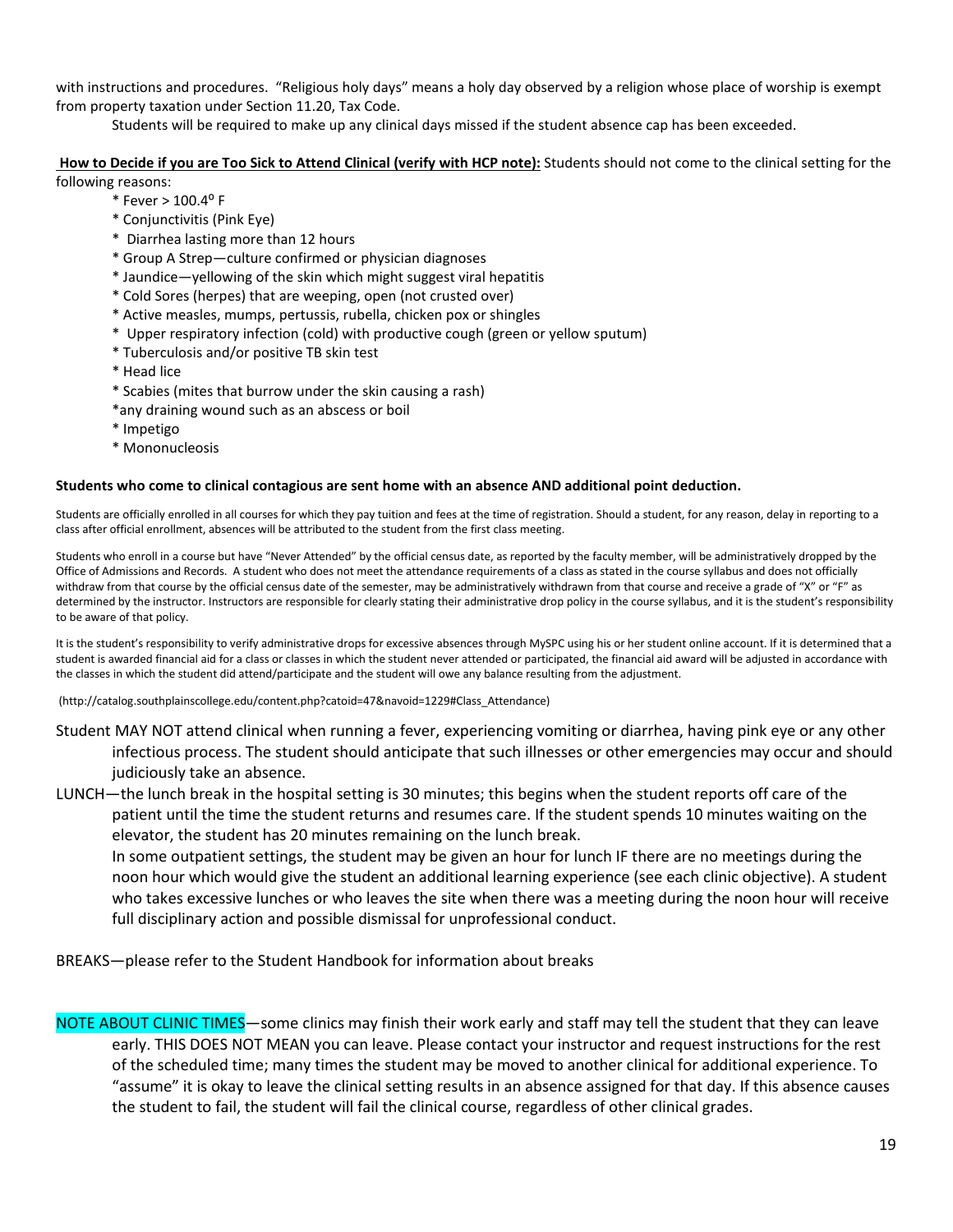with instructions and procedures. "Religious holy days" means a holy day observed by a religion whose place of worship is exempt from property taxation under Section 11.20, Tax Code.

Students will be required to make up any clinical days missed if the student absence cap has been exceeded.

**How to Decide if you are Too Sick to Attend Clinical (verify with HCP note):** Students should not come to the clinical setting for the following reasons:

- $*$  Fever  $> 100.4$ <sup>o</sup> F
- \* Conjunctivitis (Pink Eye)
- \* Diarrhea lasting more than 12 hours
- \* Group A Strep—culture confirmed or physician diagnoses
- \* Jaundice—yellowing of the skin which might suggest viral hepatitis
- \* Cold Sores (herpes) that are weeping, open (not crusted over)
- \* Active measles, mumps, pertussis, rubella, chicken pox or shingles
- \* Upper respiratory infection (cold) with productive cough (green or yellow sputum)
- \* Tuberculosis and/or positive TB skin test
- \* Head lice
- \* Scabies (mites that burrow under the skin causing a rash)
- \*any draining wound such as an abscess or boil
- \* Impetigo
- \* Mononucleosis

#### **Students who come to clinical contagious are sent home with an absence AND additional point deduction.**

Students are officially enrolled in all courses for which they pay tuition and fees at the time of registration. Should a student, for any reason, delay in reporting to a class after official enrollment, absences will be attributed to the student from the first class meeting.

Students who enroll in a course but have "Never Attended" by the official census date, as reported by the faculty member, will be administratively dropped by the Office of Admissions and Records. A student who does not meet the attendance requirements of a class as stated in the course syllabus and does not officially withdraw from that course by the official census date of the semester, may be administratively withdrawn from that course and receive a grade of "X" or "F" as determined by the instructor. Instructors are responsible for clearly stating their administrative drop policy in the course syllabus, and it is the student's responsibility to be aware of that policy.

It is the student's responsibility to verify administrative drops for excessive absences through MySPC using his or her student online account. If it is determined that a student is awarded financial aid for a class or classes in which the student never attended or participated, the financial aid award will be adjusted in accordance with the classes in which the student did attend/participate and the student will owe any balance resulting from the adjustment.

(http://catalog.southplainscollege.edu/content.php?catoid=47&navoid=1229#Class\_Attendance)

- Student MAY NOT attend clinical when running a fever, experiencing vomiting or diarrhea, having pink eye or any other infectious process. The student should anticipate that such illnesses or other emergencies may occur and should judiciously take an absence.
- LUNCH—the lunch break in the hospital setting is 30 minutes; this begins when the student reports off care of the patient until the time the student returns and resumes care. If the student spends 10 minutes waiting on the elevator, the student has 20 minutes remaining on the lunch break.

In some outpatient settings, the student may be given an hour for lunch IF there are no meetings during the noon hour which would give the student an additional learning experience (see each clinic objective). A student who takes excessive lunches or who leaves the site when there was a meeting during the noon hour will receive full disciplinary action and possible dismissal for unprofessional conduct.

BREAKS—please refer to the Student Handbook for information about breaks

NOTE ABOUT CLINIC TIMES-some clinics may finish their work early and staff may tell the student that they can leave early. THIS DOES NOT MEAN you can leave. Please contact your instructor and request instructions for the rest of the scheduled time; many times the student may be moved to another clinical for additional experience. To "assume" it is okay to leave the clinical setting results in an absence assigned for that day. If this absence causes the student to fail, the student will fail the clinical course, regardless of other clinical grades.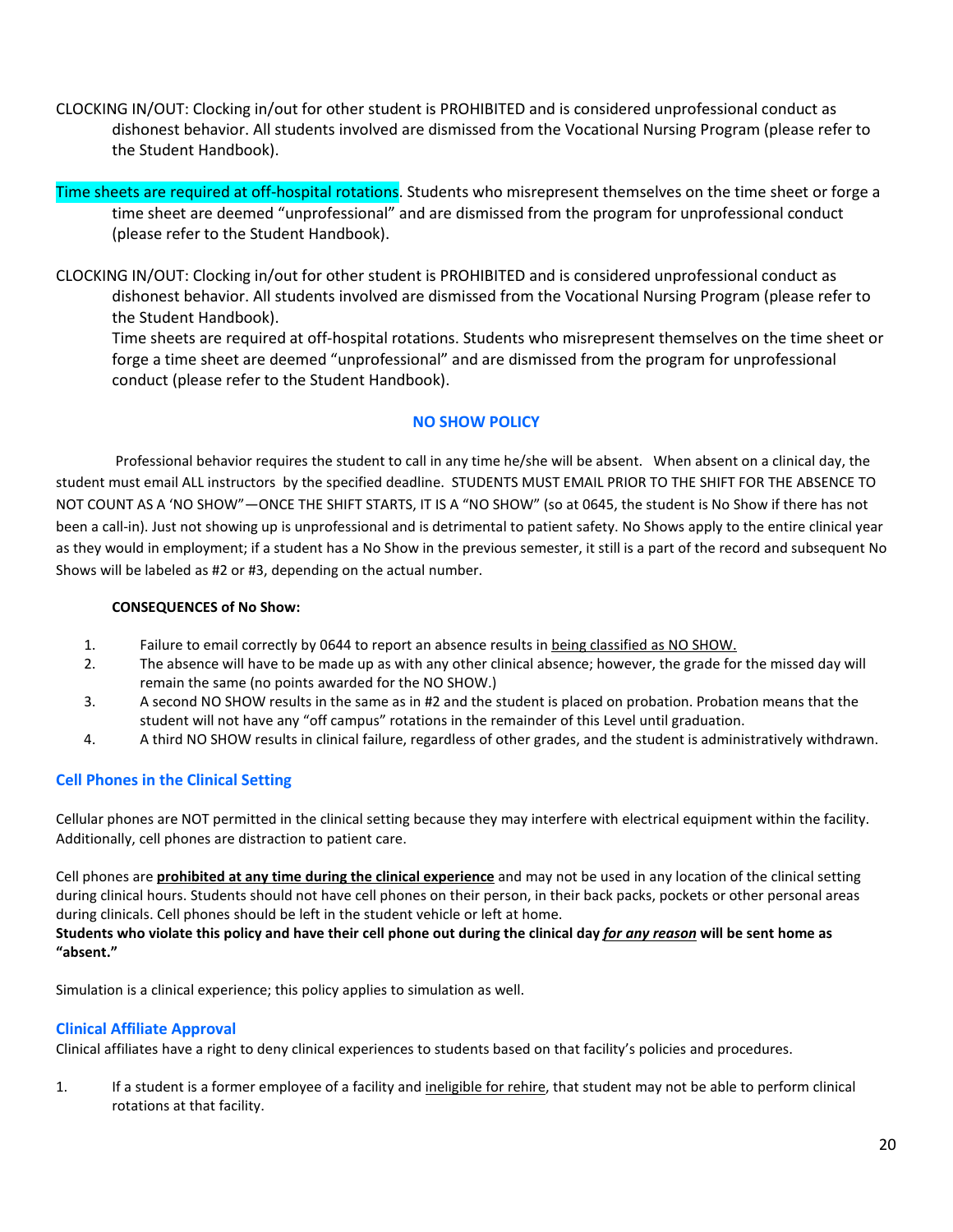- CLOCKING IN/OUT: Clocking in/out for other student is PROHIBITED and is considered unprofessional conduct as dishonest behavior. All students involved are dismissed from the Vocational Nursing Program (please refer to the Student Handbook).
- Time sheets are required at off-hospital rotations. Students who misrepresent themselves on the time sheet or forge a time sheet are deemed "unprofessional" and are dismissed from the program for unprofessional conduct (please refer to the Student Handbook).
- CLOCKING IN/OUT: Clocking in/out for other student is PROHIBITED and is considered unprofessional conduct as dishonest behavior. All students involved are dismissed from the Vocational Nursing Program (please refer to the Student Handbook).

 Time sheets are required at off-hospital rotations. Students who misrepresent themselves on the time sheet or forge a time sheet are deemed "unprofessional" and are dismissed from the program for unprofessional conduct (please refer to the Student Handbook).

### **NO SHOW POLICY**

Professional behavior requires the student to call in any time he/she will be absent. When absent on a clinical day, the student must email ALL instructors by the specified deadline. STUDENTS MUST EMAIL PRIOR TO THE SHIFT FOR THE ABSENCE TO NOT COUNT AS A 'NO SHOW"—ONCE THE SHIFT STARTS, IT IS A "NO SHOW" (so at 0645, the student is No Show if there has not been a call-in). Just not showing up is unprofessional and is detrimental to patient safety. No Shows apply to the entire clinical year as they would in employment; if a student has a No Show in the previous semester, it still is a part of the record and subsequent No Shows will be labeled as #2 or #3, depending on the actual number.

#### **CONSEQUENCES of No Show:**

- 1. Failure to email correctly by 0644 to report an absence results in being classified as NO SHOW.
- 2. The absence will have to be made up as with any other clinical absence; however, the grade for the missed day will remain the same (no points awarded for the NO SHOW.)
- 3. A second NO SHOW results in the same as in #2 and the student is placed on probation. Probation means that the student will not have any "off campus" rotations in the remainder of this Level until graduation.
- 4. A third NO SHOW results in clinical failure, regardless of other grades, and the student is administratively withdrawn.

# **Cell Phones in the Clinical Setting**

Cellular phones are NOT permitted in the clinical setting because they may interfere with electrical equipment within the facility. Additionally, cell phones are distraction to patient care.

Cell phones are **prohibited at any time during the clinical experience** and may not be used in any location of the clinical setting during clinical hours. Students should not have cell phones on their person, in their back packs, pockets or other personal areas during clinicals. Cell phones should be left in the student vehicle or left at home. **Students who violate this policy and have their cell phone out during the clinical day** *for any reason* **will be sent home as** 

Simulation is a clinical experience; this policy applies to simulation as well.

### **Clinical Affiliate Approval**

**"absent."** 

Clinical affiliates have a right to deny clinical experiences to students based on that facility's policies and procedures.

1. If a student is a former employee of a facility and *ineligible for rehire*, that student may not be able to perform clinical rotations at that facility.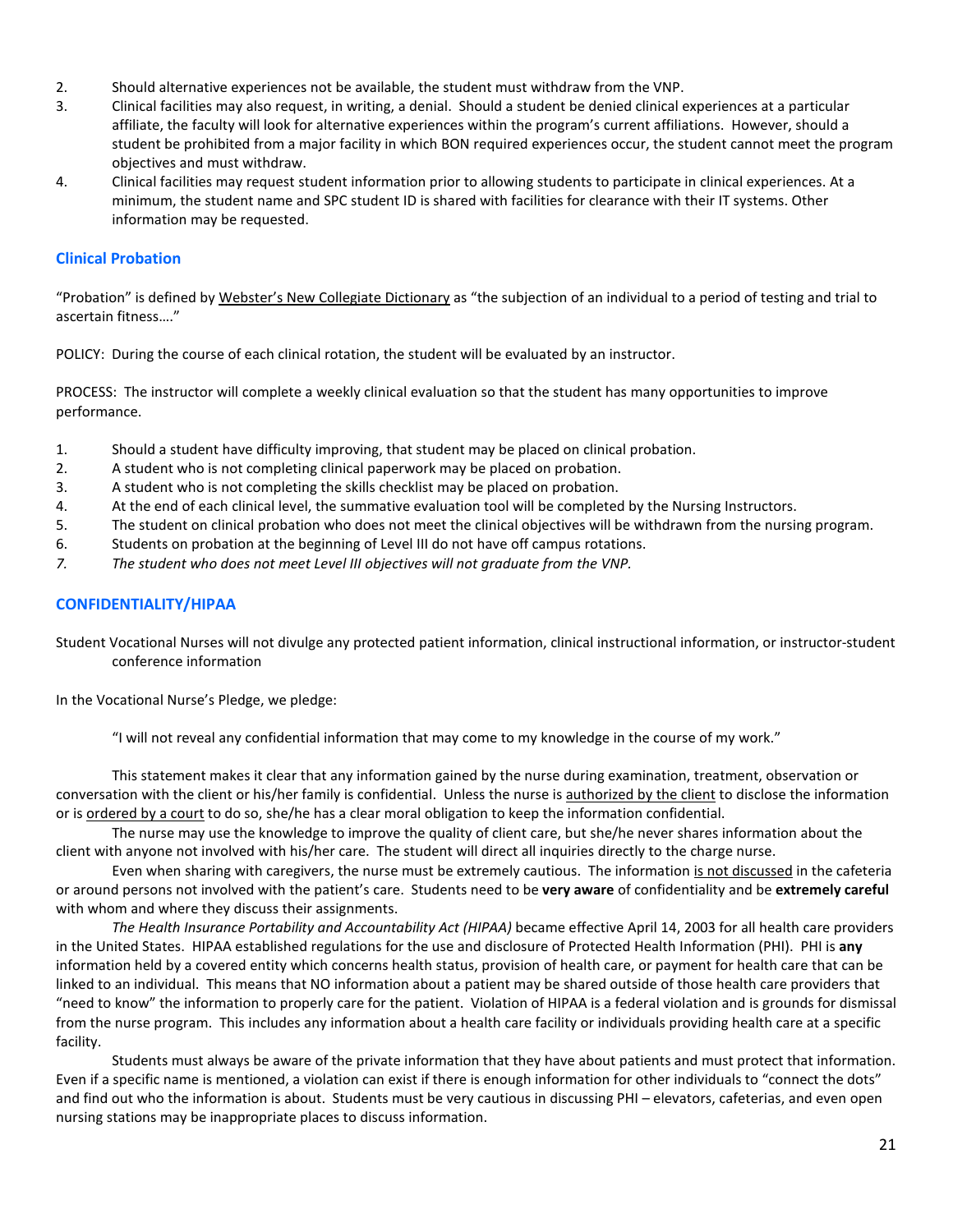- 2. Should alternative experiences not be available, the student must withdraw from the VNP.
- 3. Clinical facilities may also request, in writing, a denial. Should a student be denied clinical experiences at a particular affiliate, the faculty will look for alternative experiences within the program's current affiliations. However, should a student be prohibited from a major facility in which BON required experiences occur, the student cannot meet the program objectives and must withdraw.
- 4. Clinical facilities may request student information prior to allowing students to participate in clinical experiences. At a minimum, the student name and SPC student ID is shared with facilities for clearance with their IT systems. Other information may be requested.

### **Clinical Probation**

"Probation" is defined by Webster's New Collegiate Dictionary as "the subjection of an individual to a period of testing and trial to ascertain fitness…."

POLICY: During the course of each clinical rotation, the student will be evaluated by an instructor.

PROCESS: The instructor will complete a weekly clinical evaluation so that the student has many opportunities to improve performance.

- 1. Should a student have difficulty improving, that student may be placed on clinical probation.
- 2. A student who is not completing clinical paperwork may be placed on probation.
- 3. A student who is not completing the skills checklist may be placed on probation.
- 4. At the end of each clinical level, the summative evaluation tool will be completed by the Nursing Instructors.
- 5. The student on clinical probation who does not meet the clinical objectives will be withdrawn from the nursing program.
- 6. Students on probation at the beginning of Level III do not have off campus rotations.
- *7. The student who does not meet Level III objectives will not graduate from the VNP.*

### **CONFIDENTIALITY/HIPAA**

Student Vocational Nurses will not divulge any protected patient information, clinical instructional information, or instructor-student conference information

In the Vocational Nurse's Pledge, we pledge:

"I will not reveal any confidential information that may come to my knowledge in the course of my work."

This statement makes it clear that any information gained by the nurse during examination, treatment, observation or conversation with the client or his/her family is confidential. Unless the nurse is authorized by the client to disclose the information or is ordered by a court to do so, she/he has a clear moral obligation to keep the information confidential.

The nurse may use the knowledge to improve the quality of client care, but she/he never shares information about the client with anyone not involved with his/her care. The student will direct all inquiries directly to the charge nurse.

Even when sharing with caregivers, the nurse must be extremely cautious. The information is not discussed in the cafeteria or around persons not involved with the patient's care. Students need to be **very aware** of confidentiality and be **extremely careful** with whom and where they discuss their assignments.

*The Health Insurance Portability and Accountability Act (HIPAA)* became effective April 14, 2003 for all health care providers in the United States. HIPAA established regulations for the use and disclosure of Protected Health Information (PHI). PHI is **any** information held by a covered entity which concerns health status, provision of health care, or payment for health care that can be linked to an individual. This means that NO information about a patient may be shared outside of those health care providers that "need to know" the information to properly care for the patient. Violation of HIPAA is a federal violation and is grounds for dismissal from the nurse program. This includes any information about a health care facility or individuals providing health care at a specific facility.

Students must always be aware of the private information that they have about patients and must protect that information. Even if a specific name is mentioned, a violation can exist if there is enough information for other individuals to "connect the dots" and find out who the information is about. Students must be very cautious in discussing PHI – elevators, cafeterias, and even open nursing stations may be inappropriate places to discuss information.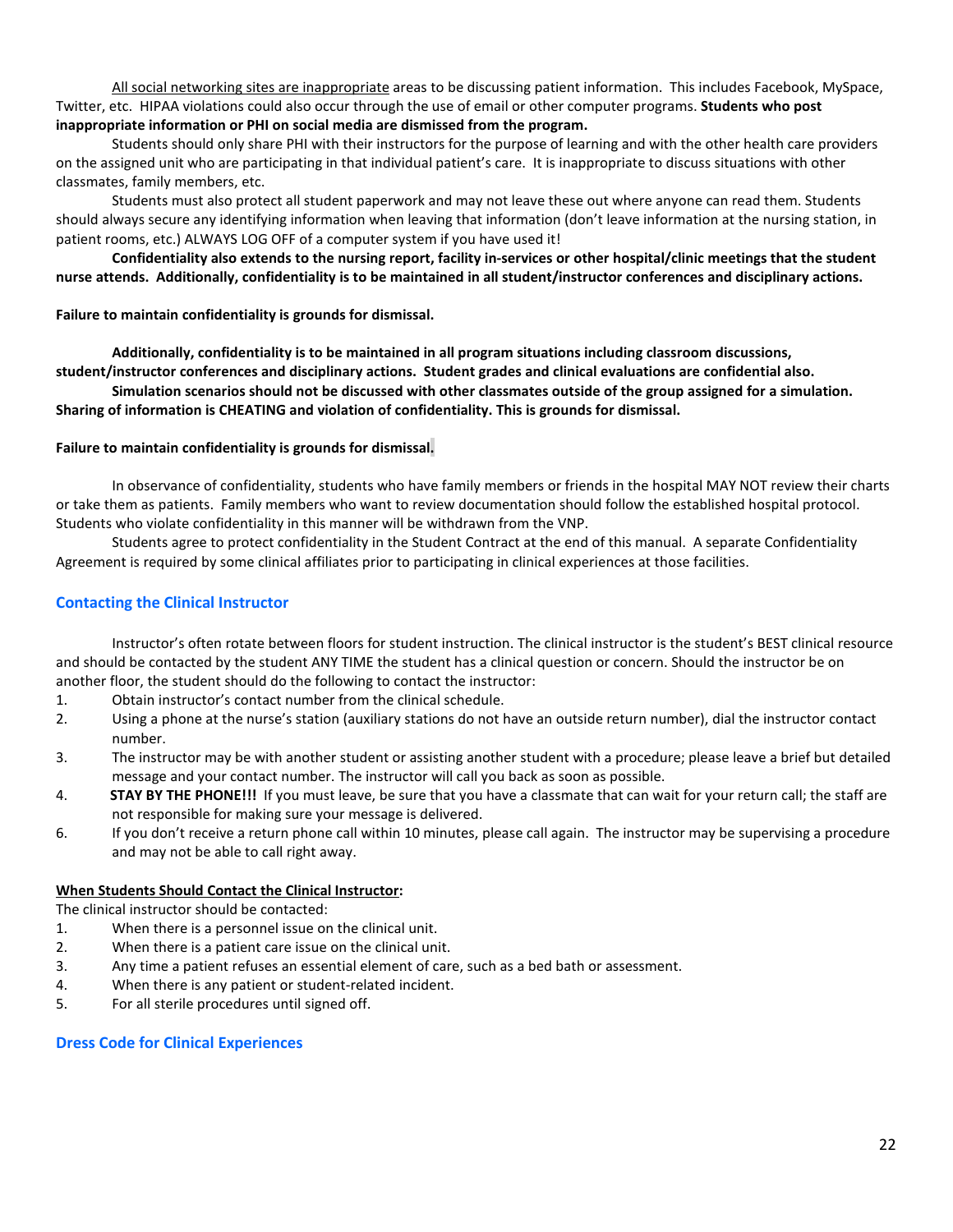All social networking sites are inappropriate areas to be discussing patient information. This includes Facebook, MySpace, Twitter, etc. HIPAA violations could also occur through the use of email or other computer programs. **Students who post inappropriate information or PHI on social media are dismissed from the program.** 

Students should only share PHI with their instructors for the purpose of learning and with the other health care providers on the assigned unit who are participating in that individual patient's care. It is inappropriate to discuss situations with other classmates, family members, etc.

Students must also protect all student paperwork and may not leave these out where anyone can read them. Students should always secure any identifying information when leaving that information (don't leave information at the nursing station, in patient rooms, etc.) ALWAYS LOG OFF of a computer system if you have used it!

**Confidentiality also extends to the nursing report, facility in-services or other hospital/clinic meetings that the student nurse attends. Additionally, confidentiality is to be maintained in all student/instructor conferences and disciplinary actions.**

#### **Failure to maintain confidentiality is grounds for dismissal.**

**Additionally, confidentiality is to be maintained in all program situations including classroom discussions, student/instructor conferences and disciplinary actions. Student grades and clinical evaluations are confidential also.**

**Simulation scenarios should not be discussed with other classmates outside of the group assigned for a simulation. Sharing of information is CHEATING and violation of confidentiality. This is grounds for dismissal.**

#### **Failure to maintain confidentiality is grounds for dismissal.**

In observance of confidentiality, students who have family members or friends in the hospital MAY NOT review their charts or take them as patients. Family members who want to review documentation should follow the established hospital protocol. Students who violate confidentiality in this manner will be withdrawn from the VNP.

Students agree to protect confidentiality in the Student Contract at the end of this manual. A separate Confidentiality Agreement is required by some clinical affiliates prior to participating in clinical experiences at those facilities.

#### **Contacting the Clinical Instructor**

Instructor's often rotate between floors for student instruction. The clinical instructor is the student's BEST clinical resource and should be contacted by the student ANY TIME the student has a clinical question or concern. Should the instructor be on another floor, the student should do the following to contact the instructor:

- 1. Obtain instructor's contact number from the clinical schedule.
- 2. Using a phone at the nurse's station (auxiliary stations do not have an outside return number), dial the instructor contact number.
- 3. The instructor may be with another student or assisting another student with a procedure; please leave a brief but detailed message and your contact number. The instructor will call you back as soon as possible.
- 4. **STAY BY THE PHONE!!!** If you must leave, be sure that you have a classmate that can wait for your return call; the staff are not responsible for making sure your message is delivered.
- 6. If you don't receive a return phone call within 10 minutes, please call again. The instructor may be supervising a procedure and may not be able to call right away.

#### **When Students Should Contact the Clinical Instructor:**

The clinical instructor should be contacted:

- 1. When there is a personnel issue on the clinical unit.
- 2. When there is a patient care issue on the clinical unit.
- 3. Any time a patient refuses an essential element of care, such as a bed bath or assessment.
- 4. When there is any patient or student-related incident.
- 5. For all sterile procedures until signed off.

#### **Dress Code for Clinical Experiences**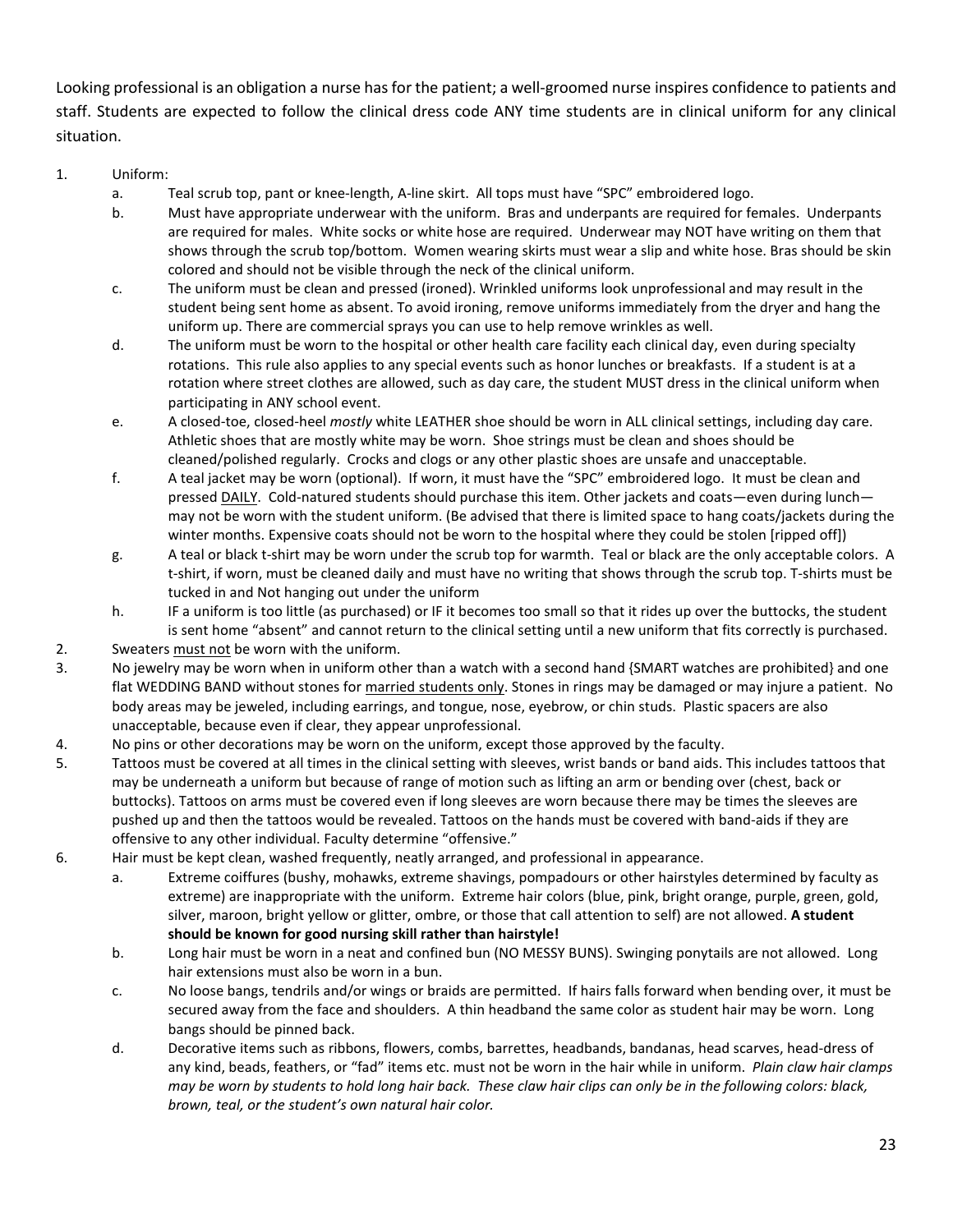Looking professional is an obligation a nurse has for the patient; a well-groomed nurse inspires confidence to patients and staff. Students are expected to follow the clinical dress code ANY time students are in clinical uniform for any clinical situation.

### 1. Uniform:

- a. Teal scrub top, pant or knee-length, A-line skirt. All tops must have "SPC" embroidered logo.
- b. Must have appropriate underwear with the uniform. Bras and underpants are required for females. Underpants are required for males. White socks or white hose are required. Underwear may NOT have writing on them that shows through the scrub top/bottom. Women wearing skirts must wear a slip and white hose. Bras should be skin colored and should not be visible through the neck of the clinical uniform.
- c. The uniform must be clean and pressed (ironed). Wrinkled uniforms look unprofessional and may result in the student being sent home as absent. To avoid ironing, remove uniforms immediately from the dryer and hang the uniform up. There are commercial sprays you can use to help remove wrinkles as well.
- d. The uniform must be worn to the hospital or other health care facility each clinical day, even during specialty rotations. This rule also applies to any special events such as honor lunches or breakfasts. If a student is at a rotation where street clothes are allowed, such as day care, the student MUST dress in the clinical uniform when participating in ANY school event.
- e. A closed-toe, closed-heel *mostly* white LEATHER shoe should be worn in ALL clinical settings, including day care. Athletic shoes that are mostly white may be worn. Shoe strings must be clean and shoes should be cleaned/polished regularly. Crocks and clogs or any other plastic shoes are unsafe and unacceptable.
- f. A teal jacket may be worn (optional). If worn, it must have the "SPC" embroidered logo. It must be clean and pressed DAILY. Cold-natured students should purchase this item. Other jackets and coats—even during lunch may not be worn with the student uniform. (Be advised that there is limited space to hang coats/jackets during the winter months. Expensive coats should not be worn to the hospital where they could be stolen [ripped off])
- g. A teal or black t-shirt may be worn under the scrub top for warmth. Teal or black are the only acceptable colors. A t-shirt, if worn, must be cleaned daily and must have no writing that shows through the scrub top. T-shirts must be tucked in and Not hanging out under the uniform
- h. IF a uniform is too little (as purchased) or IF it becomes too small so that it rides up over the buttocks, the student is sent home "absent" and cannot return to the clinical setting until a new uniform that fits correctly is purchased.
- 2. Sweaters must not be worn with the uniform.
- 3. No jewelry may be worn when in uniform other than a watch with a second hand {SMART watches are prohibited} and one flat WEDDING BAND without stones for married students only. Stones in rings may be damaged or may injure a patient. No body areas may be jeweled, including earrings, and tongue, nose, eyebrow, or chin studs. Plastic spacers are also unacceptable, because even if clear, they appear unprofessional.
- 4. No pins or other decorations may be worn on the uniform, except those approved by the faculty.
- 5. Tattoos must be covered at all times in the clinical setting with sleeves, wrist bands or band aids. This includes tattoos that may be underneath a uniform but because of range of motion such as lifting an arm or bending over (chest, back or buttocks). Tattoos on arms must be covered even if long sleeves are worn because there may be times the sleeves are pushed up and then the tattoos would be revealed. Tattoos on the hands must be covered with band-aids if they are offensive to any other individual. Faculty determine "offensive."
- 6. Hair must be kept clean, washed frequently, neatly arranged, and professional in appearance.
	- a. Extreme coiffures (bushy, mohawks, extreme shavings, pompadours or other hairstyles determined by faculty as extreme) are inappropriate with the uniform. Extreme hair colors (blue, pink, bright orange, purple, green, gold, silver, maroon, bright yellow or glitter, ombre, or those that call attention to self) are not allowed. **A student should be known for good nursing skill rather than hairstyle!**
	- b. Long hair must be worn in a neat and confined bun (NO MESSY BUNS). Swinging ponytails are not allowed. Long hair extensions must also be worn in a bun.
	- c. No loose bangs, tendrils and/or wings or braids are permitted. If hairs falls forward when bending over, it must be secured away from the face and shoulders. A thin headband the same color as student hair may be worn. Long bangs should be pinned back.
	- d. Decorative items such as ribbons, flowers, combs, barrettes, headbands, bandanas, head scarves, head-dress of any kind, beads, feathers, or "fad" items etc. must not be worn in the hair while in uniform. *Plain claw hair clamps may be worn by students to hold long hair back. These claw hair clips can only be in the following colors: black, brown, teal, or the student's own natural hair color.*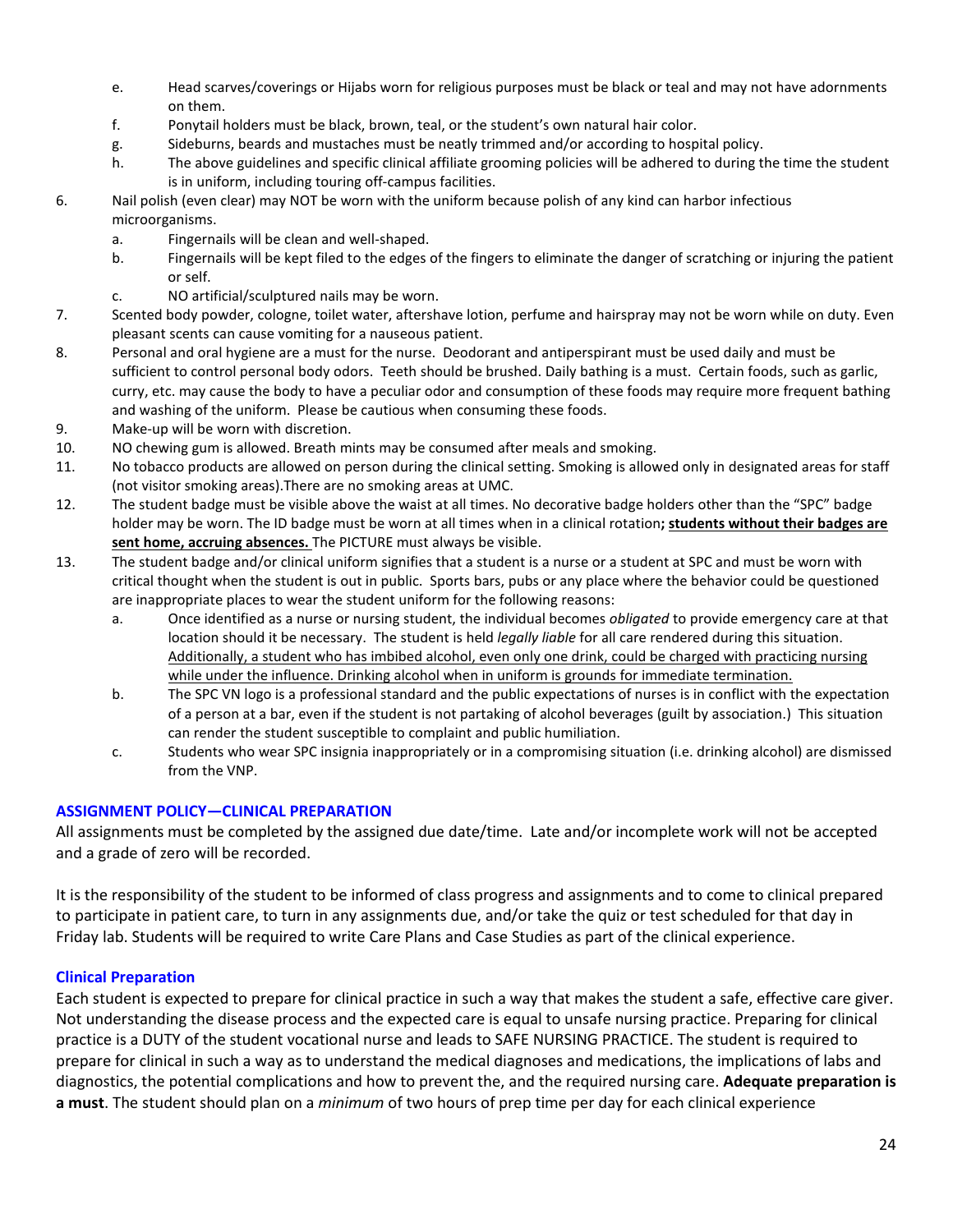- e. Head scarves/coverings or Hijabs worn for religious purposes must be black or teal and may not have adornments on them.
- f. Ponytail holders must be black, brown, teal, or the student's own natural hair color.
- g. Sideburns, beards and mustaches must be neatly trimmed and/or according to hospital policy.
- h. The above guidelines and specific clinical affiliate grooming policies will be adhered to during the time the student is in uniform, including touring off-campus facilities.
- 6. Nail polish (even clear) may NOT be worn with the uniform because polish of any kind can harbor infectious microorganisms.
	- a. Fingernails will be clean and well-shaped.
	- b. Fingernails will be kept filed to the edges of the fingers to eliminate the danger of scratching or injuring the patient or self.
	- c. NO artificial/sculptured nails may be worn.
- 7. Scented body powder, cologne, toilet water, aftershave lotion, perfume and hairspray may not be worn while on duty. Even pleasant scents can cause vomiting for a nauseous patient.
- 8. Personal and oral hygiene are a must for the nurse. Deodorant and antiperspirant must be used daily and must be sufficient to control personal body odors. Teeth should be brushed. Daily bathing is a must. Certain foods, such as garlic, curry, etc. may cause the body to have a peculiar odor and consumption of these foods may require more frequent bathing and washing of the uniform. Please be cautious when consuming these foods.
- 9. Make-up will be worn with discretion.
- 10. NO chewing gum is allowed. Breath mints may be consumed after meals and smoking.
- 11. No tobacco products are allowed on person during the clinical setting. Smoking is allowed only in designated areas for staff (not visitor smoking areas).There are no smoking areas at UMC.
- 12. The student badge must be visible above the waist at all times. No decorative badge holders other than the "SPC" badge holder may be worn. The ID badge must be worn at all times when in a clinical rotation**; students without their badges are sent home, accruing absences.** The PICTURE must always be visible.
- 13. The student badge and/or clinical uniform signifies that a student is a nurse or a student at SPC and must be worn with critical thought when the student is out in public. Sports bars, pubs or any place where the behavior could be questioned are inappropriate places to wear the student uniform for the following reasons:
	- a. Once identified as a nurse or nursing student, the individual becomes *obligated* to provide emergency care at that location should it be necessary. The student is held *legally liable* for all care rendered during this situation. Additionally, a student who has imbibed alcohol, even only one drink, could be charged with practicing nursing while under the influence. Drinking alcohol when in uniform is grounds for immediate termination.
	- b. The SPC VN logo is a professional standard and the public expectations of nurses is in conflict with the expectation of a person at a bar, even if the student is not partaking of alcohol beverages (guilt by association.) This situation can render the student susceptible to complaint and public humiliation.
	- c. Students who wear SPC insignia inappropriately or in a compromising situation (i.e. drinking alcohol) are dismissed from the VNP.

# **ASSIGNMENT POLICY—CLINICAL PREPARATION**

All assignments must be completed by the assigned due date/time. Late and/or incomplete work will not be accepted and a grade of zero will be recorded.

It is the responsibility of the student to be informed of class progress and assignments and to come to clinical prepared to participate in patient care, to turn in any assignments due, and/or take the quiz or test scheduled for that day in Friday lab. Students will be required to write Care Plans and Case Studies as part of the clinical experience.

# **Clinical Preparation**

Each student is expected to prepare for clinical practice in such a way that makes the student a safe, effective care giver. Not understanding the disease process and the expected care is equal to unsafe nursing practice. Preparing for clinical practice is a DUTY of the student vocational nurse and leads to SAFE NURSING PRACTICE. The student is required to prepare for clinical in such a way as to understand the medical diagnoses and medications, the implications of labs and diagnostics, the potential complications and how to prevent the, and the required nursing care. **Adequate preparation is a must**. The student should plan on a *minimum* of two hours of prep time per day for each clinical experience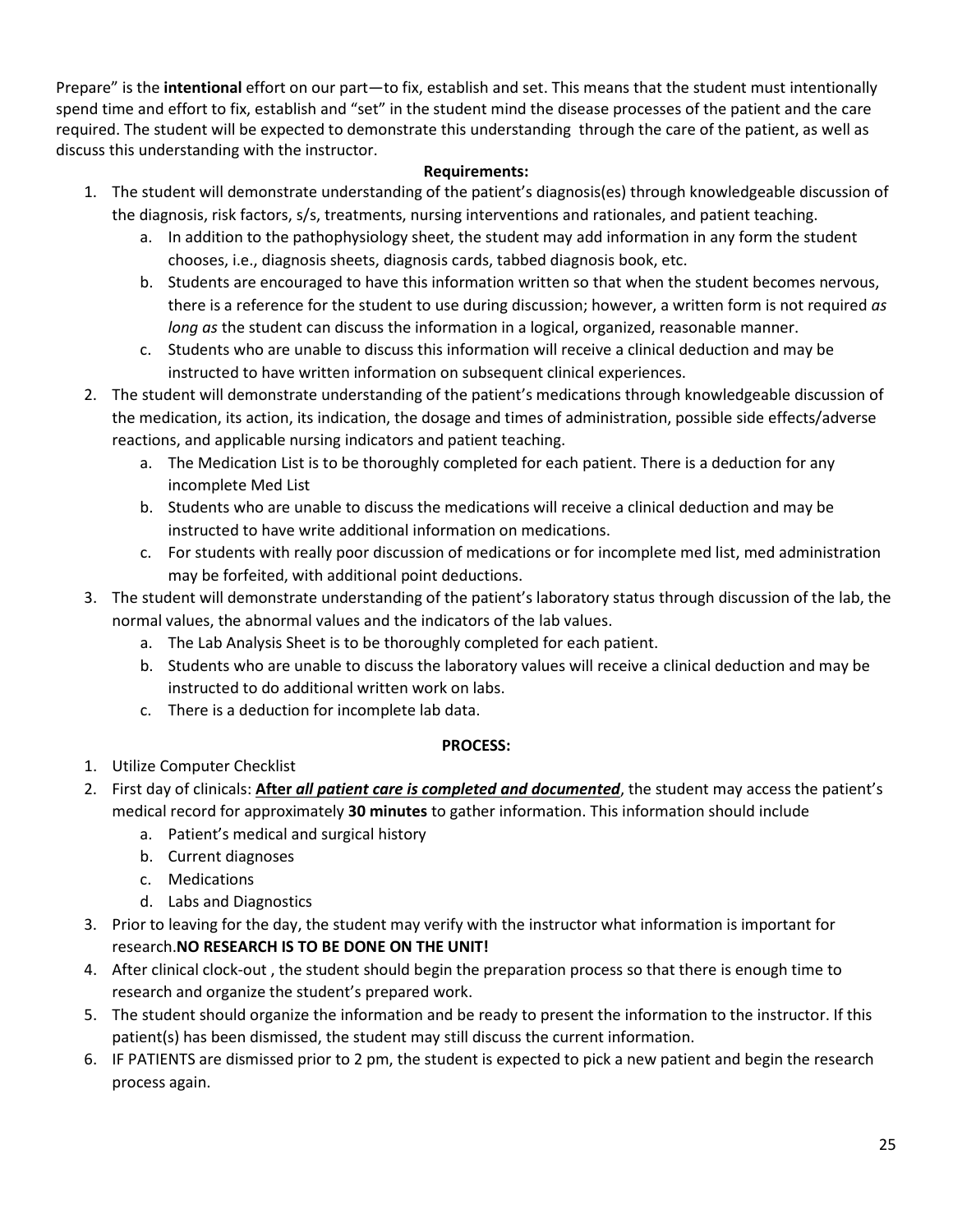Prepare" is the **intentional** effort on our part—to fix, establish and set. This means that the student must intentionally spend time and effort to fix, establish and "set" in the student mind the disease processes of the patient and the care required. The student will be expected to demonstrate this understanding through the care of the patient, as well as discuss this understanding with the instructor.

### **Requirements:**

- 1. The student will demonstrate understanding of the patient's diagnosis(es) through knowledgeable discussion of the diagnosis, risk factors, s/s, treatments, nursing interventions and rationales, and patient teaching.
	- a. In addition to the pathophysiology sheet, the student may add information in any form the student chooses, i.e., diagnosis sheets, diagnosis cards, tabbed diagnosis book, etc.
	- b. Students are encouraged to have this information written so that when the student becomes nervous, there is a reference for the student to use during discussion; however, a written form is not required *as long as* the student can discuss the information in a logical, organized, reasonable manner.
	- c. Students who are unable to discuss this information will receive a clinical deduction and may be instructed to have written information on subsequent clinical experiences.
- 2. The student will demonstrate understanding of the patient's medications through knowledgeable discussion of the medication, its action, its indication, the dosage and times of administration, possible side effects/adverse reactions, and applicable nursing indicators and patient teaching.
	- a. The Medication List is to be thoroughly completed for each patient. There is a deduction for any incomplete Med List
	- b. Students who are unable to discuss the medications will receive a clinical deduction and may be instructed to have write additional information on medications.
	- c. For students with really poor discussion of medications or for incomplete med list, med administration may be forfeited, with additional point deductions.
- 3. The student will demonstrate understanding of the patient's laboratory status through discussion of the lab, the normal values, the abnormal values and the indicators of the lab values.
	- a. The Lab Analysis Sheet is to be thoroughly completed for each patient.
	- b. Students who are unable to discuss the laboratory values will receive a clinical deduction and may be instructed to do additional written work on labs.
	- c. There is a deduction for incomplete lab data.

# **PROCESS:**

- 1. Utilize Computer Checklist
- 2. First day of clinicals: **After** *all patient care is completed and documented*, the student may access the patient's medical record for approximately **30 minutes** to gather information. This information should include
	- a. Patient's medical and surgical history
	- b. Current diagnoses
	- c. Medications
	- d. Labs and Diagnostics
- 3. Prior to leaving for the day, the student may verify with the instructor what information is important for research.**NO RESEARCH IS TO BE DONE ON THE UNIT!**
- 4. After clinical clock-out , the student should begin the preparation process so that there is enough time to research and organize the student's prepared work.
- 5. The student should organize the information and be ready to present the information to the instructor. If this patient(s) has been dismissed, the student may still discuss the current information.
- 6. IF PATIENTS are dismissed prior to 2 pm, the student is expected to pick a new patient and begin the research process again.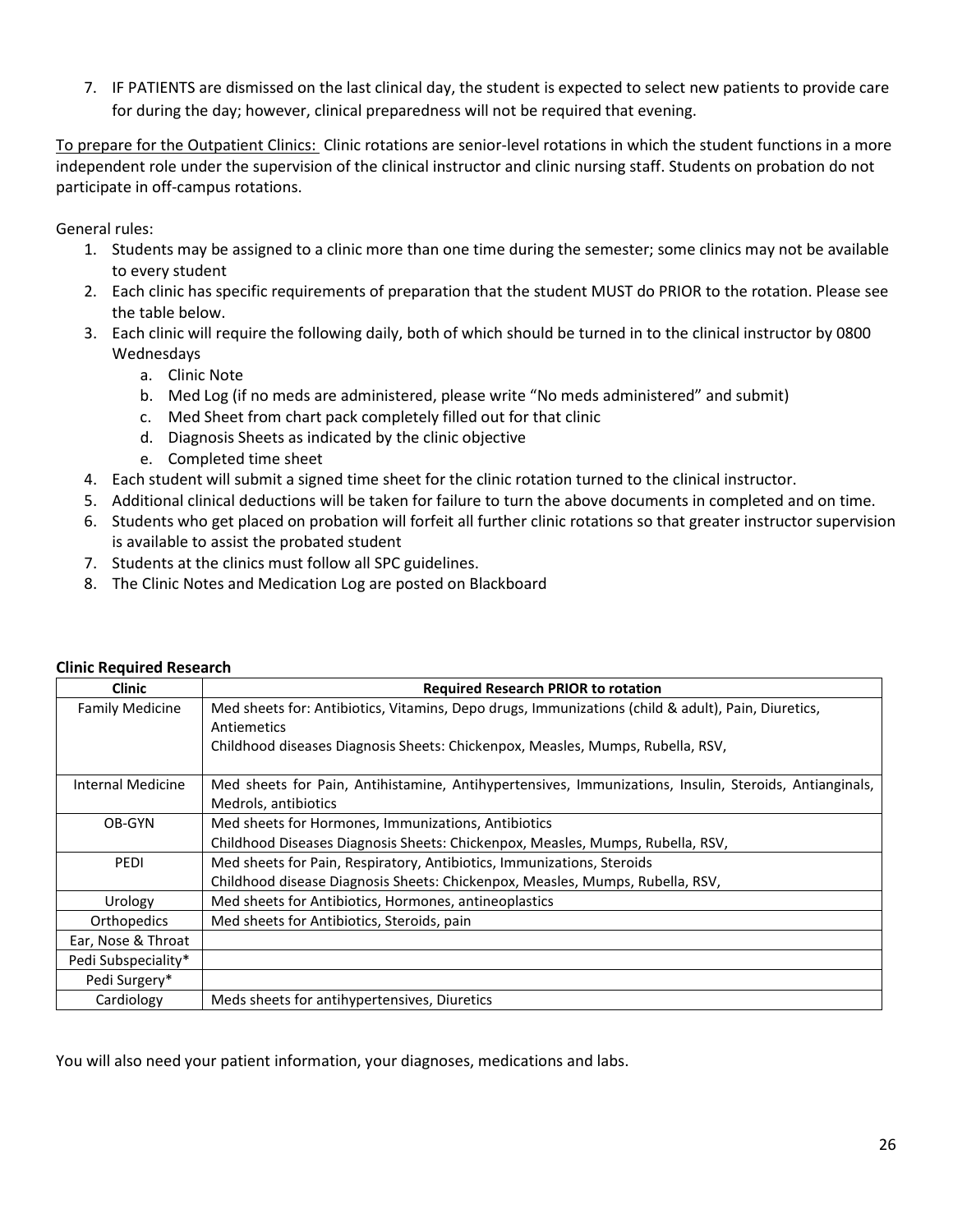7. IF PATIENTS are dismissed on the last clinical day, the student is expected to select new patients to provide care for during the day; however, clinical preparedness will not be required that evening.

To prepare for the Outpatient Clinics: Clinic rotations are senior-level rotations in which the student functions in a more independent role under the supervision of the clinical instructor and clinic nursing staff. Students on probation do not participate in off-campus rotations.

General rules:

- 1. Students may be assigned to a clinic more than one time during the semester; some clinics may not be available to every student
- 2. Each clinic has specific requirements of preparation that the student MUST do PRIOR to the rotation. Please see the table below.
- 3. Each clinic will require the following daily, both of which should be turned in to the clinical instructor by 0800 Wednesdays
	- a. Clinic Note
	- b. Med Log (if no meds are administered, please write "No meds administered" and submit)
	- c. Med Sheet from chart pack completely filled out for that clinic
	- d. Diagnosis Sheets as indicated by the clinic objective
	- e. Completed time sheet
- 4. Each student will submit a signed time sheet for the clinic rotation turned to the clinical instructor.
- 5. Additional clinical deductions will be taken for failure to turn the above documents in completed and on time.
- 6. Students who get placed on probation will forfeit all further clinic rotations so that greater instructor supervision is available to assist the probated student
- 7. Students at the clinics must follow all SPC guidelines.
- 8. The Clinic Notes and Medication Log are posted on Blackboard

| <b>Clinic</b>          | <b>Required Research PRIOR to rotation</b>                                                                                     |
|------------------------|--------------------------------------------------------------------------------------------------------------------------------|
| <b>Family Medicine</b> | Med sheets for: Antibiotics, Vitamins, Depo drugs, Immunizations (child & adult), Pain, Diuretics,<br>Antiemetics              |
|                        | Childhood diseases Diagnosis Sheets: Chickenpox, Measles, Mumps, Rubella, RSV,                                                 |
| Internal Medicine      | Med sheets for Pain, Antihistamine, Antihypertensives, Immunizations, Insulin, Steroids, Antianginals,<br>Medrols, antibiotics |
| OB-GYN                 | Med sheets for Hormones, Immunizations, Antibiotics                                                                            |
|                        | Childhood Diseases Diagnosis Sheets: Chickenpox, Measles, Mumps, Rubella, RSV,                                                 |
| <b>PEDI</b>            | Med sheets for Pain, Respiratory, Antibiotics, Immunizations, Steroids                                                         |
|                        | Childhood disease Diagnosis Sheets: Chickenpox, Measles, Mumps, Rubella, RSV,                                                  |
| Urology                | Med sheets for Antibiotics, Hormones, antineoplastics                                                                          |
| Orthopedics            | Med sheets for Antibiotics, Steroids, pain                                                                                     |
| Ear, Nose & Throat     |                                                                                                                                |
| Pedi Subspeciality*    |                                                                                                                                |
| Pedi Surgery*          |                                                                                                                                |
| Cardiology             | Meds sheets for antihypertensives, Diuretics                                                                                   |

### **Clinic Required Research**

You will also need your patient information, your diagnoses, medications and labs.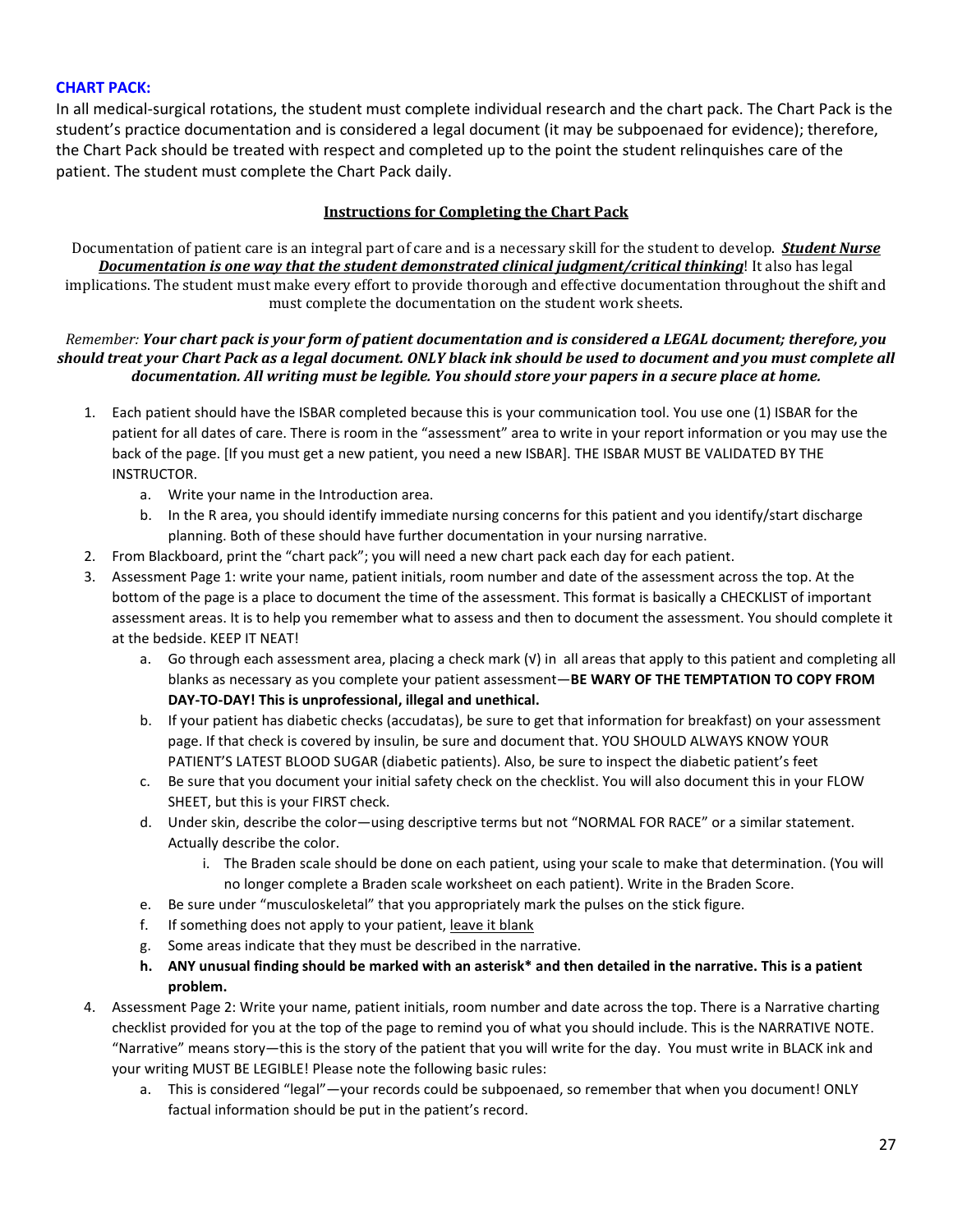### **CHART PACK:**

In all medical-surgical rotations, the student must complete individual research and the chart pack. The Chart Pack is the student's practice documentation and is considered a legal document (it may be subpoenaed for evidence); therefore, the Chart Pack should be treated with respect and completed up to the point the student relinquishes care of the patient. The student must complete the Chart Pack daily.

### **Instructions for Completing the Chart Pack**

Documentation of patient care is an integral part of care and is a necessary skill for the student to develop. *Student Nurse Documentation is one way that the student demonstrated clinical judgment/critical thinking*! It also has legal implications. The student must make every effort to provide thorough and effective documentation throughout the shift and must complete the documentation on the student work sheets.

#### *Remember: Your chart pack is your form of patient documentation and is considered a LEGAL document; therefore, you should treat your Chart Pack as a legal document. ONLY black ink should be used to document and you must complete all documentation. All writing must be legible. You should store your papers in a secure place at home.*

- 1. Each patient should have the ISBAR completed because this is your communication tool. You use one (1) ISBAR for the patient for all dates of care. There is room in the "assessment" area to write in your report information or you may use the back of the page. [If you must get a new patient, you need a new ISBAR]. THE ISBAR MUST BE VALIDATED BY THE INSTRUCTOR.
	- a. Write your name in the Introduction area.
	- b. In the R area, you should identify immediate nursing concerns for this patient and you identify/start discharge planning. Both of these should have further documentation in your nursing narrative.
- 2. From Blackboard, print the "chart pack"; you will need a new chart pack each day for each patient.
- 3. Assessment Page 1: write your name, patient initials, room number and date of the assessment across the top. At the bottom of the page is a place to document the time of the assessment. This format is basically a CHECKLIST of important assessment areas. It is to help you remember what to assess and then to document the assessment. You should complete it at the bedside. KEEP IT NEAT!
	- a. Go through each assessment area, placing a check mark (√) in all areas that apply to this patient and completing all blanks as necessary as you complete your patient assessment—**BE WARY OF THE TEMPTATION TO COPY FROM DAY-TO-DAY! This is unprofessional, illegal and unethical.**
	- b. If your patient has diabetic checks (accudatas), be sure to get that information for breakfast) on your assessment page. If that check is covered by insulin, be sure and document that. YOU SHOULD ALWAYS KNOW YOUR PATIENT'S LATEST BLOOD SUGAR (diabetic patients). Also, be sure to inspect the diabetic patient's feet
	- c. Be sure that you document your initial safety check on the checklist. You will also document this in your FLOW SHEET, but this is your FIRST check.
	- d. Under skin, describe the color—using descriptive terms but not "NORMAL FOR RACE" or a similar statement. Actually describe the color.
		- i. The Braden scale should be done on each patient, using your scale to make that determination. (You will no longer complete a Braden scale worksheet on each patient). Write in the Braden Score.
	- e. Be sure under "musculoskeletal" that you appropriately mark the pulses on the stick figure.
	- f. If something does not apply to your patient, leave it blank
	- g. Some areas indicate that they must be described in the narrative.
	- **h. ANY unusual finding should be marked with an asterisk\* and then detailed in the narrative. This is a patient problem.**
- 4. Assessment Page 2: Write your name, patient initials, room number and date across the top. There is a Narrative charting checklist provided for you at the top of the page to remind you of what you should include. This is the NARRATIVE NOTE. "Narrative" means story—this is the story of the patient that you will write for the day. You must write in BLACK ink and your writing MUST BE LEGIBLE! Please note the following basic rules:
	- a. This is considered "legal"—your records could be subpoenaed, so remember that when you document! ONLY factual information should be put in the patient's record.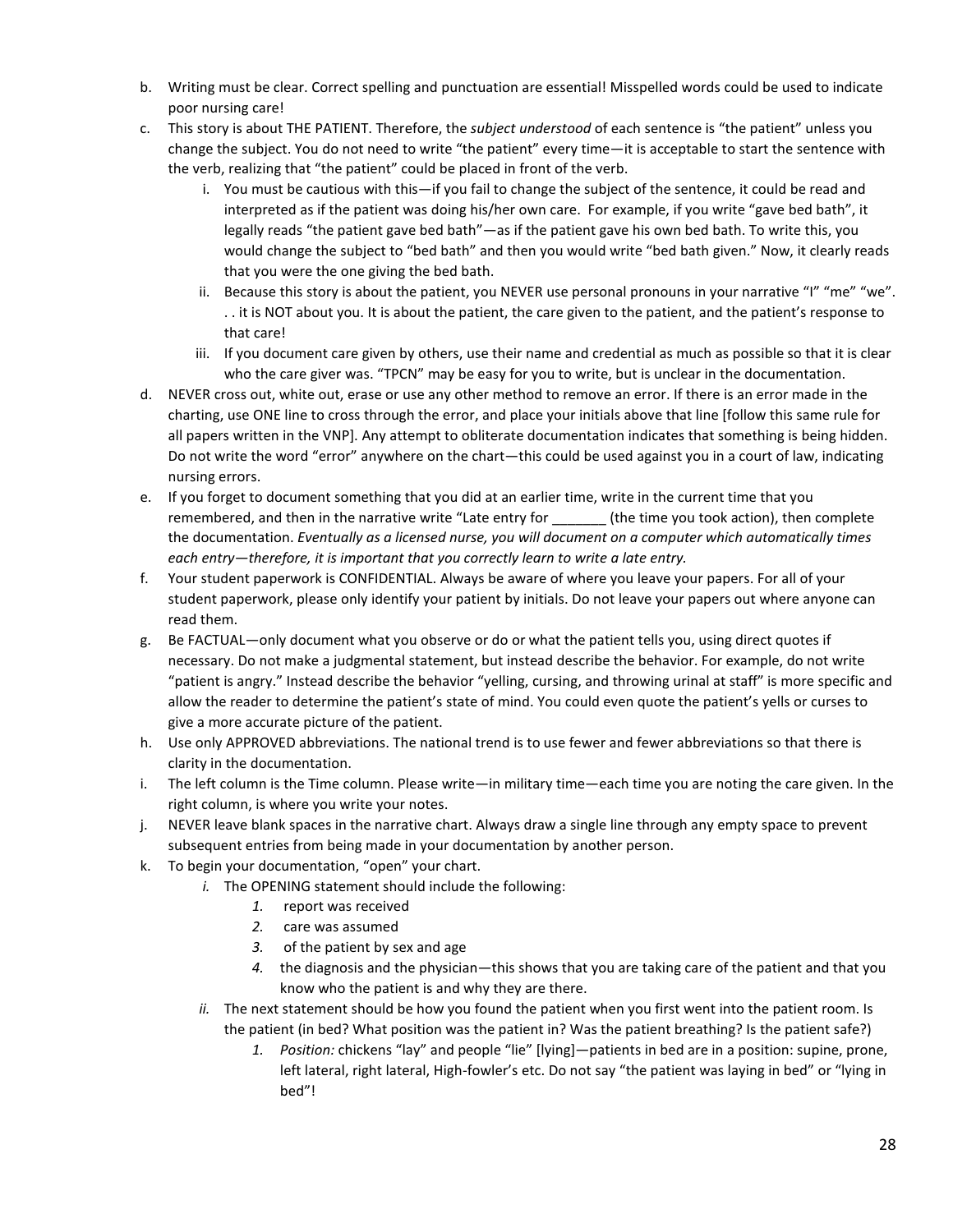- b. Writing must be clear. Correct spelling and punctuation are essential! Misspelled words could be used to indicate poor nursing care!
- c. This story is about THE PATIENT. Therefore, the *subject understood* of each sentence is "the patient" unless you change the subject. You do not need to write "the patient" every time—it is acceptable to start the sentence with the verb, realizing that "the patient" could be placed in front of the verb.
	- i. You must be cautious with this—if you fail to change the subject of the sentence, it could be read and interpreted as if the patient was doing his/her own care. For example, if you write "gave bed bath", it legally reads "the patient gave bed bath"—as if the patient gave his own bed bath. To write this, you would change the subject to "bed bath" and then you would write "bed bath given." Now, it clearly reads that you were the one giving the bed bath.
	- ii. Because this story is about the patient, you NEVER use personal pronouns in your narrative "I" "me" "we". . . it is NOT about you. It is about the patient, the care given to the patient, and the patient's response to that care!
	- iii. If you document care given by others, use their name and credential as much as possible so that it is clear who the care giver was. "TPCN" may be easy for you to write, but is unclear in the documentation.
- d. NEVER cross out, white out, erase or use any other method to remove an error. If there is an error made in the charting, use ONE line to cross through the error, and place your initials above that line [follow this same rule for all papers written in the VNP]. Any attempt to obliterate documentation indicates that something is being hidden. Do not write the word "error" anywhere on the chart—this could be used against you in a court of law, indicating nursing errors.
- e. If you forget to document something that you did at an earlier time, write in the current time that you remembered, and then in the narrative write "Late entry for \_\_\_\_\_\_\_ (the time you took action), then complete the documentation. *Eventually as a licensed nurse, you will document on a computer which automatically times each entry—therefore, it is important that you correctly learn to write a late entry.*
- f. Your student paperwork is CONFIDENTIAL. Always be aware of where you leave your papers. For all of your student paperwork, please only identify your patient by initials. Do not leave your papers out where anyone can read them.
- g. Be FACTUAL—only document what you observe or do or what the patient tells you, using direct quotes if necessary. Do not make a judgmental statement, but instead describe the behavior. For example, do not write "patient is angry." Instead describe the behavior "yelling, cursing, and throwing urinal at staff" is more specific and allow the reader to determine the patient's state of mind. You could even quote the patient's yells or curses to give a more accurate picture of the patient.
- h. Use only APPROVED abbreviations. The national trend is to use fewer and fewer abbreviations so that there is clarity in the documentation.
- i. The left column is the Time column. Please write—in military time—each time you are noting the care given. In the right column, is where you write your notes.
- j. NEVER leave blank spaces in the narrative chart. Always draw a single line through any empty space to prevent subsequent entries from being made in your documentation by another person.
- k. To begin your documentation, "open" your chart.
	- *i.* The OPENING statement should include the following:
		- *1.* report was received
		- *2.* care was assumed
		- *3.* of the patient by sex and age
		- *4.* the diagnosis and the physician—this shows that you are taking care of the patient and that you know who the patient is and why they are there.
	- *ii.* The next statement should be how you found the patient when you first went into the patient room. Is the patient (in bed? What position was the patient in? Was the patient breathing? Is the patient safe?)
		- *1. Position:* chickens "lay" and people "lie" [lying]—patients in bed are in a position: supine, prone, left lateral, right lateral, High-fowler's etc. Do not say "the patient was laying in bed" or "lying in bed"!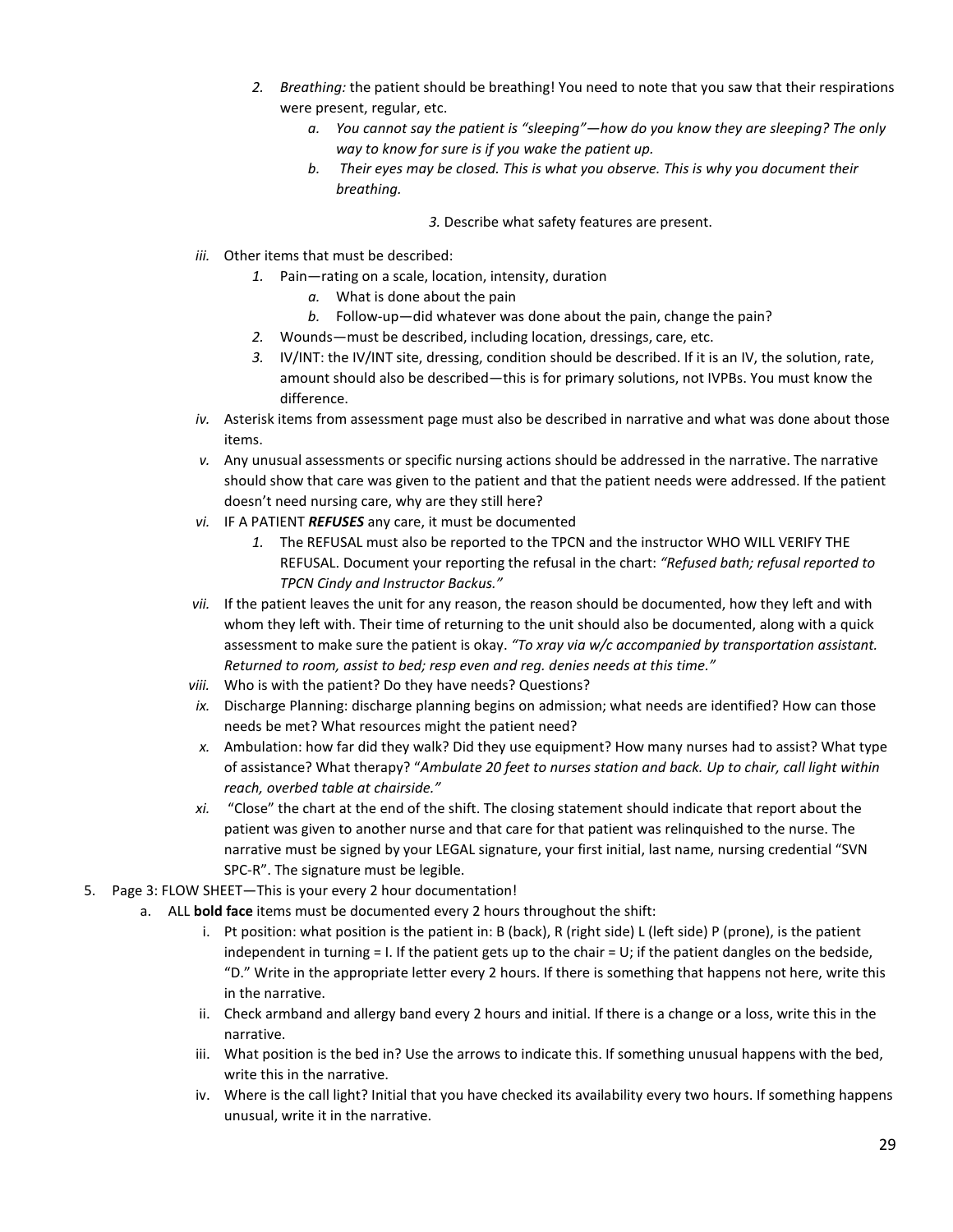- *2. Breathing:* the patient should be breathing! You need to note that you saw that their respirations were present, regular, etc.
	- *a. You cannot say the patient is "sleeping"—how do you know they are sleeping? The only way to know for sure is if you wake the patient up.*
	- *b. Their eyes may be closed. This is what you observe. This is why you document their breathing.* 
		- *3.* Describe what safety features are present.
- *iii.* Other items that must be described:
	- *1.* Pain—rating on a scale, location, intensity, duration
		- *a.* What is done about the pain
		- *b.* Follow-up—did whatever was done about the pain, change the pain?
	- *2.* Wounds—must be described, including location, dressings, care, etc.
	- *3.* IV/INT: the IV/INT site, dressing, condition should be described. If it is an IV, the solution, rate, amount should also be described—this is for primary solutions, not IVPBs. You must know the difference.
- *iv.* Asterisk items from assessment page must also be described in narrative and what was done about those items.
- *v.* Any unusual assessments or specific nursing actions should be addressed in the narrative. The narrative should show that care was given to the patient and that the patient needs were addressed. If the patient doesn't need nursing care, why are they still here?
- *vi.* IF A PATIENT *REFUSES* any care, it must be documented
	- *1.* The REFUSAL must also be reported to the TPCN and the instructor WHO WILL VERIFY THE REFUSAL. Document your reporting the refusal in the chart: *"Refused bath; refusal reported to TPCN Cindy and Instructor Backus."*
- *vii.* If the patient leaves the unit for any reason, the reason should be documented, how they left and with whom they left with. Their time of returning to the unit should also be documented, along with a quick assessment to make sure the patient is okay. *"To xray via w/c accompanied by transportation assistant. Returned to room, assist to bed; resp even and reg. denies needs at this time."*
- *viii.* Who is with the patient? Do they have needs? Questions?
- *ix.* Discharge Planning: discharge planning begins on admission; what needs are identified? How can those needs be met? What resources might the patient need?
- *x.* Ambulation: how far did they walk? Did they use equipment? How many nurses had to assist? What type of assistance? What therapy? "*Ambulate 20 feet to nurses station and back. Up to chair, call light within reach, overbed table at chairside."*
- *xi.* "Close" the chart at the end of the shift. The closing statement should indicate that report about the patient was given to another nurse and that care for that patient was relinquished to the nurse. The narrative must be signed by your LEGAL signature, your first initial, last name, nursing credential "SVN SPC-R". The signature must be legible.
- 5. Page 3: FLOW SHEET—This is your every 2 hour documentation!
	- a. ALL **bold face** items must be documented every 2 hours throughout the shift:
		- i. Pt position: what position is the patient in: B (back), R (right side) L (left side) P (prone), is the patient independent in turning  $= 1$ . If the patient gets up to the chair  $= U$ ; if the patient dangles on the bedside, "D." Write in the appropriate letter every 2 hours. If there is something that happens not here, write this in the narrative.
		- ii. Check armband and allergy band every 2 hours and initial. If there is a change or a loss, write this in the narrative.
		- iii. What position is the bed in? Use the arrows to indicate this. If something unusual happens with the bed, write this in the narrative.
		- iv. Where is the call light? Initial that you have checked its availability every two hours. If something happens unusual, write it in the narrative.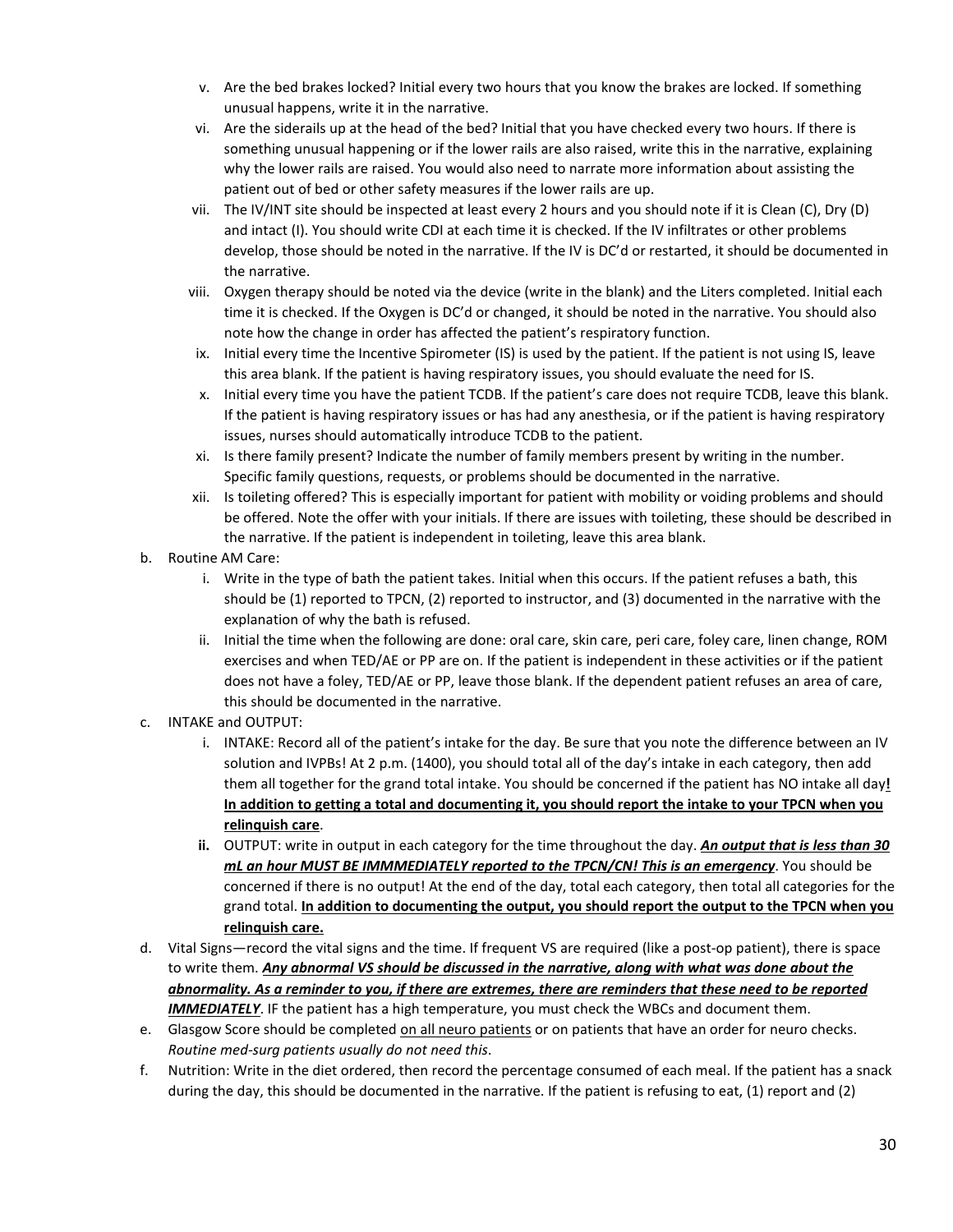- v. Are the bed brakes locked? Initial every two hours that you know the brakes are locked. If something unusual happens, write it in the narrative.
- vi. Are the siderails up at the head of the bed? Initial that you have checked every two hours. If there is something unusual happening or if the lower rails are also raised, write this in the narrative, explaining why the lower rails are raised. You would also need to narrate more information about assisting the patient out of bed or other safety measures if the lower rails are up.
- vii. The IV/INT site should be inspected at least every 2 hours and you should note if it is Clean (C), Dry (D) and intact (I). You should write CDI at each time it is checked. If the IV infiltrates or other problems develop, those should be noted in the narrative. If the IV is DC'd or restarted, it should be documented in the narrative.
- viii. Oxygen therapy should be noted via the device (write in the blank) and the Liters completed. Initial each time it is checked. If the Oxygen is DC'd or changed, it should be noted in the narrative. You should also note how the change in order has affected the patient's respiratory function.
- ix. Initial every time the Incentive Spirometer (IS) is used by the patient. If the patient is not using IS, leave this area blank. If the patient is having respiratory issues, you should evaluate the need for IS.
- x. Initial every time you have the patient TCDB. If the patient's care does not require TCDB, leave this blank. If the patient is having respiratory issues or has had any anesthesia, or if the patient is having respiratory issues, nurses should automatically introduce TCDB to the patient.
- xi. Is there family present? Indicate the number of family members present by writing in the number. Specific family questions, requests, or problems should be documented in the narrative.
- xii. Is toileting offered? This is especially important for patient with mobility or voiding problems and should be offered. Note the offer with your initials. If there are issues with toileting, these should be described in the narrative. If the patient is independent in toileting, leave this area blank.
- b. Routine AM Care:
	- i. Write in the type of bath the patient takes. Initial when this occurs. If the patient refuses a bath, this should be (1) reported to TPCN, (2) reported to instructor, and (3) documented in the narrative with the explanation of why the bath is refused.
	- ii. Initial the time when the following are done: oral care, skin care, peri care, foley care, linen change, ROM exercises and when TED/AE or PP are on. If the patient is independent in these activities or if the patient does not have a foley, TED/AE or PP, leave those blank. If the dependent patient refuses an area of care, this should be documented in the narrative.
- c. INTAKE and OUTPUT:
	- i. INTAKE: Record all of the patient's intake for the day. Be sure that you note the difference between an IV solution and IVPBs! At 2 p.m. (1400), you should total all of the day's intake in each category, then add them all together for the grand total intake. You should be concerned if the patient has NO intake all day**! In addition to getting a total and documenting it, you should report the intake to your TPCN when you relinquish care**.
	- **ii.** OUTPUT: write in output in each category for the time throughout the day. *An output that is less than 30 mL an hour MUST BE IMMMEDIATELY reported to the TPCN/CN! This is an emergency*. You should be concerned if there is no output! At the end of the day, total each category, then total all categories for the grand total. **In addition to documenting the output, you should report the output to the TPCN when you relinquish care.**
- d. Vital Signs—record the vital signs and the time. If frequent VS are required (like a post-op patient), there is space to write them. *Any abnormal VS should be discussed in the narrative, along with what was done about the abnormality. As a reminder to you, if there are extremes, there are reminders that these need to be reported*  **IMMEDIATELY**. IF the patient has a high temperature, you must check the WBCs and document them.
- e. Glasgow Score should be completed on all neuro patients or on patients that have an order for neuro checks. *Routine med-surg patients usually do not need this*.
- f. Nutrition: Write in the diet ordered, then record the percentage consumed of each meal. If the patient has a snack during the day, this should be documented in the narrative. If the patient is refusing to eat, (1) report and (2)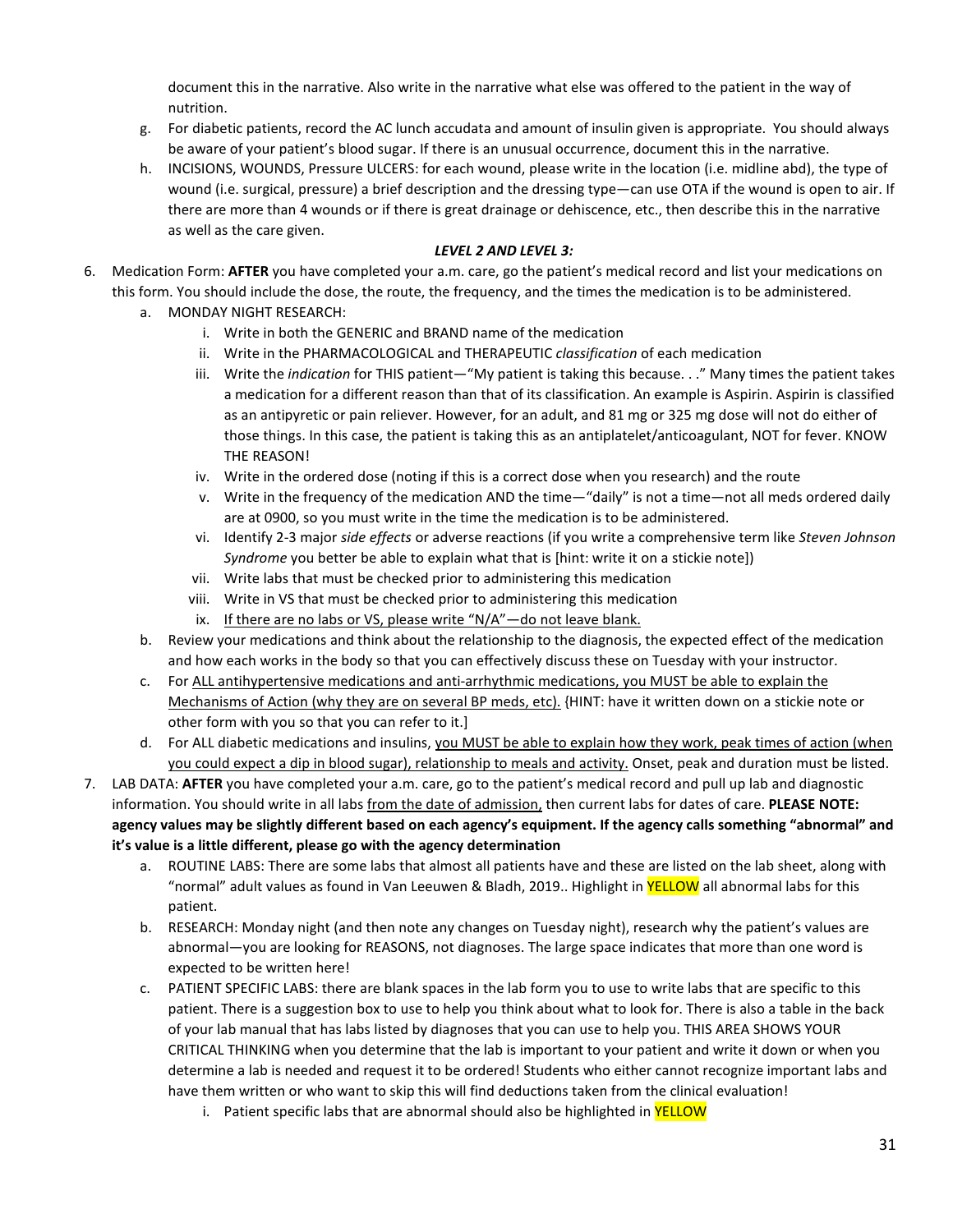document this in the narrative. Also write in the narrative what else was offered to the patient in the way of nutrition.

- g. For diabetic patients, record the AC lunch accudata and amount of insulin given is appropriate. You should always be aware of your patient's blood sugar. If there is an unusual occurrence, document this in the narrative.
- h. INCISIONS, WOUNDS, Pressure ULCERS: for each wound, please write in the location (i.e. midline abd), the type of wound (i.e. surgical, pressure) a brief description and the dressing type—can use OTA if the wound is open to air. If there are more than 4 wounds or if there is great drainage or dehiscence, etc., then describe this in the narrative as well as the care given.

#### *LEVEL 2 AND LEVEL 3:*

- 6. Medication Form: **AFTER** you have completed your a.m. care, go the patient's medical record and list your medications on this form. You should include the dose, the route, the frequency, and the times the medication is to be administered.
	- a. MONDAY NIGHT RESEARCH:
		- i. Write in both the GENERIC and BRAND name of the medication
		- ii. Write in the PHARMACOLOGICAL and THERAPEUTIC *classification* of each medication
		- iii. Write the *indication* for THIS patient—"My patient is taking this because. . ." Many times the patient takes a medication for a different reason than that of its classification. An example is Aspirin. Aspirin is classified as an antipyretic or pain reliever. However, for an adult, and 81 mg or 325 mg dose will not do either of those things. In this case, the patient is taking this as an antiplatelet/anticoagulant, NOT for fever. KNOW THE REASON!
		- iv. Write in the ordered dose (noting if this is a correct dose when you research) and the route
		- v. Write in the frequency of the medication AND the time—"daily" is not a time—not all meds ordered daily are at 0900, so you must write in the time the medication is to be administered.
		- vi. Identify 2-3 major *side effects* or adverse reactions (if you write a comprehensive term like *Steven Johnson Syndrome* you better be able to explain what that is [hint: write it on a stickie note])
		- vii. Write labs that must be checked prior to administering this medication
		- viii. Write in VS that must be checked prior to administering this medication
		- ix. If there are no labs or VS, please write " $N/A$ " do not leave blank.
	- b. Review your medications and think about the relationship to the diagnosis, the expected effect of the medication and how each works in the body so that you can effectively discuss these on Tuesday with your instructor.
	- c. For ALL antihypertensive medications and anti-arrhythmic medications, you MUST be able to explain the Mechanisms of Action (why they are on several BP meds, etc). {HINT: have it written down on a stickie note or other form with you so that you can refer to it.]
	- d. For ALL diabetic medications and insulins, you MUST be able to explain how they work, peak times of action (when you could expect a dip in blood sugar), relationship to meals and activity. Onset, peak and duration must be listed.
- 7. LAB DATA: **AFTER** you have completed your a.m. care, go to the patient's medical record and pull up lab and diagnostic information. You should write in all labs from the date of admission, then current labs for dates of care. **PLEASE NOTE: agency values may be slightly different based on each agency's equipment. If the agency calls something "abnormal" and it's value is a little different, please go with the agency determination**
	- a. ROUTINE LABS: There are some labs that almost all patients have and these are listed on the lab sheet, along with "normal" adult values as found in Van Leeuwen & Bladh, 2019.. Highlight in YELLOW all abnormal labs for this patient.
	- b. RESEARCH: Monday night (and then note any changes on Tuesday night), research why the patient's values are abnormal—you are looking for REASONS, not diagnoses. The large space indicates that more than one word is expected to be written here!
	- c. PATIENT SPECIFIC LABS: there are blank spaces in the lab form you to use to write labs that are specific to this patient. There is a suggestion box to use to help you think about what to look for. There is also a table in the back of your lab manual that has labs listed by diagnoses that you can use to help you. THIS AREA SHOWS YOUR CRITICAL THINKING when you determine that the lab is important to your patient and write it down or when you determine a lab is needed and request it to be ordered! Students who either cannot recognize important labs and have them written or who want to skip this will find deductions taken from the clinical evaluation!
		- i. Patient specific labs that are abnormal should also be highlighted in **YELLOW**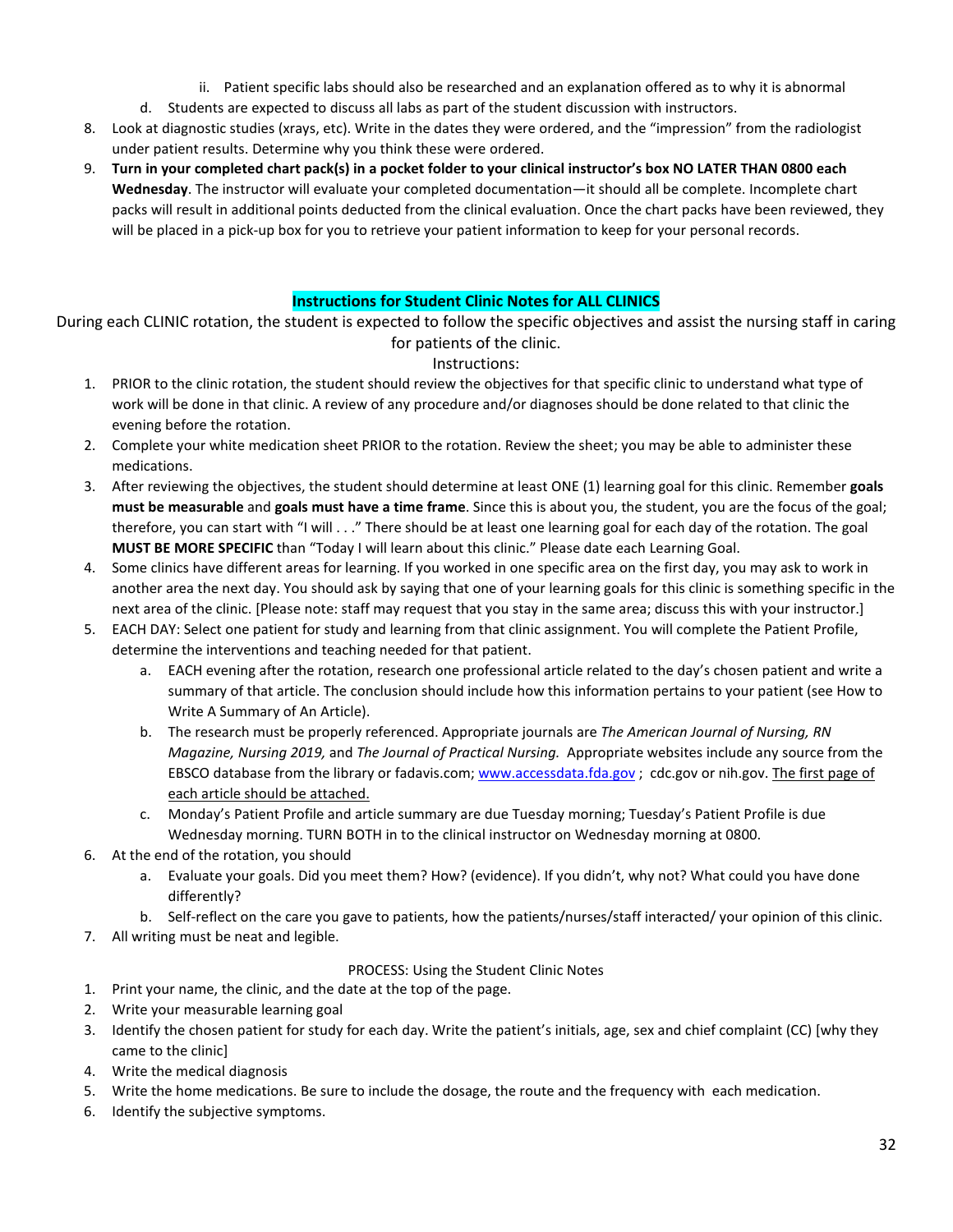- ii. Patient specific labs should also be researched and an explanation offered as to why it is abnormal
- d. Students are expected to discuss all labs as part of the student discussion with instructors.
- 8. Look at diagnostic studies (xrays, etc). Write in the dates they were ordered, and the "impression" from the radiologist under patient results. Determine why you think these were ordered.
- 9. **Turn in your completed chart pack(s) in a pocket folder to your clinical instructor's box NO LATER THAN 0800 each Wednesday**. The instructor will evaluate your completed documentation—it should all be complete. Incomplete chart packs will result in additional points deducted from the clinical evaluation. Once the chart packs have been reviewed, they will be placed in a pick-up box for you to retrieve your patient information to keep for your personal records.

### **Instructions for Student Clinic Notes for ALL CLINICS**

During each CLINIC rotation, the student is expected to follow the specific objectives and assist the nursing staff in caring for patients of the clinic.

### Instructions:

- 1. PRIOR to the clinic rotation, the student should review the objectives for that specific clinic to understand what type of work will be done in that clinic. A review of any procedure and/or diagnoses should be done related to that clinic the evening before the rotation.
- 2. Complete your white medication sheet PRIOR to the rotation. Review the sheet; you may be able to administer these medications.
- 3. After reviewing the objectives, the student should determine at least ONE (1) learning goal for this clinic. Remember **goals must be measurable** and **goals must have a time frame**. Since this is about you, the student, you are the focus of the goal; therefore, you can start with "I will . . ." There should be at least one learning goal for each day of the rotation. The goal **MUST BE MORE SPECIFIC** than "Today I will learn about this clinic." Please date each Learning Goal.
- 4. Some clinics have different areas for learning. If you worked in one specific area on the first day, you may ask to work in another area the next day. You should ask by saying that one of your learning goals for this clinic is something specific in the next area of the clinic. [Please note: staff may request that you stay in the same area; discuss this with your instructor.]
- 5. EACH DAY: Select one patient for study and learning from that clinic assignment. You will complete the Patient Profile, determine the interventions and teaching needed for that patient.
	- a. EACH evening after the rotation, research one professional article related to the day's chosen patient and write a summary of that article. The conclusion should include how this information pertains to your patient (see How to Write A Summary of An Article).
	- b. The research must be properly referenced. Appropriate journals are *The American Journal of Nursing, RN Magazine, Nursing 2019,* and *The Journal of Practical Nursing.* Appropriate websites include any source from the EBSCO database from the library or fadavis.com[; www.accessdata.fda.gov](http://www.accessdata.fda.gov/) ; cdc.gov or nih.gov. The first page of each article should be attached.
	- c. Monday's Patient Profile and article summary are due Tuesday morning; Tuesday's Patient Profile is due Wednesday morning. TURN BOTH in to the clinical instructor on Wednesday morning at 0800.
- 6. At the end of the rotation, you should
	- a. Evaluate your goals. Did you meet them? How? (evidence). If you didn't, why not? What could you have done differently?
	- b. Self-reflect on the care you gave to patients, how the patients/nurses/staff interacted/ your opinion of this clinic.
- 7. All writing must be neat and legible.

### PROCESS: Using the Student Clinic Notes

- 1. Print your name, the clinic, and the date at the top of the page.
- 2. Write your measurable learning goal
- 3. Identify the chosen patient for study for each day. Write the patient's initials, age, sex and chief complaint (CC) [why they came to the clinic]
- 4. Write the medical diagnosis
- 5. Write the home medications. Be sure to include the dosage, the route and the frequency with each medication.
- 6. Identify the subjective symptoms.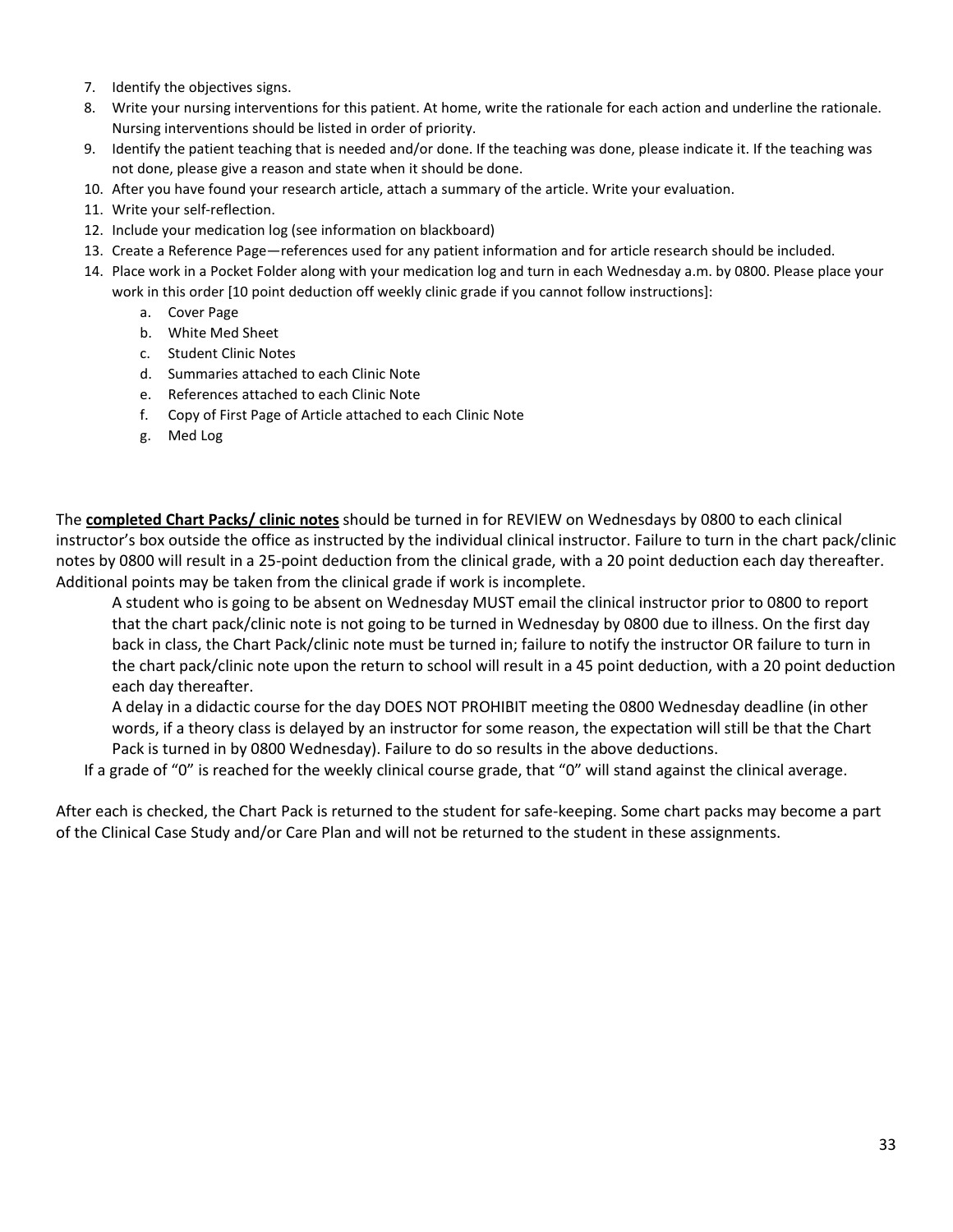- 7. Identify the objectives signs.
- 8. Write your nursing interventions for this patient. At home, write the rationale for each action and underline the rationale. Nursing interventions should be listed in order of priority.
- 9. Identify the patient teaching that is needed and/or done. If the teaching was done, please indicate it. If the teaching was not done, please give a reason and state when it should be done.
- 10. After you have found your research article, attach a summary of the article. Write your evaluation.
- 11. Write your self-reflection.
- 12. Include your medication log (see information on blackboard)
- 13. Create a Reference Page—references used for any patient information and for article research should be included.
- 14. Place work in a Pocket Folder along with your medication log and turn in each Wednesday a.m. by 0800. Please place your work in this order [10 point deduction off weekly clinic grade if you cannot follow instructions]:
	- a. Cover Page
	- b. White Med Sheet
	- c. Student Clinic Notes
	- d. Summaries attached to each Clinic Note
	- e. References attached to each Clinic Note
	- f. Copy of First Page of Article attached to each Clinic Note
	- g. Med Log

The **completed Chart Packs/ clinic notes** should be turned in for REVIEW on Wednesdays by 0800 to each clinical instructor's box outside the office as instructed by the individual clinical instructor. Failure to turn in the chart pack/clinic notes by 0800 will result in a 25-point deduction from the clinical grade, with a 20 point deduction each day thereafter. Additional points may be taken from the clinical grade if work is incomplete.

A student who is going to be absent on Wednesday MUST email the clinical instructor prior to 0800 to report that the chart pack/clinic note is not going to be turned in Wednesday by 0800 due to illness. On the first day back in class, the Chart Pack/clinic note must be turned in; failure to notify the instructor OR failure to turn in the chart pack/clinic note upon the return to school will result in a 45 point deduction, with a 20 point deduction each day thereafter.

A delay in a didactic course for the day DOES NOT PROHIBIT meeting the 0800 Wednesday deadline (in other words, if a theory class is delayed by an instructor for some reason, the expectation will still be that the Chart Pack is turned in by 0800 Wednesday). Failure to do so results in the above deductions.

If a grade of "0" is reached for the weekly clinical course grade, that "0" will stand against the clinical average.

After each is checked, the Chart Pack is returned to the student for safe-keeping. Some chart packs may become a part of the Clinical Case Study and/or Care Plan and will not be returned to the student in these assignments.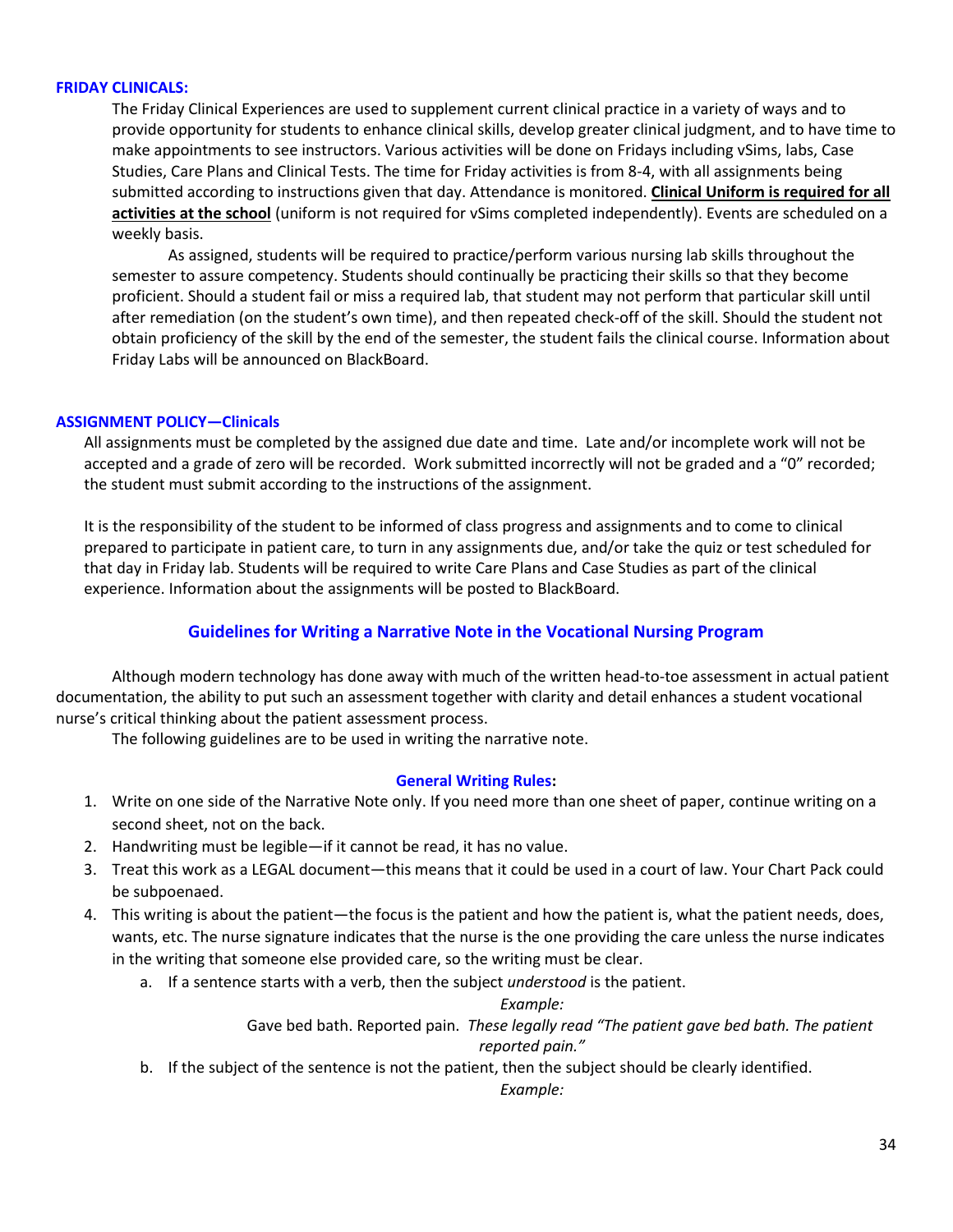#### **FRIDAY CLINICALS:**

The Friday Clinical Experiences are used to supplement current clinical practice in a variety of ways and to provide opportunity for students to enhance clinical skills, develop greater clinical judgment, and to have time to make appointments to see instructors. Various activities will be done on Fridays including vSims, labs, Case Studies, Care Plans and Clinical Tests. The time for Friday activities is from 8-4, with all assignments being submitted according to instructions given that day. Attendance is monitored. **Clinical Uniform is required for all activities at the school** (uniform is not required for vSims completed independently). Events are scheduled on a weekly basis.

As assigned, students will be required to practice/perform various nursing lab skills throughout the semester to assure competency. Students should continually be practicing their skills so that they become proficient. Should a student fail or miss a required lab, that student may not perform that particular skill until after remediation (on the student's own time), and then repeated check-off of the skill. Should the student not obtain proficiency of the skill by the end of the semester, the student fails the clinical course. Information about Friday Labs will be announced on BlackBoard.

### **ASSIGNMENT POLICY—Clinicals**

All assignments must be completed by the assigned due date and time. Late and/or incomplete work will not be accepted and a grade of zero will be recorded. Work submitted incorrectly will not be graded and a "0" recorded; the student must submit according to the instructions of the assignment.

It is the responsibility of the student to be informed of class progress and assignments and to come to clinical prepared to participate in patient care, to turn in any assignments due, and/or take the quiz or test scheduled for that day in Friday lab. Students will be required to write Care Plans and Case Studies as part of the clinical experience. Information about the assignments will be posted to BlackBoard.

# **Guidelines for Writing a Narrative Note in the Vocational Nursing Program**

Although modern technology has done away with much of the written head-to-toe assessment in actual patient documentation, the ability to put such an assessment together with clarity and detail enhances a student vocational nurse's critical thinking about the patient assessment process.

The following guidelines are to be used in writing the narrative note.

#### **General Writing Rules:**

- 1. Write on one side of the Narrative Note only. If you need more than one sheet of paper, continue writing on a second sheet, not on the back.
- 2. Handwriting must be legible—if it cannot be read, it has no value.
- 3. Treat this work as a LEGAL document—this means that it could be used in a court of law. Your Chart Pack could be subpoenaed.
- 4. This writing is about the patient—the focus is the patient and how the patient is, what the patient needs, does, wants, etc. The nurse signature indicates that the nurse is the one providing the care unless the nurse indicates in the writing that someone else provided care, so the writing must be clear.
	- a. If a sentence starts with a verb, then the subject *understood* is the patient.

#### *Example:*

Gave bed bath. Reported pain. *These legally read "The patient gave bed bath. The patient reported pain."*

b. If the subject of the sentence is not the patient, then the subject should be clearly identified.

*Example:*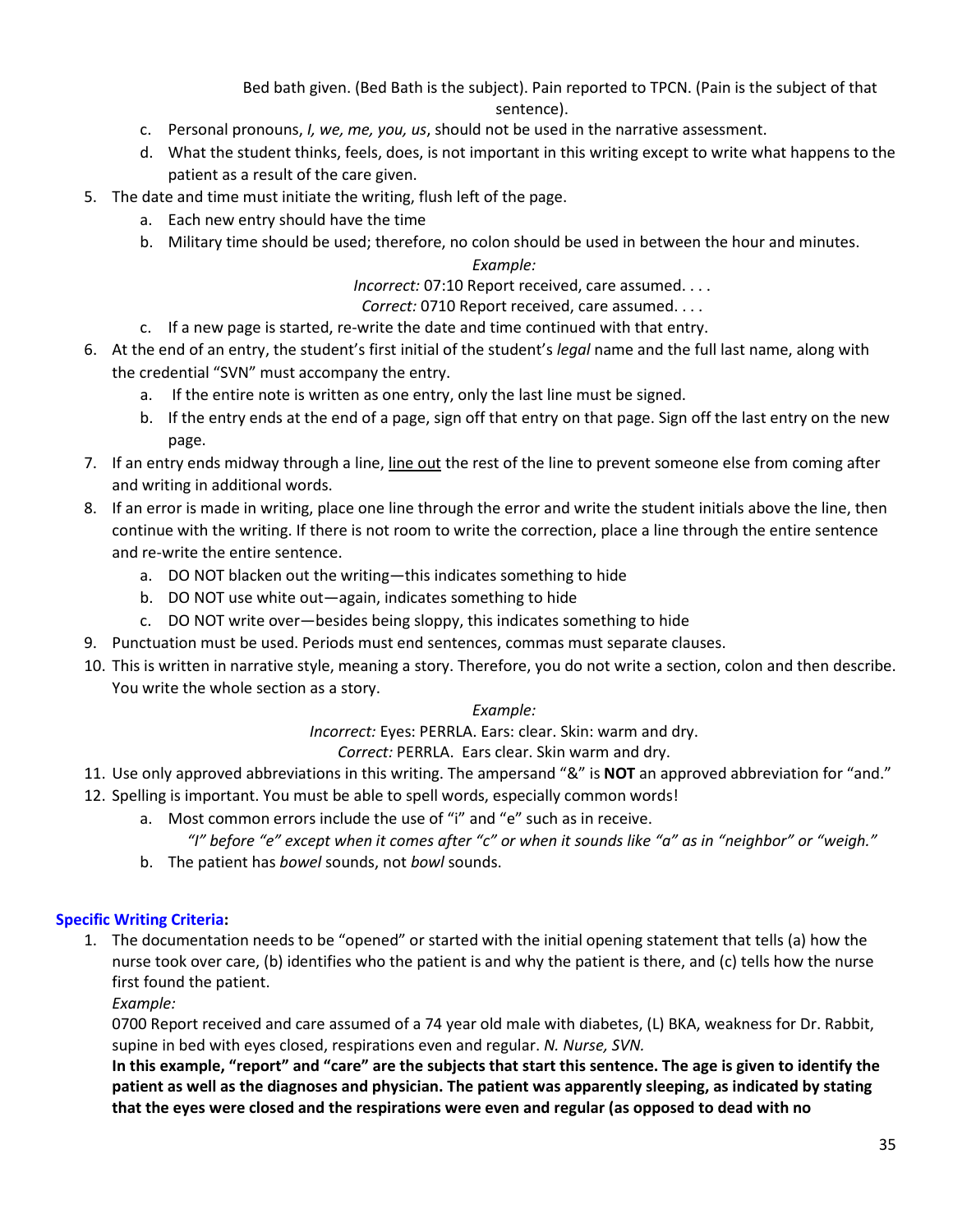Bed bath given. (Bed Bath is the subject). Pain reported to TPCN. (Pain is the subject of that sentence).

- c. Personal pronouns, *I, we, me, you, us*, should not be used in the narrative assessment.
- d. What the student thinks, feels, does, is not important in this writing except to write what happens to the patient as a result of the care given.
- 5. The date and time must initiate the writing, flush left of the page.
	- a. Each new entry should have the time
	- b. Military time should be used; therefore, no colon should be used in between the hour and minutes.

### *Example:*

*Incorrect:* 07:10 Report received, care assumed. . . .

- *Correct:* 0710 Report received, care assumed. . . .
- c. If a new page is started, re-write the date and time continued with that entry.
- 6. At the end of an entry, the student's first initial of the student's *legal* name and the full last name, along with the credential "SVN" must accompany the entry.
	- a. If the entire note is written as one entry, only the last line must be signed.
	- b. If the entry ends at the end of a page, sign off that entry on that page. Sign off the last entry on the new page.
- 7. If an entry ends midway through a line, line out the rest of the line to prevent someone else from coming after and writing in additional words.
- 8. If an error is made in writing, place one line through the error and write the student initials above the line, then continue with the writing. If there is not room to write the correction, place a line through the entire sentence and re-write the entire sentence.
	- a. DO NOT blacken out the writing—this indicates something to hide
	- b. DO NOT use white out—again, indicates something to hide
	- c. DO NOT write over—besides being sloppy, this indicates something to hide
- 9. Punctuation must be used. Periods must end sentences, commas must separate clauses.
- 10. This is written in narrative style, meaning a story. Therefore, you do not write a section, colon and then describe. You write the whole section as a story.

### *Example:*

*Incorrect:* Eyes: PERRLA. Ears: clear. Skin: warm and dry.

*Correct:* PERRLA. Ears clear. Skin warm and dry.

- 11. Use only approved abbreviations in this writing. The ampersand "&" is **NOT** an approved abbreviation for "and."
- 12. Spelling is important. You must be able to spell words, especially common words!
	- a. Most common errors include the use of "i" and "e" such as in receive.
		- *"I" before "e" except when it comes after "c" or when it sounds like "a" as in "neighbor" or "weigh."*
	- b. The patient has *bowel* sounds, not *bowl* sounds.

### **Specific Writing Criteria:**

- 1. The documentation needs to be "opened" or started with the initial opening statement that tells (a) how the nurse took over care, (b) identifies who the patient is and why the patient is there, and (c) tells how the nurse first found the patient.
	- *Example:*

0700 Report received and care assumed of a 74 year old male with diabetes, (L) BKA, weakness for Dr. Rabbit, supine in bed with eyes closed, respirations even and regular. *N. Nurse, SVN.*

**In this example, "report" and "care" are the subjects that start this sentence. The age is given to identify the patient as well as the diagnoses and physician. The patient was apparently sleeping, as indicated by stating that the eyes were closed and the respirations were even and regular (as opposed to dead with no**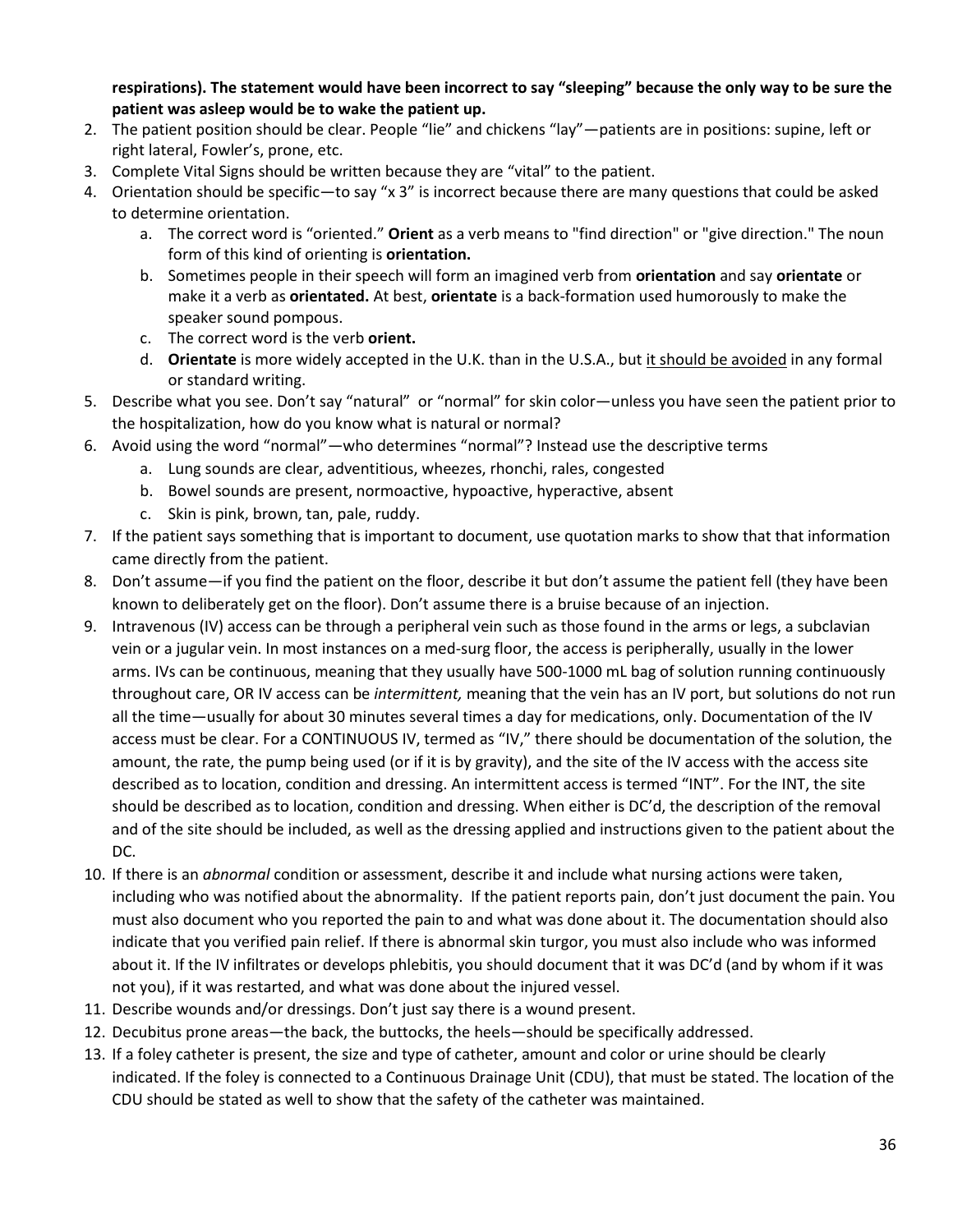**respirations). The statement would have been incorrect to say "sleeping" because the only way to be sure the patient was asleep would be to wake the patient up.**

- 2. The patient position should be clear. People "lie" and chickens "lay"—patients are in positions: supine, left or right lateral, Fowler's, prone, etc.
- 3. Complete Vital Signs should be written because they are "vital" to the patient.
- 4. Orientation should be specific—to say "x 3" is incorrect because there are many questions that could be asked to determine orientation.
	- a. The correct word is "oriented." **Orient** as a verb means to "find direction" or "give direction." The noun form of this kind of orienting is **orientation.**
	- b. Sometimes people in their speech will form an imagined verb from **orientation** and say **orientate** or make it a verb as **orientated.** At best, **orientate** is a back-formation used humorously to make the speaker sound pompous.
	- c. The correct word is the verb **orient.**
	- d. **Orientate** is more widely accepted in the U.K. than in the U.S.A., but it should be avoided in any formal or standard writing.
- 5. Describe what you see. Don't say "natural" or "normal" for skin color—unless you have seen the patient prior to the hospitalization, how do you know what is natural or normal?
- 6. Avoid using the word "normal"—who determines "normal"? Instead use the descriptive terms
	- a. Lung sounds are clear, adventitious, wheezes, rhonchi, rales, congested
	- b. Bowel sounds are present, normoactive, hypoactive, hyperactive, absent
	- c. Skin is pink, brown, tan, pale, ruddy.
- 7. If the patient says something that is important to document, use quotation marks to show that that information came directly from the patient.
- 8. Don't assume—if you find the patient on the floor, describe it but don't assume the patient fell (they have been known to deliberately get on the floor). Don't assume there is a bruise because of an injection.
- 9. Intravenous (IV) access can be through a peripheral vein such as those found in the arms or legs, a subclavian vein or a jugular vein. In most instances on a med-surg floor, the access is peripherally, usually in the lower arms. IVs can be continuous, meaning that they usually have 500-1000 mL bag of solution running continuously throughout care, OR IV access can be *intermittent,* meaning that the vein has an IV port, but solutions do not run all the time—usually for about 30 minutes several times a day for medications, only. Documentation of the IV access must be clear. For a CONTINUOUS IV, termed as "IV," there should be documentation of the solution, the amount, the rate, the pump being used (or if it is by gravity), and the site of the IV access with the access site described as to location, condition and dressing. An intermittent access is termed "INT". For the INT, the site should be described as to location, condition and dressing. When either is DC'd, the description of the removal and of the site should be included, as well as the dressing applied and instructions given to the patient about the DC.
- 10. If there is an *abnormal* condition or assessment, describe it and include what nursing actions were taken, including who was notified about the abnormality. If the patient reports pain, don't just document the pain. You must also document who you reported the pain to and what was done about it. The documentation should also indicate that you verified pain relief. If there is abnormal skin turgor, you must also include who was informed about it. If the IV infiltrates or develops phlebitis, you should document that it was DC'd (and by whom if it was not you), if it was restarted, and what was done about the injured vessel.
- 11. Describe wounds and/or dressings. Don't just say there is a wound present.
- 12. Decubitus prone areas—the back, the buttocks, the heels—should be specifically addressed.
- 13. If a foley catheter is present, the size and type of catheter, amount and color or urine should be clearly indicated. If the foley is connected to a Continuous Drainage Unit (CDU), that must be stated. The location of the CDU should be stated as well to show that the safety of the catheter was maintained.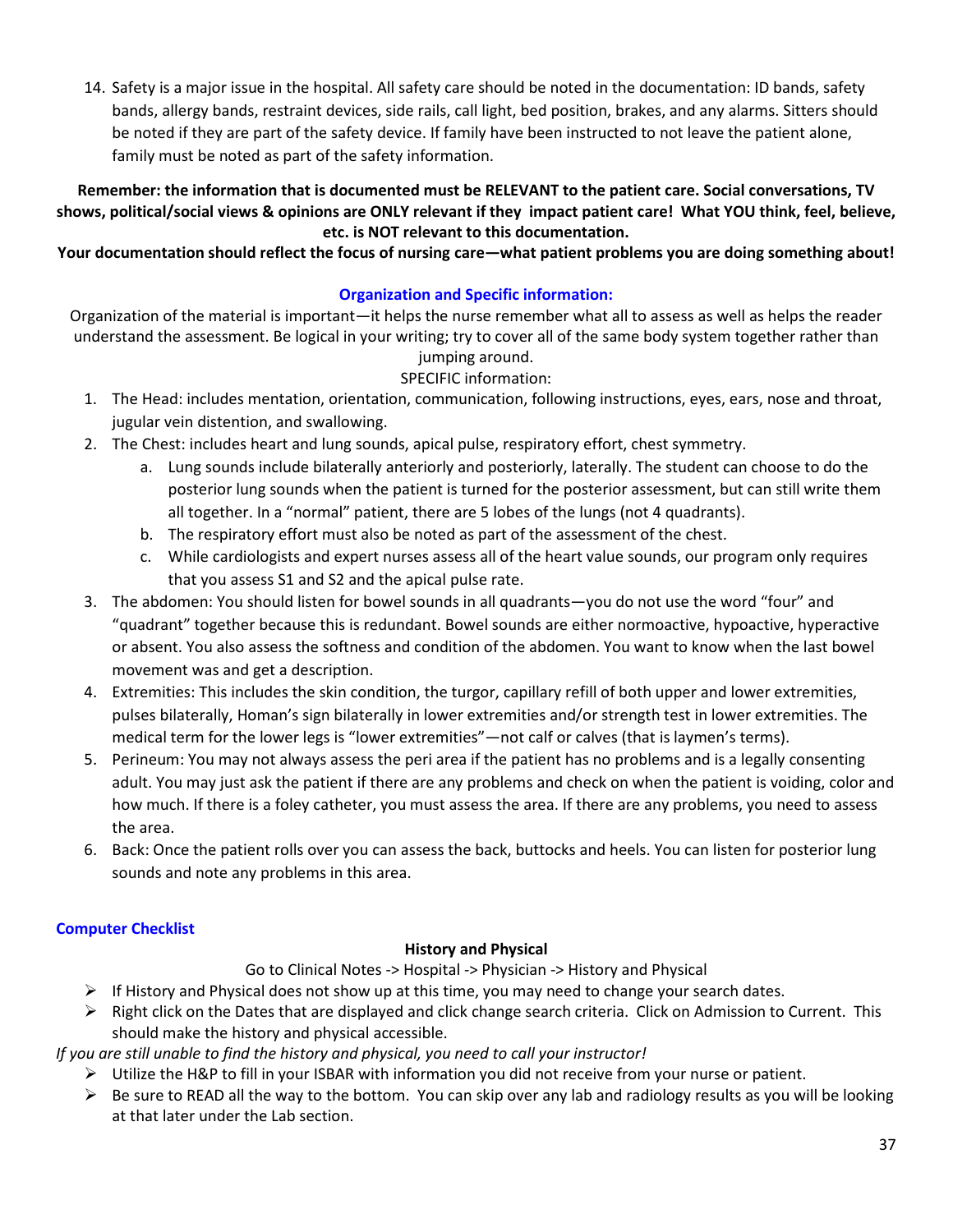14. Safety is a major issue in the hospital. All safety care should be noted in the documentation: ID bands, safety bands, allergy bands, restraint devices, side rails, call light, bed position, brakes, and any alarms. Sitters should be noted if they are part of the safety device. If family have been instructed to not leave the patient alone, family must be noted as part of the safety information.

# **Remember: the information that is documented must be RELEVANT to the patient care. Social conversations, TV shows, political/social views & opinions are ONLY relevant if they impact patient care! What YOU think, feel, believe, etc. is NOT relevant to this documentation.**

# **Your documentation should reflect the focus of nursing care—what patient problems you are doing something about!**

# **Organization and Specific information:**

Organization of the material is important—it helps the nurse remember what all to assess as well as helps the reader understand the assessment. Be logical in your writing; try to cover all of the same body system together rather than jumping around.

# SPECIFIC information:

- 1. The Head: includes mentation, orientation, communication, following instructions, eyes, ears, nose and throat, jugular vein distention, and swallowing.
- 2. The Chest: includes heart and lung sounds, apical pulse, respiratory effort, chest symmetry.
	- a. Lung sounds include bilaterally anteriorly and posteriorly, laterally. The student can choose to do the posterior lung sounds when the patient is turned for the posterior assessment, but can still write them all together. In a "normal" patient, there are 5 lobes of the lungs (not 4 quadrants).
	- b. The respiratory effort must also be noted as part of the assessment of the chest.
	- c. While cardiologists and expert nurses assess all of the heart value sounds, our program only requires that you assess S1 and S2 and the apical pulse rate.
- 3. The abdomen: You should listen for bowel sounds in all quadrants—you do not use the word "four" and "quadrant" together because this is redundant. Bowel sounds are either normoactive, hypoactive, hyperactive or absent. You also assess the softness and condition of the abdomen. You want to know when the last bowel movement was and get a description.
- 4. Extremities: This includes the skin condition, the turgor, capillary refill of both upper and lower extremities, pulses bilaterally, Homan's sign bilaterally in lower extremities and/or strength test in lower extremities. The medical term for the lower legs is "lower extremities"—not calf or calves (that is laymen's terms).
- 5. Perineum: You may not always assess the peri area if the patient has no problems and is a legally consenting adult. You may just ask the patient if there are any problems and check on when the patient is voiding, color and how much. If there is a foley catheter, you must assess the area. If there are any problems, you need to assess the area.
- 6. Back: Once the patient rolls over you can assess the back, buttocks and heels. You can listen for posterior lung sounds and note any problems in this area.

# **Computer Checklist**

# **History and Physical**

Go to Clinical Notes -> Hospital -> Physician -> History and Physical

- $\triangleright$  If History and Physical does not show up at this time, you may need to change your search dates.
- $\triangleright$  Right click on the Dates that are displayed and click change search criteria. Click on Admission to Current. This should make the history and physical accessible.

*If you are still unable to find the history and physical, you need to call your instructor!*

- $\triangleright$  Utilize the H&P to fill in your ISBAR with information you did not receive from your nurse or patient.
- $\triangleright$  Be sure to READ all the way to the bottom. You can skip over any lab and radiology results as you will be looking at that later under the Lab section.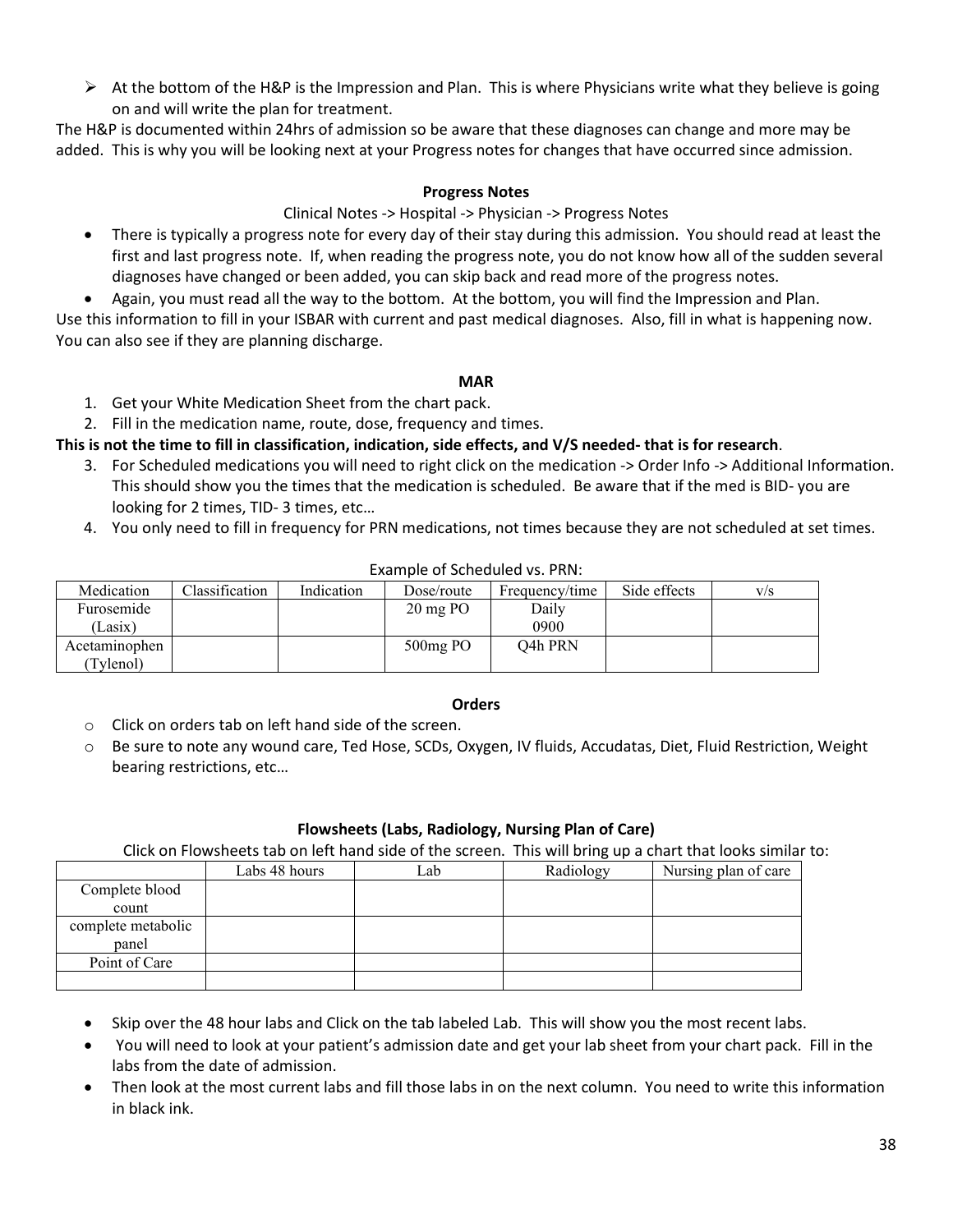$\triangleright$  At the bottom of the H&P is the Impression and Plan. This is where Physicians write what they believe is going on and will write the plan for treatment.

The H&P is documented within 24hrs of admission so be aware that these diagnoses can change and more may be added. This is why you will be looking next at your Progress notes for changes that have occurred since admission.

### **Progress Notes**

#### Clinical Notes -> Hospital -> Physician -> Progress Notes

- There is typically a progress note for every day of their stay during this admission. You should read at least the first and last progress note. If, when reading the progress note, you do not know how all of the sudden several diagnoses have changed or been added, you can skip back and read more of the progress notes.
- Again, you must read all the way to the bottom. At the bottom, you will find the Impression and Plan.

Use this information to fill in your ISBAR with current and past medical diagnoses. Also, fill in what is happening now. You can also see if they are planning discharge.

#### **MAR**

- 1. Get your White Medication Sheet from the chart pack.
- 2. Fill in the medication name, route, dose, frequency and times.

**This is not the time to fill in classification, indication, side effects, and V/S needed- that is for research**.

- 3. For Scheduled medications you will need to right click on the medication -> Order Info -> Additional Information. This should show you the times that the medication is scheduled. Be aware that if the med is BID- you are looking for 2 times, TID- 3 times, etc…
- 4. You only need to fill in frequency for PRN medications, not times because they are not scheduled at set times.

| Medication    | Classification | Indication | Dose/route          | Frequency/time       | Side effects | V/S |
|---------------|----------------|------------|---------------------|----------------------|--------------|-----|
| Furosemide    |                |            | $20 \text{ mg }$ PO | Daily                |              |     |
| (Lasix)       |                |            |                     | 0900                 |              |     |
| Acetaminophen |                |            | $500mg$ PO          | O <sub>4</sub> h PRN |              |     |
| (Tylenol)     |                |            |                     |                      |              |     |

Example of Scheduled vs. PRN:

#### **Orders**

- o Click on orders tab on left hand side of the screen.
- o Be sure to note any wound care, Ted Hose, SCDs, Oxygen, IV fluids, Accudatas, Diet, Fluid Restriction, Weight bearing restrictions, etc…

### **Flowsheets (Labs, Radiology, Nursing Plan of Care)**

Click on Flowsheets tab on left hand side of the screen. This will bring up a chart that looks similar to:

|                    | Labs 48 hours | ∟ab | Radiology | Nursing plan of care |
|--------------------|---------------|-----|-----------|----------------------|
| Complete blood     |               |     |           |                      |
| count              |               |     |           |                      |
| complete metabolic |               |     |           |                      |
| panel              |               |     |           |                      |
| Point of Care      |               |     |           |                      |
|                    |               |     |           |                      |

- Skip over the 48 hour labs and Click on the tab labeled Lab. This will show you the most recent labs.
- You will need to look at your patient's admission date and get your lab sheet from your chart pack. Fill in the labs from the date of admission.
- Then look at the most current labs and fill those labs in on the next column. You need to write this information in black ink.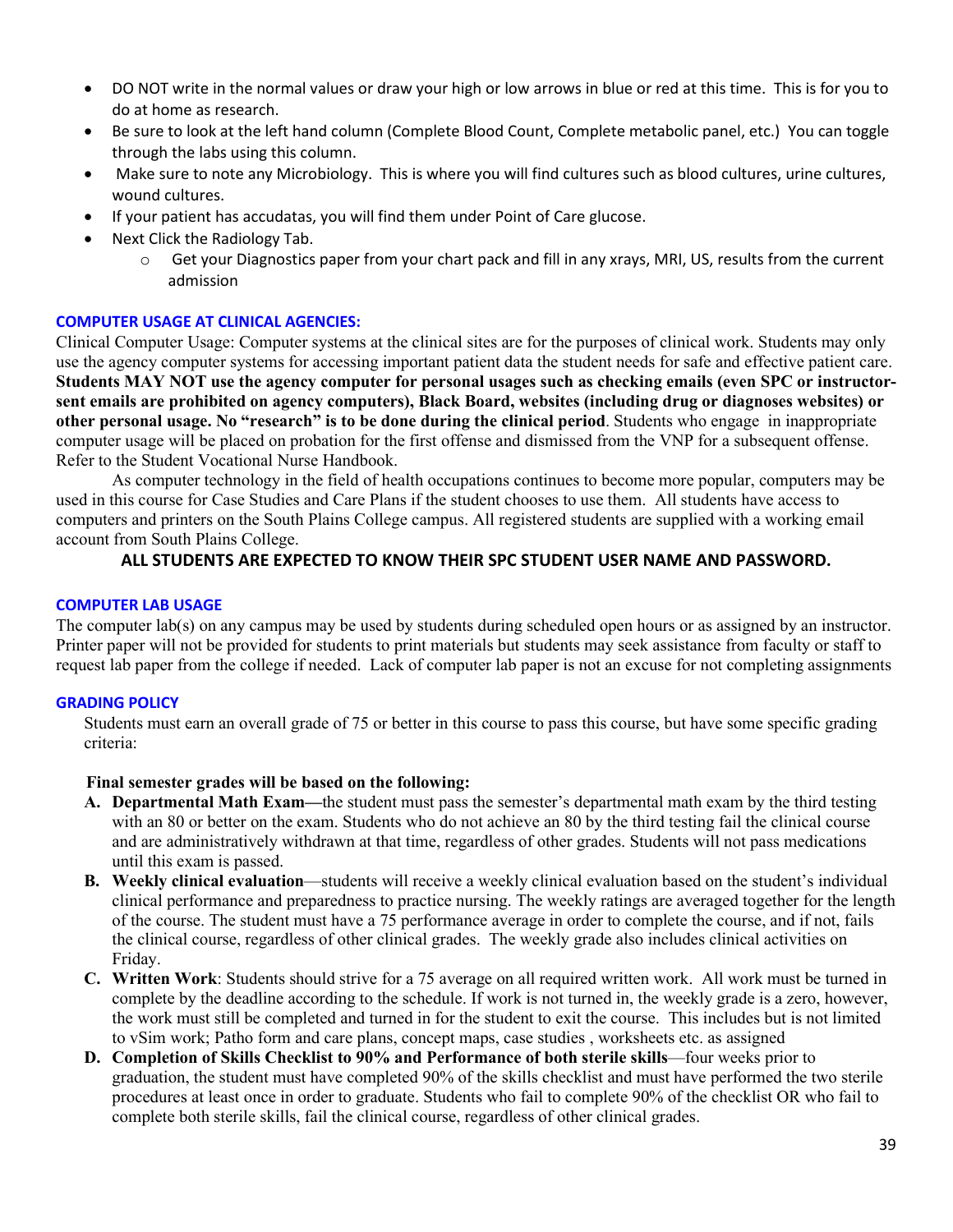- DO NOT write in the normal values or draw your high or low arrows in blue or red at this time. This is for you to do at home as research.
- Be sure to look at the left hand column (Complete Blood Count, Complete metabolic panel, etc.) You can toggle through the labs using this column.
- Make sure to note any Microbiology. This is where you will find cultures such as blood cultures, urine cultures, wound cultures.
- If your patient has accudatas, you will find them under Point of Care glucose.
- Next Click the Radiology Tab.
	- $\circ$  Get your Diagnostics paper from your chart pack and fill in any xrays, MRI, US, results from the current admission

### **COMPUTER USAGE AT CLINICAL AGENCIES:**

Clinical Computer Usage: Computer systems at the clinical sites are for the purposes of clinical work. Students may only use the agency computer systems for accessing important patient data the student needs for safe and effective patient care. **Students MAY NOT use the agency computer for personal usages such as checking emails (even SPC or instructorsent emails are prohibited on agency computers), Black Board, websites (including drug or diagnoses websites) or other personal usage. No "research" is to be done during the clinical period**. Students who engage in inappropriate computer usage will be placed on probation for the first offense and dismissed from the VNP for a subsequent offense. Refer to the Student Vocational Nurse Handbook.

As computer technology in the field of health occupations continues to become more popular, computers may be used in this course for Case Studies and Care Plans if the student chooses to use them. All students have access to computers and printers on the South Plains College campus. All registered students are supplied with a working email account from South Plains College.

### **ALL STUDENTS ARE EXPECTED TO KNOW THEIR SPC STUDENT USER NAME AND PASSWORD.**

#### **COMPUTER LAB USAGE**

The computer lab(s) on any campus may be used by students during scheduled open hours or as assigned by an instructor. Printer paper will not be provided for students to print materials but students may seek assistance from faculty or staff to request lab paper from the college if needed. Lack of computer lab paper is not an excuse for not completing assignments

### **GRADING POLICY**

Students must earn an overall grade of 75 or better in this course to pass this course, but have some specific grading criteria:

### **Final semester grades will be based on the following:**

- **A. Departmental Math Exam—**the student must pass the semester's departmental math exam by the third testing with an 80 or better on the exam. Students who do not achieve an 80 by the third testing fail the clinical course and are administratively withdrawn at that time, regardless of other grades. Students will not pass medications until this exam is passed.
- **B. Weekly clinical evaluation**—students will receive a weekly clinical evaluation based on the student's individual clinical performance and preparedness to practice nursing. The weekly ratings are averaged together for the length of the course. The student must have a 75 performance average in order to complete the course, and if not, fails the clinical course, regardless of other clinical grades. The weekly grade also includes clinical activities on Friday.
- **C. Written Work**: Students should strive for a 75 average on all required written work. All work must be turned in complete by the deadline according to the schedule. If work is not turned in, the weekly grade is a zero, however, the work must still be completed and turned in for the student to exit the course. This includes but is not limited to vSim work; Patho form and care plans, concept maps, case studies , worksheets etc. as assigned
- **D. Completion of Skills Checklist to 90% and Performance of both sterile skills**—four weeks prior to graduation, the student must have completed 90% of the skills checklist and must have performed the two sterile procedures at least once in order to graduate. Students who fail to complete 90% of the checklist OR who fail to complete both sterile skills, fail the clinical course, regardless of other clinical grades.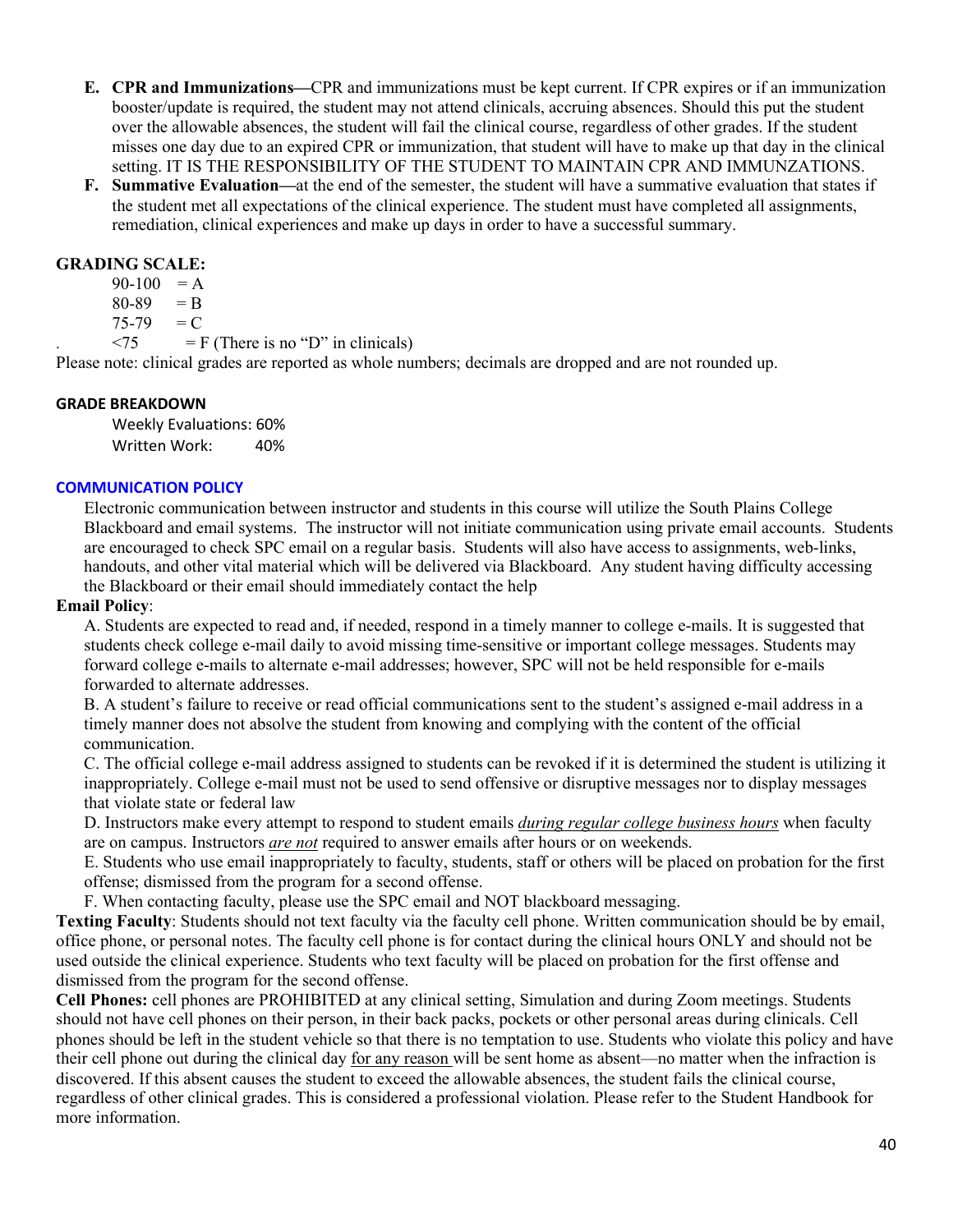- **E. CPR and Immunizations—**CPR and immunizations must be kept current. If CPR expires or if an immunization booster/update is required, the student may not attend clinicals, accruing absences. Should this put the student over the allowable absences, the student will fail the clinical course, regardless of other grades. If the student misses one day due to an expired CPR or immunization, that student will have to make up that day in the clinical setting. IT IS THE RESPONSIBILITY OF THE STUDENT TO MAINTAIN CPR AND IMMUNZATIONS.
- **F. Summative Evaluation—**at the end of the semester, the student will have a summative evaluation that states if the student met all expectations of the clinical experience. The student must have completed all assignments, remediation, clinical experiences and make up days in order to have a successful summary.

### **GRADING SCALE:**

 $90-100 = A$  $80-89 = B$ 

 $75-79 = C$ 

 $\langle 75 \rangle$  = F (There is no "D" in clinicals)

Please note: clinical grades are reported as whole numbers; decimals are dropped and are not rounded up.

### **GRADE BREAKDOWN**

Weekly Evaluations: 60% Written Work: 40%

### **COMMUNICATION POLICY**

Electronic communication between instructor and students in this course will utilize the South Plains College Blackboard and email systems. The instructor will not initiate communication using private email accounts. Students are encouraged to check SPC email on a regular basis. Students will also have access to assignments, web-links, handouts, and other vital material which will be delivered via Blackboard. Any student having difficulty accessing the Blackboard or their email should immediately contact the help

### **Email Policy**:

A. Students are expected to read and, if needed, respond in a timely manner to college e-mails. It is suggested that students check college e-mail daily to avoid missing time-sensitive or important college messages. Students may forward college e-mails to alternate e-mail addresses; however, SPC will not be held responsible for e-mails forwarded to alternate addresses.

B. A student's failure to receive or read official communications sent to the student's assigned e-mail address in a timely manner does not absolve the student from knowing and complying with the content of the official communication.

C. The official college e-mail address assigned to students can be revoked if it is determined the student is utilizing it inappropriately. College e-mail must not be used to send offensive or disruptive messages nor to display messages that violate state or federal law

D. Instructors make every attempt to respond to student emails *during regular college business hours* when faculty are on campus. Instructors *are not* required to answer emails after hours or on weekends.

E. Students who use email inappropriately to faculty, students, staff or others will be placed on probation for the first offense; dismissed from the program for a second offense.

F. When contacting faculty, please use the SPC email and NOT blackboard messaging.

**Texting Faculty**: Students should not text faculty via the faculty cell phone. Written communication should be by email, office phone, or personal notes. The faculty cell phone is for contact during the clinical hours ONLY and should not be used outside the clinical experience. Students who text faculty will be placed on probation for the first offense and dismissed from the program for the second offense.

**Cell Phones:** cell phones are PROHIBITED at any clinical setting, Simulation and during Zoom meetings. Students should not have cell phones on their person, in their back packs, pockets or other personal areas during clinicals. Cell phones should be left in the student vehicle so that there is no temptation to use. Students who violate this policy and have their cell phone out during the clinical day for any reason will be sent home as absent—no matter when the infraction is discovered. If this absent causes the student to exceed the allowable absences, the student fails the clinical course, regardless of other clinical grades. This is considered a professional violation. Please refer to the Student Handbook for more information.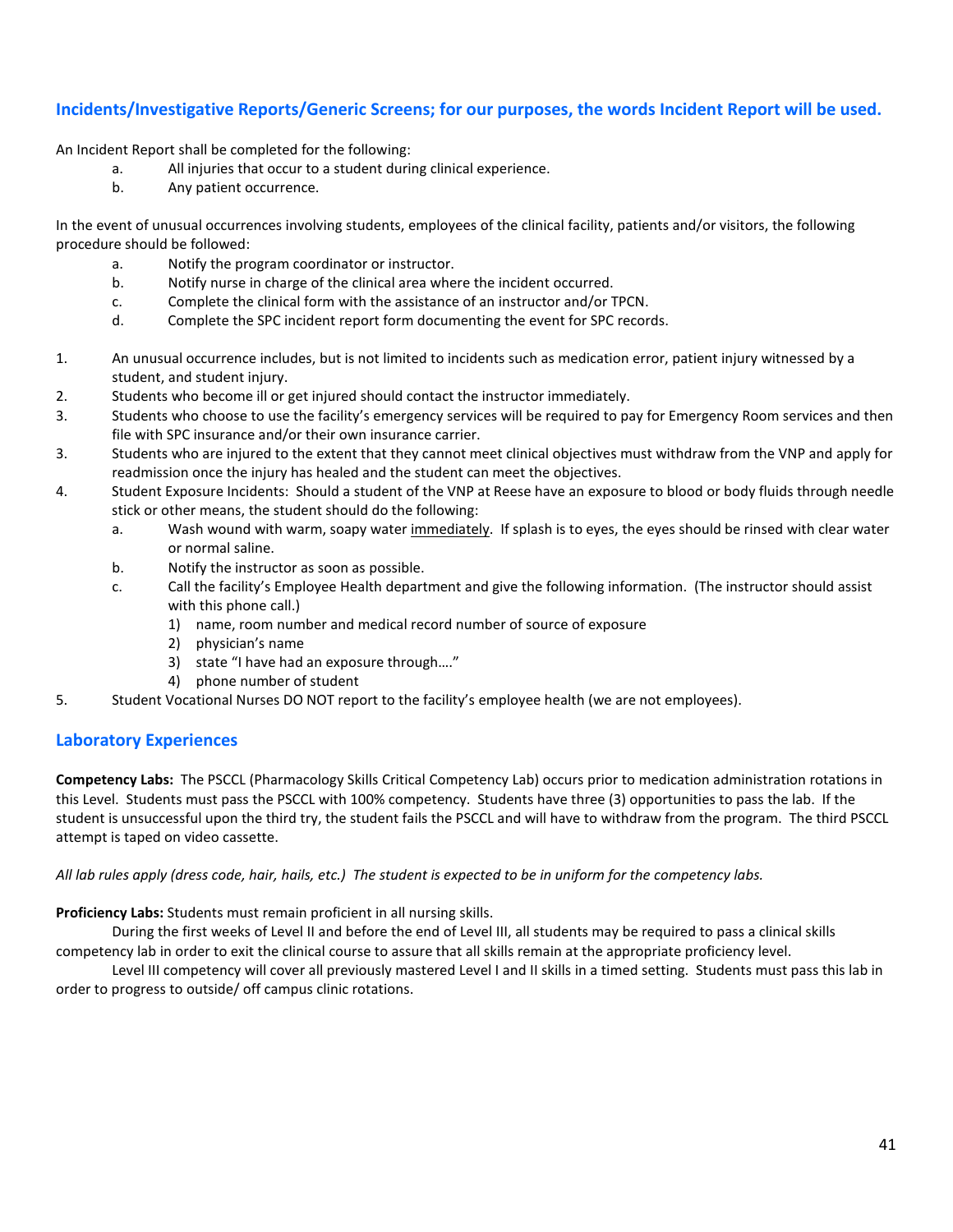### **Incidents/Investigative Reports/Generic Screens; for our purposes, the words Incident Report will be used.**

An Incident Report shall be completed for the following:

- a. All injuries that occur to a student during clinical experience.
- b. Any patient occurrence.

In the event of unusual occurrences involving students, employees of the clinical facility, patients and/or visitors, the following procedure should be followed:

- a. Notify the program coordinator or instructor.
- b. Notify nurse in charge of the clinical area where the incident occurred.
- c. Complete the clinical form with the assistance of an instructor and/or TPCN.
- d. Complete the SPC incident report form documenting the event for SPC records.
- 1. An unusual occurrence includes, but is not limited to incidents such as medication error, patient injury witnessed by a student, and student injury.
- 2. Students who become ill or get injured should contact the instructor immediately.
- 3. Students who choose to use the facility's emergency services will be required to pay for Emergency Room services and then file with SPC insurance and/or their own insurance carrier.
- 3. Students who are injured to the extent that they cannot meet clinical objectives must withdraw from the VNP and apply for readmission once the injury has healed and the student can meet the objectives.
- 4. Student Exposure Incidents: Should a student of the VNP at Reese have an exposure to blood or body fluids through needle stick or other means, the student should do the following:
	- a. Wash wound with warm, soapy water immediately. If splash is to eyes, the eyes should be rinsed with clear water or normal saline.
	- b. Notify the instructor as soon as possible.
	- c. Call the facility's Employee Health department and give the following information. (The instructor should assist with this phone call.)
		- 1) name, room number and medical record number of source of exposure
		- 2) physician's name
		- 3) state "I have had an exposure through…."
		- 4) phone number of student
- 5. Student Vocational Nurses DO NOT report to the facility's employee health (we are not employees).

# **Laboratory Experiences**

**Competency Labs:** The PSCCL (Pharmacology Skills Critical Competency Lab) occurs prior to medication administration rotations in this Level. Students must pass the PSCCL with 100% competency. Students have three (3) opportunities to pass the lab. If the student is unsuccessful upon the third try, the student fails the PSCCL and will have to withdraw from the program. The third PSCCL attempt is taped on video cassette.

*All lab rules apply (dress code, hair, hails, etc.) The student is expected to be in uniform for the competency labs.*

**Proficiency Labs:** Students must remain proficient in all nursing skills.

During the first weeks of Level II and before the end of Level III, all students may be required to pass a clinical skills competency lab in order to exit the clinical course to assure that all skills remain at the appropriate proficiency level.

Level III competency will cover all previously mastered Level I and II skills in a timed setting. Students must pass this lab in order to progress to outside/ off campus clinic rotations.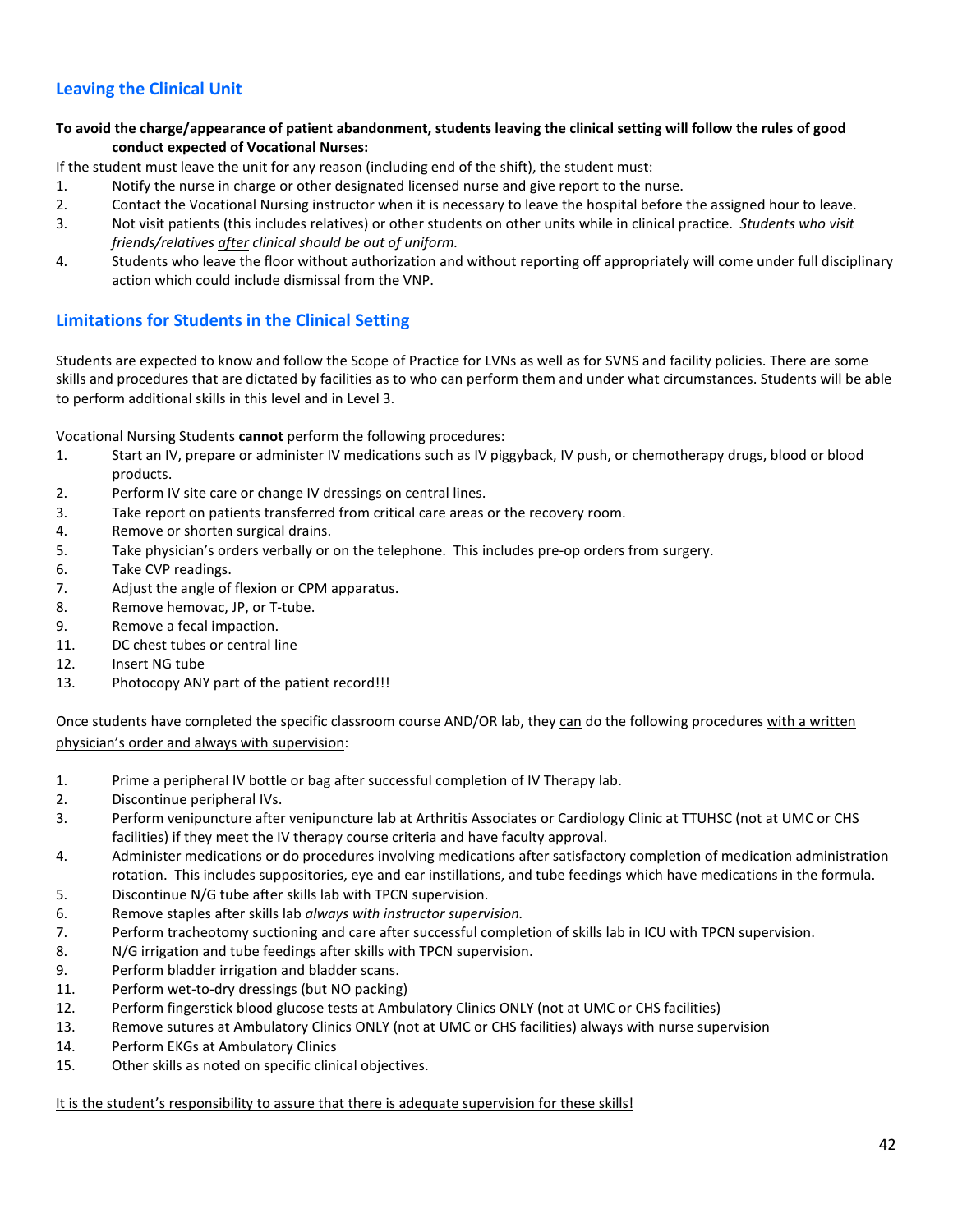# **Leaving the Clinical Unit**

**To avoid the charge/appearance of patient abandonment, students leaving the clinical setting will follow the rules of good conduct expected of Vocational Nurses:**

If the student must leave the unit for any reason (including end of the shift), the student must:

- 1. Notify the nurse in charge or other designated licensed nurse and give report to the nurse.
- 2. Contact the Vocational Nursing instructor when it is necessary to leave the hospital before the assigned hour to leave.
- 3. Not visit patients (this includes relatives) or other students on other units while in clinical practice. *Students who visit friends/relatives after clinical should be out of uniform.*
- 4. Students who leave the floor without authorization and without reporting off appropriately will come under full disciplinary action which could include dismissal from the VNP.

# **Limitations for Students in the Clinical Setting**

Students are expected to know and follow the Scope of Practice for LVNs as well as for SVNS and facility policies. There are some skills and procedures that are dictated by facilities as to who can perform them and under what circumstances. Students will be able to perform additional skills in this level and in Level 3.

Vocational Nursing Students **cannot** perform the following procedures:

- 1. Start an IV, prepare or administer IV medications such as IV piggyback, IV push, or chemotherapy drugs, blood or blood products.
- 2. Perform IV site care or change IV dressings on central lines.
- 3. Take report on patients transferred from critical care areas or the recovery room.
- 4. Remove or shorten surgical drains.
- 5. Take physician's orders verbally or on the telephone. This includes pre-op orders from surgery.
- 6. Take CVP readings.
- 7. Adjust the angle of flexion or CPM apparatus.
- 8. Remove hemovac, JP, or T-tube.
- 9. Remove a fecal impaction.
- 11. DC chest tubes or central line
- 12. Insert NG tube
- 13. Photocopy ANY part of the patient record!!!

Once students have completed the specific classroom course AND/OR lab, they can do the following procedures with a written physician's order and always with supervision:

- 1. Prime a peripheral IV bottle or bag after successful completion of IV Therapy lab.
- 2. Discontinue peripheral IVs.
- 3. Perform venipuncture after venipuncture lab at Arthritis Associates or Cardiology Clinic at TTUHSC (not at UMC or CHS facilities) if they meet the IV therapy course criteria and have faculty approval.
- 4. Administer medications or do procedures involving medications after satisfactory completion of medication administration rotation. This includes suppositories, eye and ear instillations, and tube feedings which have medications in the formula. 5. Discontinue N/G tube after skills lab with TPCN supervision.
- 
- 6. Remove staples after skills lab *always with instructor supervision.*
- 7. Perform tracheotomy suctioning and care after successful completion of skills lab in ICU with TPCN supervision.
- 8. N/G irrigation and tube feedings after skills with TPCN supervision.
- 9. Perform bladder irrigation and bladder scans.
- 11. Perform wet-to-dry dressings (but NO packing)
- 12. Perform fingerstick blood glucose tests at Ambulatory Clinics ONLY (not at UMC or CHS facilities)
- 13. Remove sutures at Ambulatory Clinics ONLY (not at UMC or CHS facilities) always with nurse supervision
- 14. Perform EKGs at Ambulatory Clinics
- 15. Other skills as noted on specific clinical objectives.

It is the student's responsibility to assure that there is adequate supervision for these skills!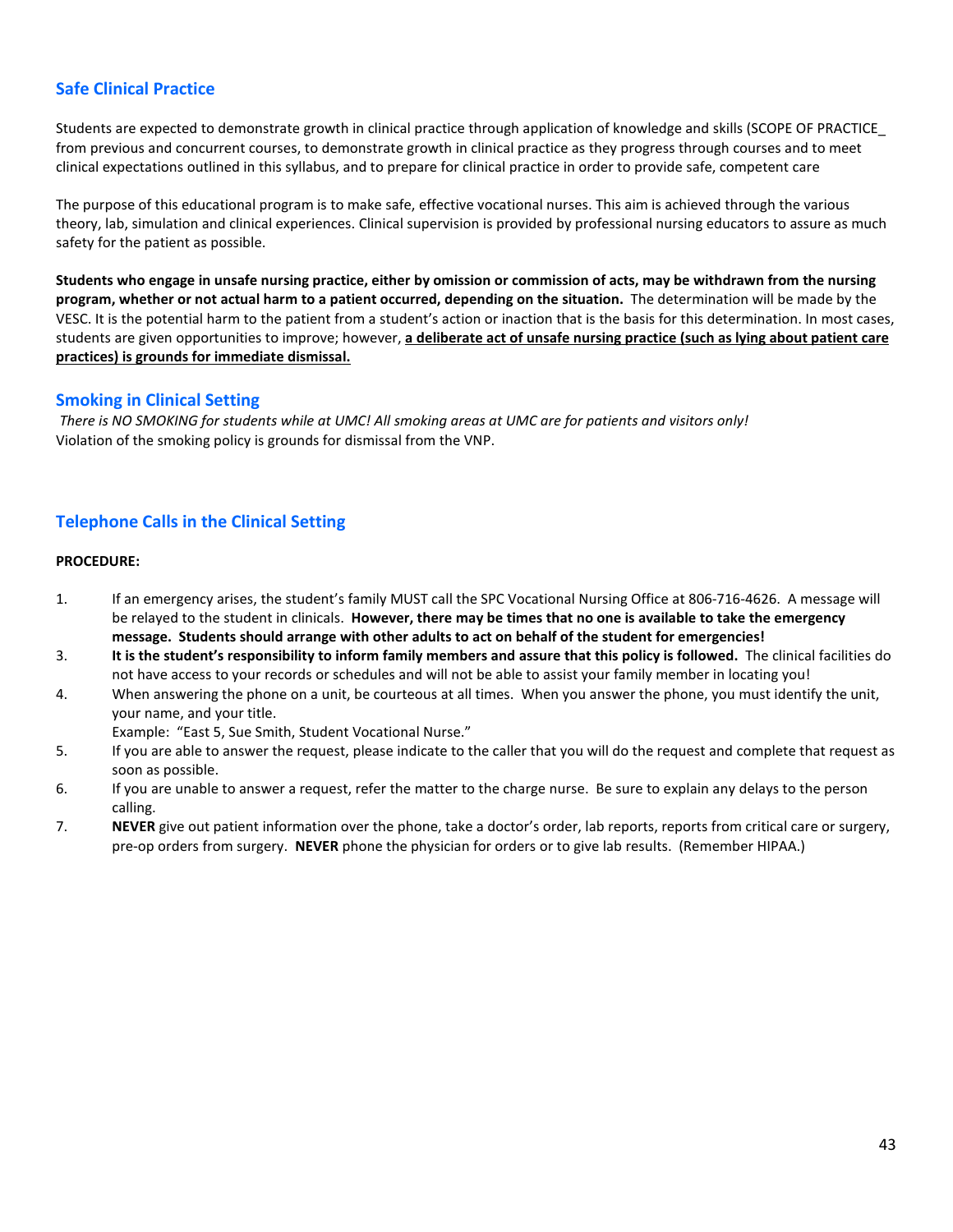# **Safe Clinical Practice**

Students are expected to demonstrate growth in clinical practice through application of knowledge and skills (SCOPE OF PRACTICE\_ from previous and concurrent courses, to demonstrate growth in clinical practice as they progress through courses and to meet clinical expectations outlined in this syllabus, and to prepare for clinical practice in order to provide safe, competent care

The purpose of this educational program is to make safe, effective vocational nurses. This aim is achieved through the various theory, lab, simulation and clinical experiences. Clinical supervision is provided by professional nursing educators to assure as much safety for the patient as possible.

**Students who engage in unsafe nursing practice, either by omission or commission of acts, may be withdrawn from the nursing program, whether or not actual harm to a patient occurred, depending on the situation.** The determination will be made by the VESC. It is the potential harm to the patient from a student's action or inaction that is the basis for this determination. In most cases, students are given opportunities to improve; however, **a deliberate act of unsafe nursing practice (such as lying about patient care practices) is grounds for immediate dismissal.**

#### **Smoking in Clinical Setting**

*There is NO SMOKING for students while at UMC! All smoking areas at UMC are for patients and visitors only!* Violation of the smoking policy is grounds for dismissal from the VNP.

# **Telephone Calls in the Clinical Setting**

#### **PROCEDURE:**

- 1. If an emergency arises, the student's family MUST call the SPC Vocational Nursing Office at 806-716-4626. A message will be relayed to the student in clinicals. **However, there may be times that no one is available to take the emergency message. Students should arrange with other adults to act on behalf of the student for emergencies!**
- 3. **It is the student's responsibility to inform family members and assure that this policy is followed.** The clinical facilities do not have access to your records or schedules and will not be able to assist your family member in locating you!
- 4. When answering the phone on a unit, be courteous at all times. When you answer the phone, you must identify the unit, your name, and your title.

Example: "East 5, Sue Smith, Student Vocational Nurse."

- 5. If you are able to answer the request, please indicate to the caller that you will do the request and complete that request as soon as possible.
- 6. If you are unable to answer a request, refer the matter to the charge nurse. Be sure to explain any delays to the person calling.
- 7. **NEVER** give out patient information over the phone, take a doctor's order, lab reports, reports from critical care or surgery, pre-op orders from surgery. **NEVER** phone the physician for orders or to give lab results. (Remember HIPAA.)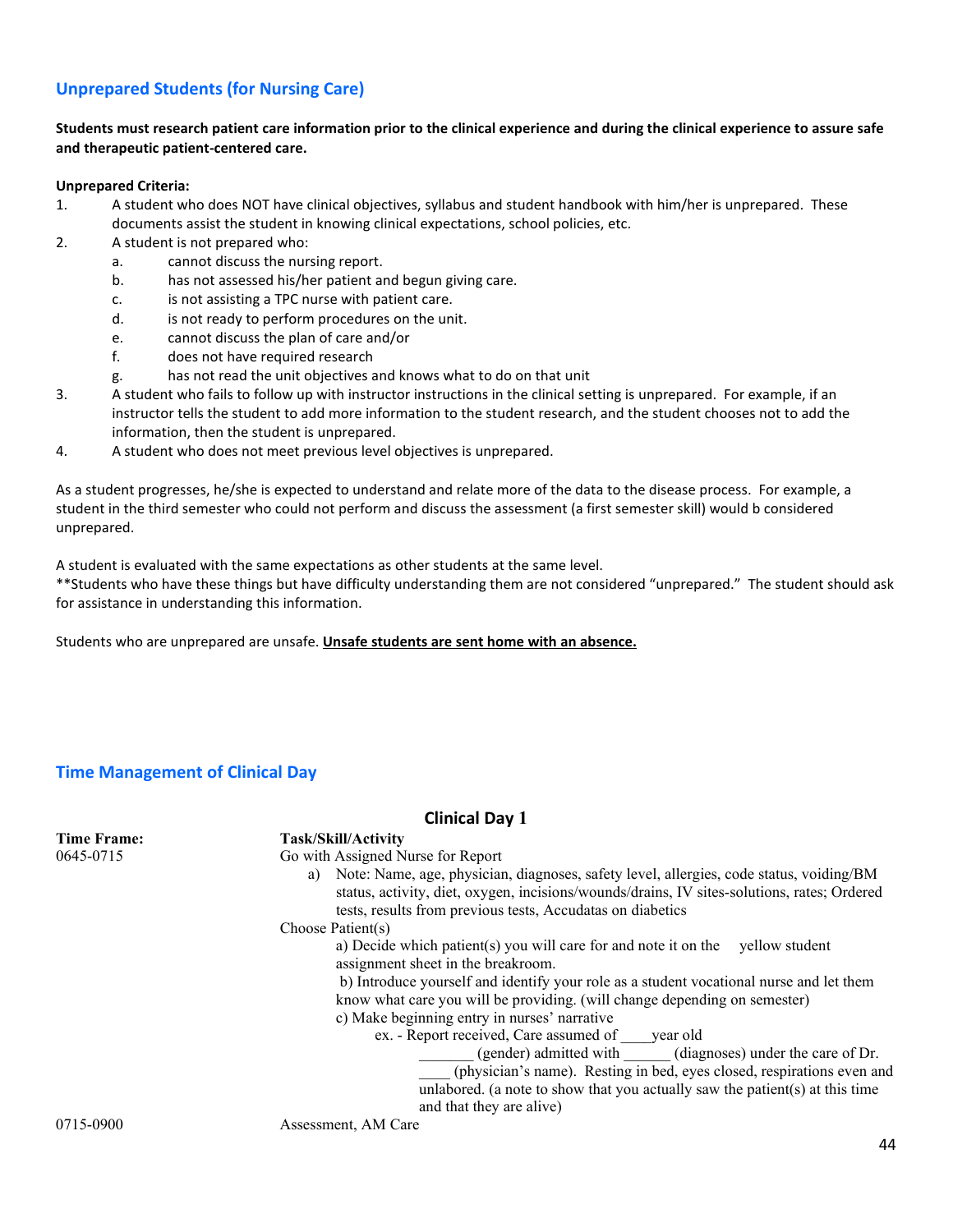# **Unprepared Students (for Nursing Care)**

#### **Students must research patient care information prior to the clinical experience and during the clinical experience to assure safe and therapeutic patient-centered care.**

#### **Unprepared Criteria:**

- 1. A student who does NOT have clinical objectives, syllabus and student handbook with him/her is unprepared. These documents assist the student in knowing clinical expectations, school policies, etc.
- 2. A student is not prepared who:
	- a. cannot discuss the nursing report.
		- b. has not assessed his/her patient and begun giving care.
		- c. is not assisting a TPC nurse with patient care.
		- d. is not ready to perform procedures on the unit.
		- e. cannot discuss the plan of care and/or
		- f. does not have required research
		- g. has not read the unit objectives and knows what to do on that unit
- 3. A student who fails to follow up with instructor instructions in the clinical setting is unprepared. For example, if an instructor tells the student to add more information to the student research, and the student chooses not to add the information, then the student is unprepared.
- 4. A student who does not meet previous level objectives is unprepared.

As a student progresses, he/she is expected to understand and relate more of the data to the disease process. For example, a student in the third semester who could not perform and discuss the assessment (a first semester skill) would b considered unprepared.

A student is evaluated with the same expectations as other students at the same level.

\*\*Students who have these things but have difficulty understanding them are not considered "unprepared." The student should ask for assistance in understanding this information.

Students who are unprepared are unsafe. **Unsafe students are sent home with an absence.** 

### **Time Management of Clinical Day**

#### **Clinical Day 1 Time Frame:** Task/Skill/Activity 0645-0715 Co with Assigned N Go with Assigned Nurse for Report a) Note: Name, age, physician, diagnoses, safety level, allergies, code status, voiding/BM status, activity, diet, oxygen, incisions/wounds/drains, IV sites-solutions, rates; Ordered tests, results from previous tests, Accudatas on diabetics Choose Patient(s) a) Decide which patient(s) you will care for and note it on the yellow student assignment sheet in the breakroom. b) Introduce yourself and identify your role as a student vocational nurse and let them know what care you will be providing. (will change depending on semester) c) Make beginning entry in nurses' narrative ex. - Report received, Care assumed of \_\_\_\_year old \_\_\_\_\_\_\_ (gender) admitted with \_\_\_\_\_\_ (diagnoses) under the care of Dr. \_\_\_\_ (physician's name). Resting in bed, eyes closed, respirations even and unlabored. (a note to show that you actually saw the patient(s) at this time and that they are alive) 0715-0900 Assessment, AM Care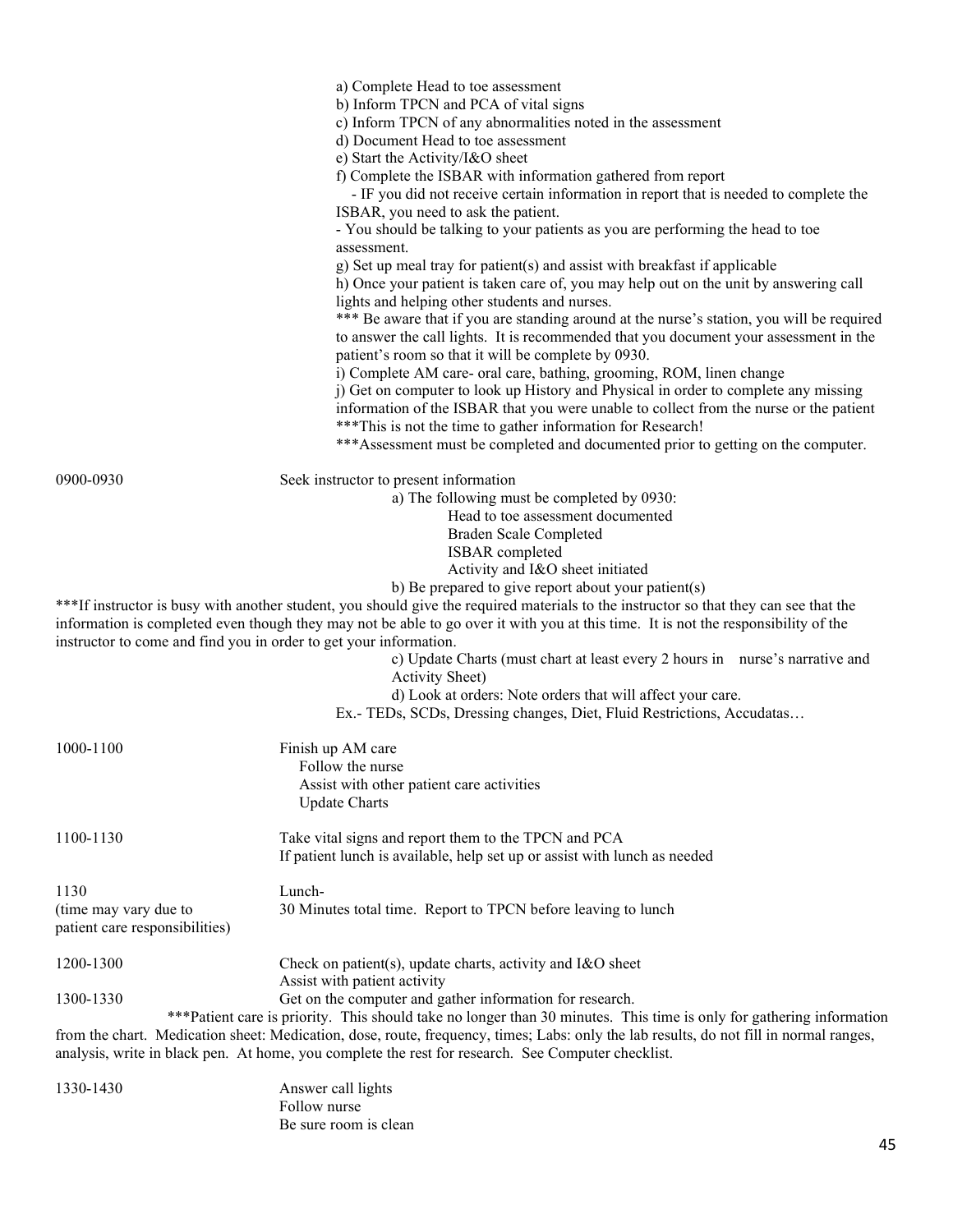|                                                                   | a) Complete Head to toe assessment<br>b) Inform TPCN and PCA of vital signs                                                                                                                                                                                                                                           |
|-------------------------------------------------------------------|-----------------------------------------------------------------------------------------------------------------------------------------------------------------------------------------------------------------------------------------------------------------------------------------------------------------------|
|                                                                   | c) Inform TPCN of any abnormalities noted in the assessment<br>d) Document Head to toe assessment                                                                                                                                                                                                                     |
|                                                                   | e) Start the Activity/I&O sheet<br>f) Complete the ISBAR with information gathered from report                                                                                                                                                                                                                        |
|                                                                   | - IF you did not receive certain information in report that is needed to complete the                                                                                                                                                                                                                                 |
|                                                                   | ISBAR, you need to ask the patient.<br>- You should be talking to your patients as you are performing the head to toe<br>assessment.                                                                                                                                                                                  |
|                                                                   | g) Set up meal tray for patient(s) and assist with breakfast if applicable<br>h) Once your patient is taken care of, you may help out on the unit by answering call<br>lights and helping other students and nurses.                                                                                                  |
|                                                                   | *** Be aware that if you are standing around at the nurse's station, you will be required<br>to answer the call lights. It is recommended that you document your assessment in the<br>patient's room so that it will be complete by 0930.                                                                             |
|                                                                   | i) Complete AM care- oral care, bathing, grooming, ROM, linen change<br>j) Get on computer to look up History and Physical in order to complete any missing<br>information of the ISBAR that you were unable to collect from the nurse or the patient<br>*** This is not the time to gather information for Research! |
|                                                                   | *** Assessment must be completed and documented prior to getting on the computer.                                                                                                                                                                                                                                     |
| 0900-0930                                                         | Seek instructor to present information                                                                                                                                                                                                                                                                                |
|                                                                   | a) The following must be completed by 0930:                                                                                                                                                                                                                                                                           |
|                                                                   | Head to toe assessment documented<br>Braden Scale Completed                                                                                                                                                                                                                                                           |
|                                                                   | ISBAR completed                                                                                                                                                                                                                                                                                                       |
|                                                                   | Activity and I&O sheet initiated                                                                                                                                                                                                                                                                                      |
|                                                                   | b) Be prepared to give report about your patient(s)                                                                                                                                                                                                                                                                   |
|                                                                   | ***If instructor is busy with another student, you should give the required materials to the instructor so that they can see that the<br>information is completed even though they may not be able to go over it with you at this time. It is not the responsibility of the                                           |
| instructor to come and find you in order to get your information. | c) Update Charts (must chart at least every 2 hours in nurse's narrative and<br><b>Activity Sheet</b> )                                                                                                                                                                                                               |
|                                                                   | d) Look at orders: Note orders that will affect your care.                                                                                                                                                                                                                                                            |
|                                                                   | Ex.- TEDs, SCDs, Dressing changes, Diet, Fluid Restrictions, Accudatas                                                                                                                                                                                                                                                |
| 1000-1100                                                         | Finish up AM care                                                                                                                                                                                                                                                                                                     |
|                                                                   | Follow the nurse<br>Assist with other patient care activities                                                                                                                                                                                                                                                         |
|                                                                   | <b>Update Charts</b>                                                                                                                                                                                                                                                                                                  |
| 1100-1130                                                         | Take vital signs and report them to the TPCN and PCA                                                                                                                                                                                                                                                                  |
|                                                                   | If patient lunch is available, help set up or assist with lunch as needed                                                                                                                                                                                                                                             |
| 1130                                                              | Lunch-                                                                                                                                                                                                                                                                                                                |
| (time may vary due to                                             | 30 Minutes total time. Report to TPCN before leaving to lunch                                                                                                                                                                                                                                                         |
| patient care responsibilities)                                    |                                                                                                                                                                                                                                                                                                                       |
| 1200-1300                                                         | Check on patient(s), update charts, activity and I&O sheet<br>Assist with patient activity                                                                                                                                                                                                                            |
| 1300-1330                                                         | Get on the computer and gather information for research.                                                                                                                                                                                                                                                              |
|                                                                   | *** Patient care is priority. This should take no longer than 30 minutes. This time is only for gathering information                                                                                                                                                                                                 |
|                                                                   | from the chart. Medication sheet: Medication, dose, route, frequency, times; Labs: only the lab results, do not fill in normal ranges,<br>analysis, write in black pen. At home, you complete the rest for research. See Computer checklist.                                                                          |
| 1330-1430                                                         | Answer call lights                                                                                                                                                                                                                                                                                                    |

Follow nurse Be sure room is clean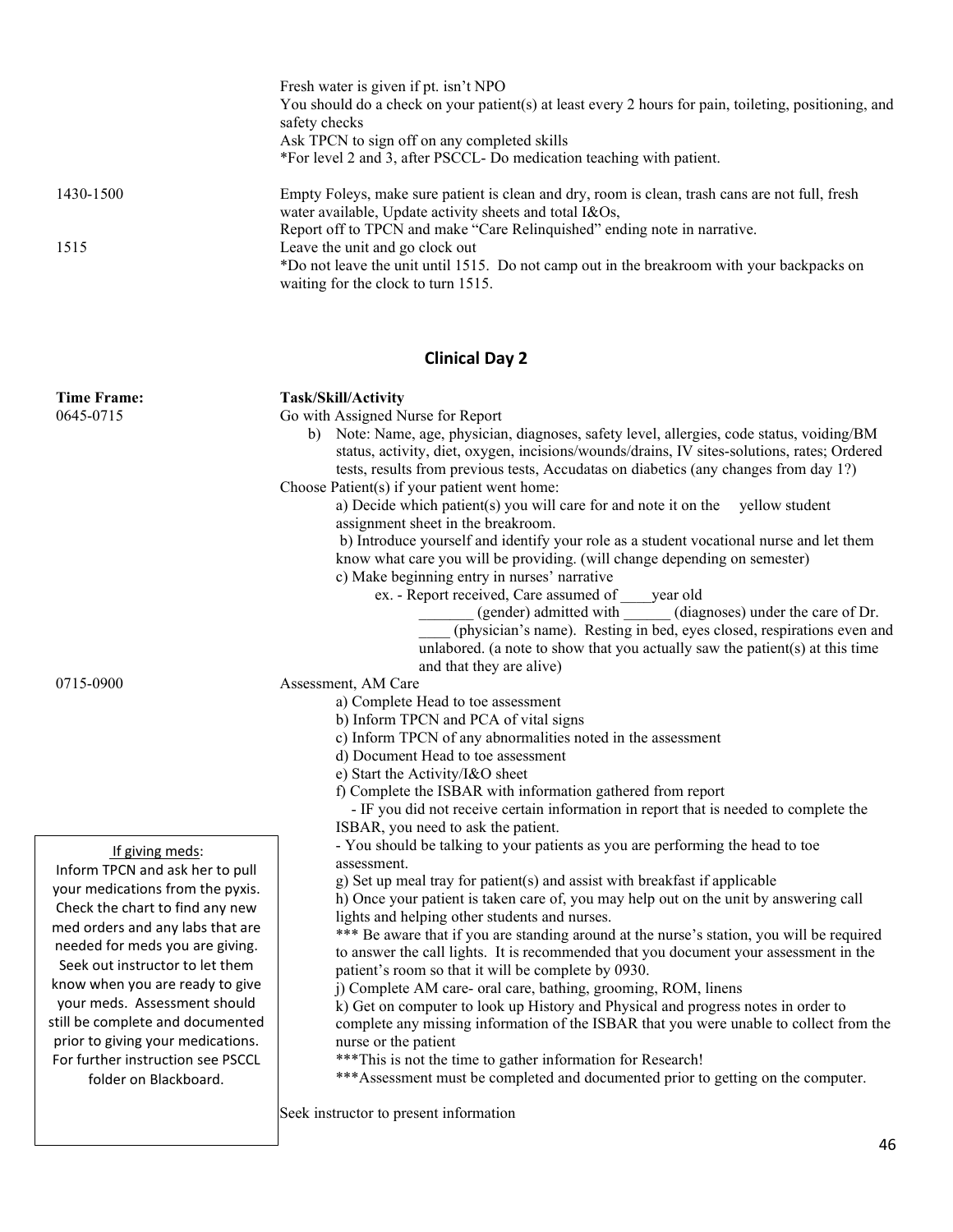|           | Fresh water is given if pt. isn't NPO<br>You should do a check on your patient(s) at least every 2 hours for pain, toileting, positioning, and<br>safety checks<br>Ask TPCN to sign off on any completed skills |
|-----------|-----------------------------------------------------------------------------------------------------------------------------------------------------------------------------------------------------------------|
|           | *For level 2 and 3, after PSCCL-Do medication teaching with patient.                                                                                                                                            |
| 1430-1500 | Empty Foleys, make sure patient is clean and dry, room is clean, trash cans are not full, fresh<br>water available, Update activity sheets and total I&Os,                                                      |
|           | Report off to TPCN and make "Care Relinquished" ending note in narrative.                                                                                                                                       |
| 1515      | Leave the unit and go clock out<br>*Do not leave the unit until 1515. Do not camp out in the breakroom with your backpacks on<br>waiting for the clock to turn 1515.                                            |

# **Clinical Day 2**

| <b>Time Frame:</b><br>0645-0715                                                                                                                                                                                                                                                                                                                                                                                                               | Task/Skill/Activity<br>Go with Assigned Nurse for Report<br>b) Note: Name, age, physician, diagnoses, safety level, allergies, code status, voiding/BM<br>status, activity, diet, oxygen, incisions/wounds/drains, IV sites-solutions, rates; Ordered<br>tests, results from previous tests, Accudatas on diabetics (any changes from day 1?)<br>Choose Patient(s) if your patient went home:<br>a) Decide which patient(s) you will care for and note it on the yellow student<br>assignment sheet in the breakroom.<br>b) Introduce yourself and identify your role as a student vocational nurse and let them<br>know what care you will be providing. (will change depending on semester)<br>c) Make beginning entry in nurses' narrative<br>ex. - Report received, Care assumed of<br>year old<br>(gender) admitted with<br>(diagnoses) under the care of Dr.<br>(physician's name). Resting in bed, eyes closed, respirations even and<br>unlabored. (a note to show that you actually saw the patient(s) at this time<br>and that they are alive) |
|-----------------------------------------------------------------------------------------------------------------------------------------------------------------------------------------------------------------------------------------------------------------------------------------------------------------------------------------------------------------------------------------------------------------------------------------------|----------------------------------------------------------------------------------------------------------------------------------------------------------------------------------------------------------------------------------------------------------------------------------------------------------------------------------------------------------------------------------------------------------------------------------------------------------------------------------------------------------------------------------------------------------------------------------------------------------------------------------------------------------------------------------------------------------------------------------------------------------------------------------------------------------------------------------------------------------------------------------------------------------------------------------------------------------------------------------------------------------------------------------------------------------|
| 0715-0900                                                                                                                                                                                                                                                                                                                                                                                                                                     | Assessment, AM Care<br>a) Complete Head to toe assessment<br>b) Inform TPCN and PCA of vital signs<br>c) Inform TPCN of any abnormalities noted in the assessment<br>d) Document Head to toe assessment<br>e) Start the Activity/I&O sheet<br>f) Complete the ISBAR with information gathered from report<br>- IF you did not receive certain information in report that is needed to complete the<br>ISBAR, you need to ask the patient.                                                                                                                                                                                                                                                                                                                                                                                                                                                                                                                                                                                                                |
| If giving meds:<br>Inform TPCN and ask her to pull<br>your medications from the pyxis.<br>Check the chart to find any new<br>med orders and any labs that are<br>needed for meds you are giving.<br>Seek out instructor to let them<br>know when you are ready to give<br>your meds. Assessment should<br>still be complete and documented<br>prior to giving your medications.<br>For further instruction see PSCCL<br>folder on Blackboard. | - You should be talking to your patients as you are performing the head to toe<br>assessment.<br>g) Set up meal tray for patient(s) and assist with breakfast if applicable<br>h) Once your patient is taken care of, you may help out on the unit by answering call<br>lights and helping other students and nurses.<br>*** Be aware that if you are standing around at the nurse's station, you will be required<br>to answer the call lights. It is recommended that you document your assessment in the<br>patient's room so that it will be complete by 0930.<br>j) Complete AM care- oral care, bathing, grooming, ROM, linens<br>k) Get on computer to look up History and Physical and progress notes in order to<br>complete any missing information of the ISBAR that you were unable to collect from the<br>nurse or the patient<br>*** This is not the time to gather information for Research!<br>*** Assessment must be completed and documented prior to getting on the computer.                                                         |

Seek instructor to present information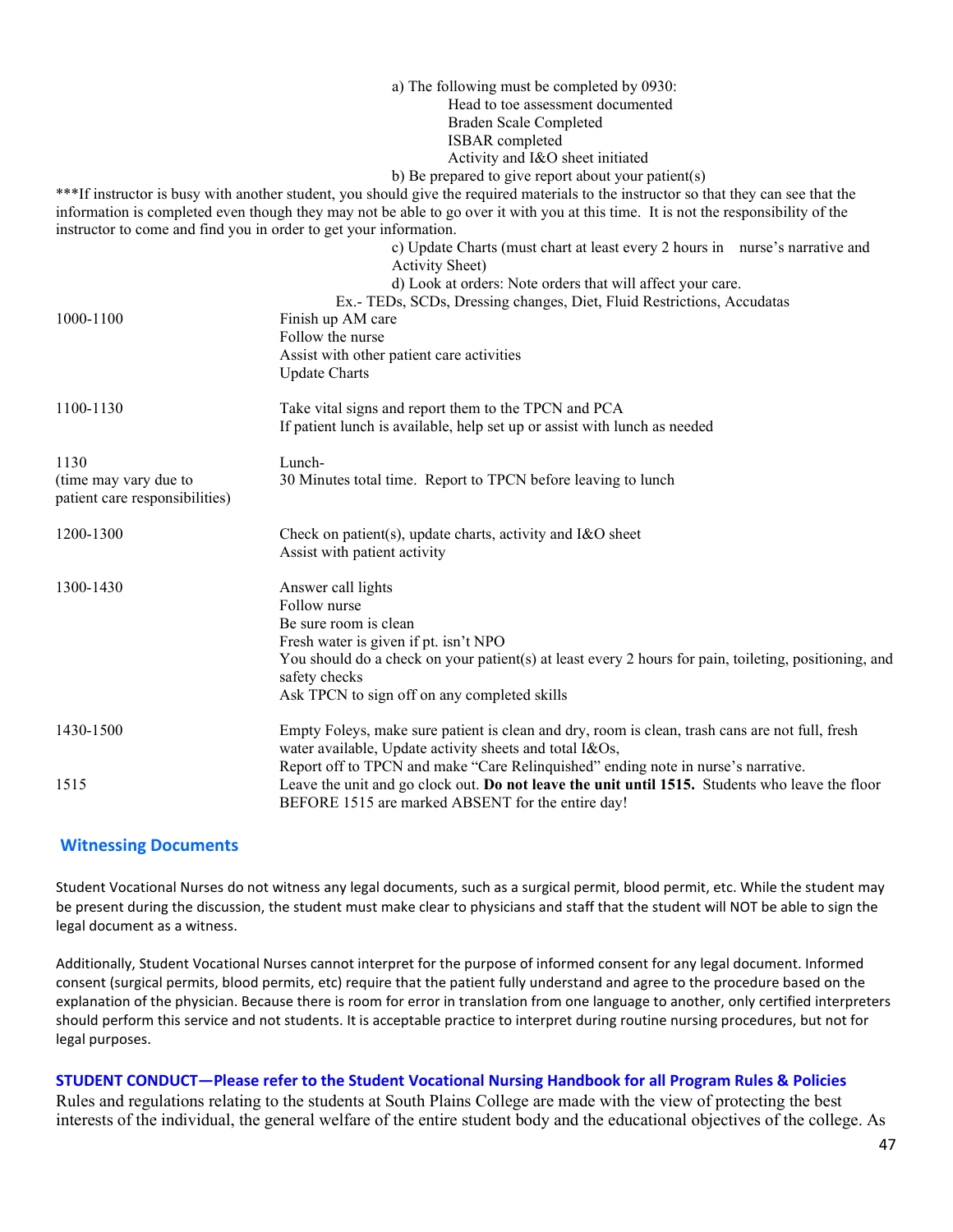|                                                         | a) The following must be completed by 0930:                                                                                           |
|---------------------------------------------------------|---------------------------------------------------------------------------------------------------------------------------------------|
|                                                         | Head to toe assessment documented                                                                                                     |
|                                                         | Braden Scale Completed                                                                                                                |
|                                                         | ISBAR completed                                                                                                                       |
|                                                         | Activity and I&O sheet initiated                                                                                                      |
|                                                         | b) Be prepared to give report about your patient(s)                                                                                   |
|                                                         | ***If instructor is busy with another student, you should give the required materials to the instructor so that they can see that the |
|                                                         | information is completed even though they may not be able to go over it with you at this time. It is not the responsibility of the    |
|                                                         | instructor to come and find you in order to get your information.                                                                     |
|                                                         | c) Update Charts (must chart at least every 2 hours in nurse's narrative and                                                          |
|                                                         | Activity Sheet)                                                                                                                       |
|                                                         | d) Look at orders: Note orders that will affect your care.                                                                            |
|                                                         | Ex.- TEDs, SCDs, Dressing changes, Diet, Fluid Restrictions, Accudatas                                                                |
| 1000-1100                                               | Finish up AM care                                                                                                                     |
|                                                         | Follow the nurse                                                                                                                      |
|                                                         | Assist with other patient care activities                                                                                             |
|                                                         | <b>Update Charts</b>                                                                                                                  |
| 1100-1130                                               | Take vital signs and report them to the TPCN and PCA                                                                                  |
|                                                         | If patient lunch is available, help set up or assist with lunch as needed                                                             |
| 1130                                                    | Lunch-                                                                                                                                |
| (time may vary due to<br>patient care responsibilities) | 30 Minutes total time. Report to TPCN before leaving to lunch                                                                         |
|                                                         |                                                                                                                                       |
| 1200-1300                                               | Check on patient(s), update charts, activity and I&O sheet                                                                            |
|                                                         | Assist with patient activity                                                                                                          |
| 1300-1430                                               | Answer call lights                                                                                                                    |
|                                                         | Follow nurse                                                                                                                          |
|                                                         | Be sure room is clean                                                                                                                 |
|                                                         | Fresh water is given if pt. isn't NPO                                                                                                 |
|                                                         | You should do a check on your patient(s) at least every 2 hours for pain, toileting, positioning, and                                 |
|                                                         | safety checks                                                                                                                         |
|                                                         | Ask TPCN to sign off on any completed skills                                                                                          |
| 1430-1500                                               | Empty Foleys, make sure patient is clean and dry, room is clean, trash cans are not full, fresh                                       |
|                                                         | water available, Update activity sheets and total I&Os,                                                                               |
|                                                         | Report off to TPCN and make "Care Relinquished" ending note in nurse's narrative.                                                     |
| 1515                                                    | Leave the unit and go clock out. Do not leave the unit until 1515. Students who leave the floor                                       |
|                                                         | BEFORE 1515 are marked ABSENT for the entire day!                                                                                     |

### **Witnessing Documents**

Student Vocational Nurses do not witness any legal documents, such as a surgical permit, blood permit, etc. While the student may be present during the discussion, the student must make clear to physicians and staff that the student will NOT be able to sign the legal document as a witness.

Additionally, Student Vocational Nurses cannot interpret for the purpose of informed consent for any legal document. Informed consent (surgical permits, blood permits, etc) require that the patient fully understand and agree to the procedure based on the explanation of the physician. Because there is room for error in translation from one language to another, only certified interpreters should perform this service and not students. It is acceptable practice to interpret during routine nursing procedures, but not for legal purposes.

#### **STUDENT CONDUCT—Please refer to the Student Vocational Nursing Handbook for all Program Rules & Policies**

Rules and regulations relating to the students at South Plains College are made with the view of protecting the best interests of the individual, the general welfare of the entire student body and the educational objectives of the college. As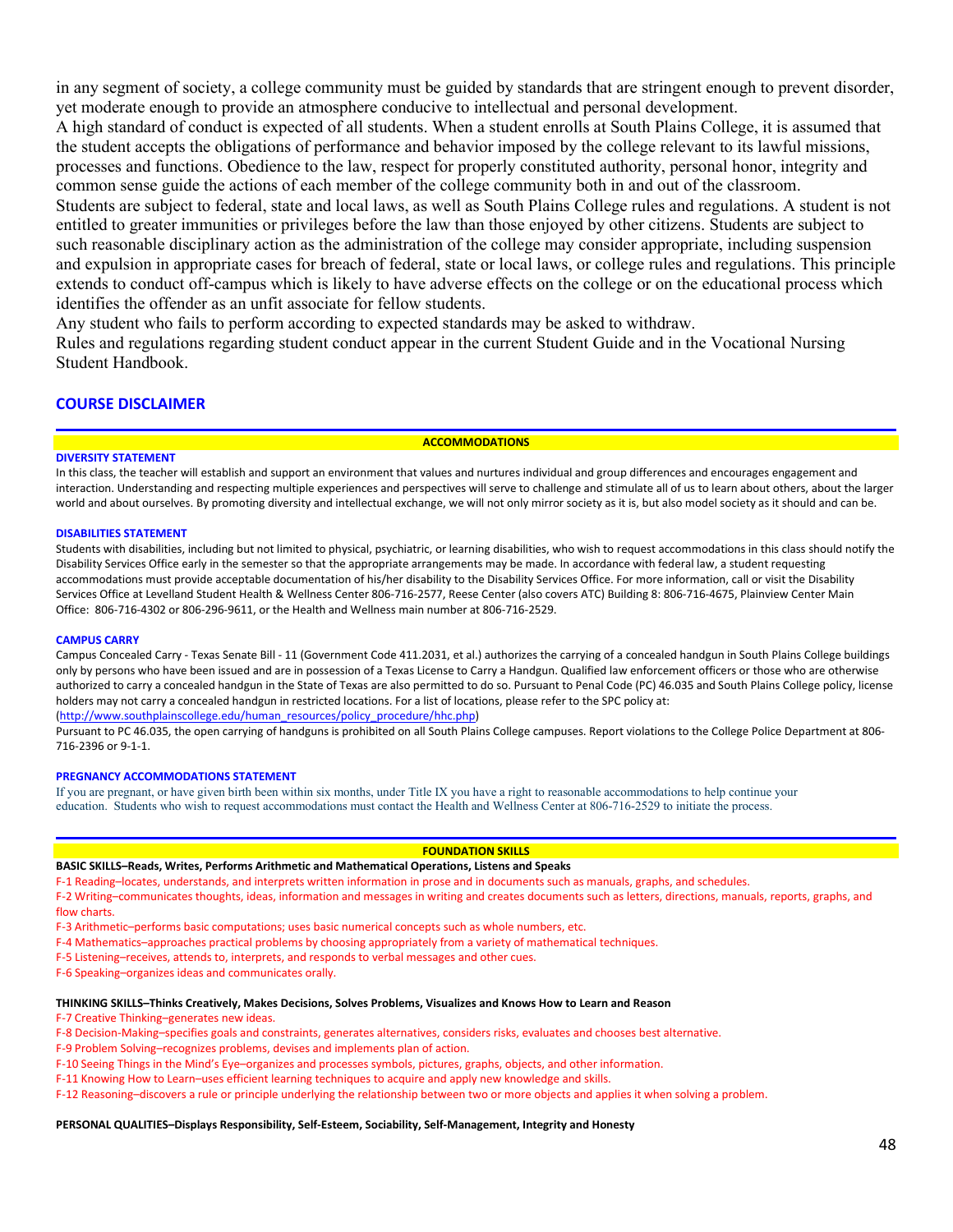in any segment of society, a college community must be guided by standards that are stringent enough to prevent disorder, yet moderate enough to provide an atmosphere conducive to intellectual and personal development.

A high standard of conduct is expected of all students. When a student enrolls at South Plains College, it is assumed that the student accepts the obligations of performance and behavior imposed by the college relevant to its lawful missions, processes and functions. Obedience to the law, respect for properly constituted authority, personal honor, integrity and common sense guide the actions of each member of the college community both in and out of the classroom.

Students are subject to federal, state and local laws, as well as South Plains College rules and regulations. A student is not entitled to greater immunities or privileges before the law than those enjoyed by other citizens. Students are subject to such reasonable disciplinary action as the administration of the college may consider appropriate, including suspension and expulsion in appropriate cases for breach of federal, state or local laws, or college rules and regulations. This principle extends to conduct off-campus which is likely to have adverse effects on the college or on the educational process which identifies the offender as an unfit associate for fellow students.

Any student who fails to perform according to expected standards may be asked to withdraw.

Rules and regulations regarding student conduct appear in the current Student Guide and in the Vocational Nursing Student Handbook.

#### **COURSE DISCLAIMER**

#### **ACCOMMODATIONS**

#### **DIVERSITY STATEMENT**

In this class, the teacher will establish and support an environment that values and nurtures individual and group differences and encourages engagement and interaction. Understanding and respecting multiple experiences and perspectives will serve to challenge and stimulate all of us to learn about others, about the larger world and about ourselves. By promoting diversity and intellectual exchange, we will not only mirror society as it is, but also model society as it should and can be.

#### **DISABILITIES STATEMENT**

Students with disabilities, including but not limited to physical, psychiatric, or learning disabilities, who wish to request accommodations in this class should notify the Disability Services Office early in the semester so that the appropriate arrangements may be made. In accordance with federal law, a student requesting accommodations must provide acceptable documentation of his/her disability to the Disability Services Office. For more information, call or visit the Disability Services Office at Levelland Student Health & Wellness Center 806-716-2577, Reese Center (also covers ATC) Building 8: 806-716-4675, Plainview Center Main Office: 806-716-4302 or 806-296-9611, or the Health and Wellness main number at 806-716-2529.

#### **CAMPUS CARRY**

Campus Concealed Carry - Texas Senate Bill - 11 (Government Code 411.2031, et al.) authorizes the carrying of a concealed handgun in South Plains College buildings only by persons who have been issued and are in possession of a Texas License to Carry a Handgun. Qualified law enforcement officers or those who are otherwise authorized to carry a concealed handgun in the State of Texas are also permitted to do so. Pursuant to Penal Code (PC) 46.035 and South Plains College policy, license holders may not carry a concealed handgun in restricted locations. For a list of locations, please refer to the SPC policy at:

[\(http://www.southplainscollege.edu/human\\_resources/policy\\_procedure/hhc.php\)](http://www.southplainscollege.edu/human_resources/policy_procedure/hhc.php) 

Pursuant to PC 46.035, the open carrying of handguns is prohibited on all South Plains College campuses. Report violations to the College Police Department at 806- 716-2396 or 9-1-1.

#### **PREGNANCY ACCOMMODATIONS STATEMENT**

If you are pregnant, or have given birth been within six months, under Title IX you have a right to reasonable accommodations to help continue your education. Students who wish to request accommodations must contact the Health and Wellness Center at 806-716-2529 to initiate the process.

#### **FOUNDATION SKILLS**

#### **BASIC SKILLS–Reads, Writes, Performs Arithmetic and Mathematical Operations, Listens and Speaks**

F-1 Reading–locates, understands, and interprets written information in prose and in documents such as manuals, graphs, and schedules.

F-2 Writing–communicates thoughts, ideas, information and messages in writing and creates documents such as letters, directions, manuals, reports, graphs, and flow charts.

F-3 Arithmetic–performs basic computations; uses basic numerical concepts such as whole numbers, etc.

F-4 Mathematics–approaches practical problems by choosing appropriately from a variety of mathematical techniques.

F-5 Listening–receives, attends to, interprets, and responds to verbal messages and other cues.

F-6 Speaking–organizes ideas and communicates orally.

#### **THINKING SKILLS–Thinks Creatively, Makes Decisions, Solves Problems, Visualizes and Knows How to Learn and Reason**

F-7 Creative Thinking–generates new ideas.

F-8 Decision-Making–specifies goals and constraints, generates alternatives, considers risks, evaluates and chooses best alternative.

- F-9 Problem Solving–recognizes problems, devises and implements plan of action.
- F-10 Seeing Things in the Mind's Eye–organizes and processes symbols, pictures, graphs, objects, and other information.
- F-11 Knowing How to Learn–uses efficient learning techniques to acquire and apply new knowledge and skills.

F-12 Reasoning–discovers a rule or principle underlying the relationship between two or more objects and applies it when solving a problem.

#### **PERSONAL QUALITIES–Displays Responsibility, Self-Esteem, Sociability, Self-Management, Integrity and Honesty**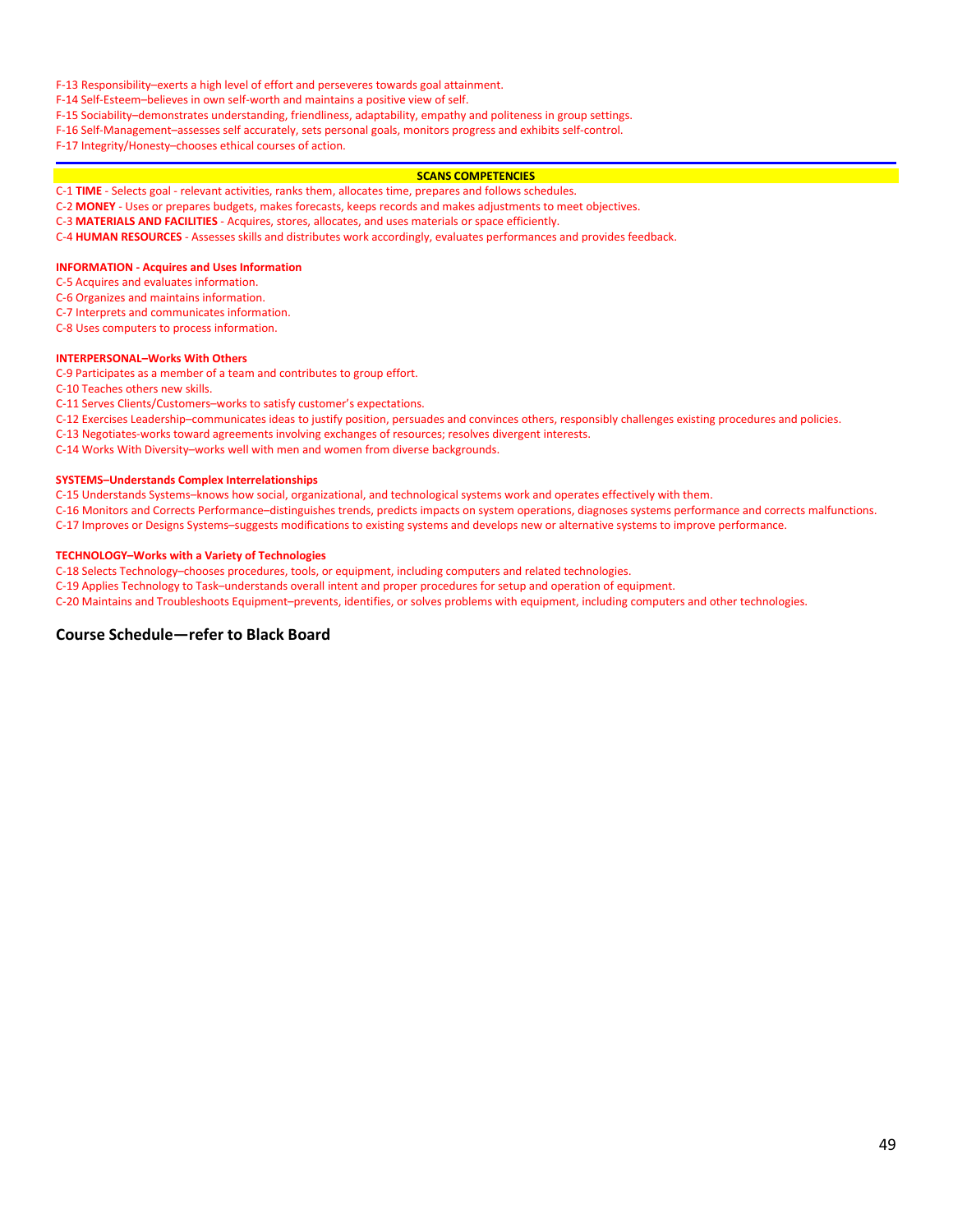#### F-13 Responsibility–exerts a high level of effort and perseveres towards goal attainment.

F-14 Self-Esteem–believes in own self-worth and maintains a positive view of self.

F-15 Sociability–demonstrates understanding, friendliness, adaptability, empathy and politeness in group settings.

F-16 Self-Management–assesses self accurately, sets personal goals, monitors progress and exhibits self-control.

F-17 Integrity/Honesty–chooses ethical courses of action.

#### **SCANS COMPETENCIES**

C-1 **TIME** - Selects goal - relevant activities, ranks them, allocates time, prepares and follows schedules.

C-2 **MONEY** - Uses or prepares budgets, makes forecasts, keeps records and makes adjustments to meet objectives.

C-3 **MATERIALS AND FACILITIES** - Acquires, stores, allocates, and uses materials or space efficiently.

C-4 **HUMAN RESOURCES** - Assesses skills and distributes work accordingly, evaluates performances and provides feedback.

#### **INFORMATION - Acquires and Uses Information**

C-5 Acquires and evaluates information.

C-6 Organizes and maintains information.

C-7 Interprets and communicates information.

C-8 Uses computers to process information.

#### **INTERPERSONAL–Works With Others**

C-9 Participates as a member of a team and contributes to group effort.

C-10 Teaches others new skills.

C-11 Serves Clients/Customers–works to satisfy customer's expectations.

C-12 Exercises Leadership–communicates ideas to justify position, persuades and convinces others, responsibly challenges existing procedures and policies.

C-13 Negotiates-works toward agreements involving exchanges of resources; resolves divergent interests.

C-14 Works With Diversity–works well with men and women from diverse backgrounds.

#### **SYSTEMS–Understands Complex Interrelationships**

C-15 Understands Systems–knows how social, organizational, and technological systems work and operates effectively with them.

C-16 Monitors and Corrects Performance–distinguishes trends, predicts impacts on system operations, diagnoses systems performance and corrects malfunctions.

C-17 Improves or Designs Systems–suggests modifications to existing systems and develops new or alternative systems to improve performance.

#### **TECHNOLOGY–Works with a Variety of Technologies**

C-18 Selects Technology–chooses procedures, tools, or equipment, including computers and related technologies.

C-19 Applies Technology to Task–understands overall intent and proper procedures for setup and operation of equipment.

C-20 Maintains and Troubleshoots Equipment–prevents, identifies, or solves problems with equipment, including computers and other technologies.

#### **Course Schedule—refer to Black Board**